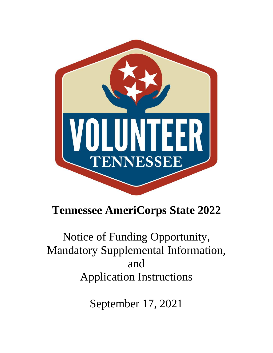

# **Tennessee AmeriCorps State 2022**

Notice of Funding Opportunity, Mandatory Supplemental Information, and Application Instructions

September 17, 2021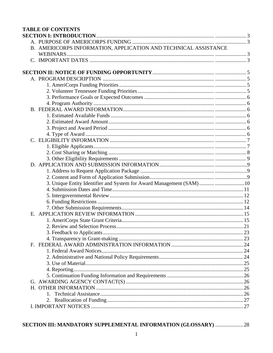| <b>TABLE OF CONTENTS</b>                                              |  |
|-----------------------------------------------------------------------|--|
|                                                                       |  |
|                                                                       |  |
| B. AMERICORPS INFORMATION, APPLICATION AND TECHNICAL ASSISTANCE       |  |
|                                                                       |  |
|                                                                       |  |
|                                                                       |  |
|                                                                       |  |
|                                                                       |  |
|                                                                       |  |
|                                                                       |  |
|                                                                       |  |
|                                                                       |  |
|                                                                       |  |
|                                                                       |  |
|                                                                       |  |
|                                                                       |  |
|                                                                       |  |
|                                                                       |  |
|                                                                       |  |
|                                                                       |  |
|                                                                       |  |
|                                                                       |  |
|                                                                       |  |
|                                                                       |  |
| 3. Unique Entity Identifier and System for Award Management (SAM)  10 |  |
|                                                                       |  |
|                                                                       |  |
|                                                                       |  |
|                                                                       |  |
|                                                                       |  |
|                                                                       |  |
|                                                                       |  |
|                                                                       |  |
|                                                                       |  |
|                                                                       |  |
|                                                                       |  |
|                                                                       |  |
|                                                                       |  |
|                                                                       |  |
|                                                                       |  |
|                                                                       |  |
|                                                                       |  |
|                                                                       |  |
|                                                                       |  |
|                                                                       |  |
|                                                                       |  |

## SECTION III: MANDATORY SUPPLEMENTAL INFORMATION (GLOSSARY) .......................28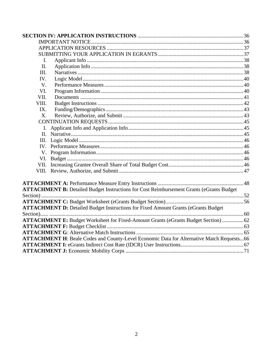| I.    |                                                                                                  |  |
|-------|--------------------------------------------------------------------------------------------------|--|
| II.   |                                                                                                  |  |
| III.  |                                                                                                  |  |
| IV.   |                                                                                                  |  |
| V.    |                                                                                                  |  |
| VI.   |                                                                                                  |  |
| VII.  |                                                                                                  |  |
| VIII. |                                                                                                  |  |
| IX.   |                                                                                                  |  |
| X.    |                                                                                                  |  |
|       |                                                                                                  |  |
|       |                                                                                                  |  |
| П.    |                                                                                                  |  |
| III.  |                                                                                                  |  |
|       |                                                                                                  |  |
|       |                                                                                                  |  |
|       |                                                                                                  |  |
|       |                                                                                                  |  |
|       |                                                                                                  |  |
|       |                                                                                                  |  |
|       |                                                                                                  |  |
|       | <b>ATTACHMENT B:</b> Detailed Budget Instructions for Cost Reimbursement Grants (eGrants Budget  |  |
|       |                                                                                                  |  |
|       |                                                                                                  |  |
|       | <b>ATTACHMENT D:</b> Detailed Budget Instructions for Fixed Amount Grants (eGrants Budget)       |  |
|       |                                                                                                  |  |
|       | <b>ATTACHMENT E:</b> Budget Worksheet for Fixed-Amount Grants (eGrants Budget Section)  62       |  |
|       |                                                                                                  |  |
|       | <b>ATTACHMENT H:</b> Beale Codes and County-Level Economic Data for Alternative Match Requests66 |  |
|       |                                                                                                  |  |
|       |                                                                                                  |  |
|       |                                                                                                  |  |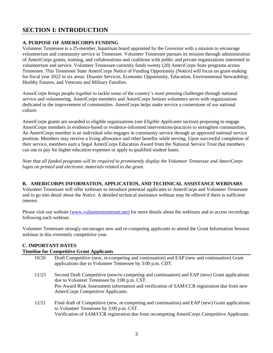### **SECTION I: INTRODUCTION**

#### **A. PURPOSE OF AMERICORPS FUNDING**

Volunteer Tennessee is a 25-member, bipartisan board appointed by the Governor with a mission to encourage volunteerism and community service in Tennessee. Volunteer Tennessee pursues its mission through administration of AmeriCorps grants, training, and collaborations and coalitions with public and private organizations interested in volunteerism and service. Volunteer Tennessee currently funds twenty (20) AmeriCorps State programs across Tennessee. This Tennessee State AmeriCorps Notice of Funding Opportunity (Notice) will focus on grant-making for fiscal year 2022 in six areas: Disaster Services, Economic Opportunity, Education, Environmental Stewardship, Healthy Futures, and Veterans and Military Families.

AmeriCorps brings people together to tackle some of the country's most pressing challenges through national service and volunteering. AmeriCorps members and AmeriCorps Seniors volunteers serve with organizations dedicated to the improvement of communities. AmeriCorps helps make service a cornerstone of our national culture.

AmeriCorps grants are awarded to eligible organizations (see *Eligible Applicants* section) proposing to engage AmeriCorps members in evidence-based or evidence-informed interventions/practices to strengthen communities. An AmeriCorps member is an individual who engages in community service through an approved national service position. Members may receive a living allowance and other benefits while serving. Upon successful completion of their service, members earn a Segal AmeriCorps Education Award from the National Service Trust that members can use to pay for higher education expenses or apply to qualified student loans.

*Note that all funded programs will be required to prominently display the Volunteer Tennessee and AmeriCorps logos on printed and electronic materials related to the grant.* 

#### **B. AMERICORPS INFORMATION, APPLICATION, AND TECHNICAL ASSISTANCE WEBINARS**

Volunteer Tennessee will offer webinars to introduce potential applicants to AmeriCorps and Volunteer Tennessee and to go into detail about the *Notice.* A detailed technical assistance webinar may be offered if there is sufficient interest.

Please visit our website [\(www.volunteertennessee.net\)](http://www.volunteertennessee.net/) for more details about the webinars and to access recordings following each webinar.

Volunteer Tennessee strongly encourages new and re-competing applicants to attend the Grant Information Session webinar in this extremely competitive year.

### **C. IMPORTANT DATES**

#### **Timeline for Competitive Grant Applicants**

| 10/26 | Draft Competitive (new, re-competing and continuation) and EAP (new and continuation) Grant<br>applications due to Volunteer Tennessee by 3:00 p.m. CDT. |
|-------|----------------------------------------------------------------------------------------------------------------------------------------------------------|
|       |                                                                                                                                                          |
| 11/23 | Second Draft Competitive (new/re-competing and continuation) and EAP (new) Grant applications                                                            |
|       | due to Volunteer Tennessee by 3:00 p.m. CST.                                                                                                             |
|       | Pre-Award Risk Assessment information and verification of SAM/CCR registration due from new<br>AmeriCorps Competitive Applicants.                        |
|       |                                                                                                                                                          |
| 12/21 | Final draft of Competitive (new, re-competing and continuation) and EAP (new) Grant applications                                                         |
|       | to Volunteer Tennessee by 3:00 p.m. CST.                                                                                                                 |
|       | Verification of SAM/CCR registration due from recompeting AmeriCorps Competitive Applicants.                                                             |

3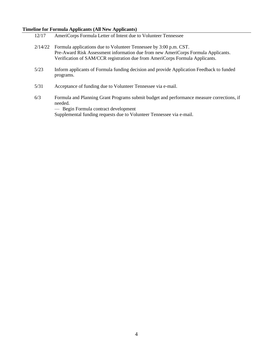#### **Timeline for Formula Applicants (All New Applicants)**

- 12/17 AmeriCorps Formula Letter of Intent due to Volunteer Tennessee 2/14/22 Formula applications due to Volunteer Tennessee by 3:00 p.m. CST. Pre-Award Risk Assessment information due from new AmeriCorps Formula Applicants. Verification of SAM/CCR registration due from AmeriCorps Formula Applicants. 5/23 Inform applicants of Formula funding decision and provide Application Feedback to funded programs.
- 5/31 Acceptance of funding due to Volunteer Tennessee via e-mail.
- 6/3 Formula and Planning Grant Programs submit budget and performance measure corrections, if needed.

— Begin Formula contract development Supplemental funding requests due to Volunteer Tennessee via e-mail.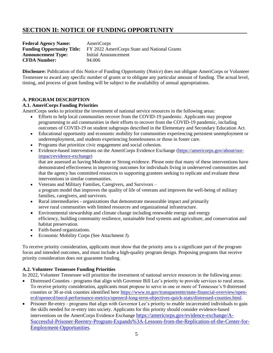### **SECTION II: NOTICE OF FUNDING OPPORTUNITY**

| <b>Federal Agency Name:</b>       | AmeriCorps                                   |
|-----------------------------------|----------------------------------------------|
| <b>Funding Opportunity Title:</b> | FY 2022 AmeriCorps State and National Grants |
| <b>Announcement Type:</b>         | Initial Announcement                         |
| <b>CFDA Number:</b>               | 94.006                                       |

**Disclosure:** Publication of this Notice of Funding Opportunity (*Notice*) does not obligate AmeriCorps or Volunteer Tennessee to award any specific number of grants or to obligate any particular amount of funding. The actual level, timing, and process of grant funding will be subject to the availability of annual appropriations.

#### **A. PROGRAM DESCRIPTION**

#### **A.1. AmeriCorps Funding Priorities**

AmeriCorps seeks to prioritize the investment of national service resources in the following areas:

- Efforts to help local communities recover from the COVID-19 pandemic. Applicants may propose programming to aid communities in their efforts to recover from the COVID-19 pandemic, including outcomes of COVID-19 on student subgroups described in the Elementary and Secondary Education Act.
- Educational opportunity and economic mobility for communities experiencing persistent unemployment or underemployment, and students experiencing homelessness or those in foster care.
- Programs that prioritize civic engagement and social cohesion.
- Evidence-based interventions on the AmeriCorps Evidence Exchange [\(https://americorps.gov/about/our](https://americorps.gov/about/our-impact/evidence-exchange)[impact/evidence-exchange\)](https://americorps.gov/about/our-impact/evidence-exchange)

that are assessed as having Moderate or Strong evidence. Please note that many of these interventions have demonstrated effectiveness in improving outcomes for individuals living in underserved communities and that the agency has committed resources to supporting grantees seeking to replicate and evaluate these interventions in similar communities.

- Veterans and Military Families, Caregivers, and Survivors a program model that improves the quality of life of veterans and improves the well-being of military families, caregivers, and survivors.
- Rural intermediaries organizations that demonstrate measurable impact and primarily serve rural communities with limited resources and organizational infrastructure.
- Environmental stewardship and climate change including renewable energy and energy efficiency, building community resilience, sustainable food systems and agriculture, and conservation and habitat preservation.
- Faith-based organizations.
- Economic Mobility Corps (See Attachment J).

To receive priority consideration, applicants must show that the priority area is a significant part of the program focus and intended outcomes, and must include a high-quality program design. Proposing programs that receive priority consideration does not guarantee funding.

#### **A.2. Volunteer Tennessee Funding Priorities**

In 2022, Volunteer Tennessee will prioritize the investment of national service resources in the following areas:

- Distressed Counties programs that align with Governor Bill Lee's priority to provide services to rural areas. To receive priority consideration, applicants must propose to serve in one or more of Tennessee's 9 distressed counties or 30 at-risk counties identified here [https://www.tn.gov/transparenttn/state-financial-overview/open](https://www.tn.gov/transparenttn/state-financial-overview/open-ecd/openecd/tnecd-performance-metrics/openecd-long-term-objectives-quick-stats/distressed-counties.html)[ecd/openecd/tnecd-performance-metrics/openecd-long-term-objectives-quick-stats/distressed-counties.html.](https://www.tn.gov/transparenttn/state-financial-overview/open-ecd/openecd/tnecd-performance-metrics/openecd-long-term-objectives-quick-stats/distressed-counties.html)
- Prisoner Re-entry programs that align with Governor Lee's priority to enable incarcerated individuals to gain the skills needed for re-entry into society. Applicants for this priority should consider evidence-based interventions on the AmeriCorps Evidence Exchange [https://americorps.gov/evidence-exchange/A-](https://americorps.gov/evidence-exchange/A-Successful-Prisoner-Reentry-Program-Expands%3A-Lessons-from-the-Replication-of-the-Center-for-Employment-Opportunities)[Successful-Prisoner-Reentry-Program-Expands%3A-Lessons-from-the-Replication-of-the-Center-for-](https://americorps.gov/evidence-exchange/A-Successful-Prisoner-Reentry-Program-Expands%3A-Lessons-from-the-Replication-of-the-Center-for-Employment-Opportunities)[Employment-Opportunities.](https://americorps.gov/evidence-exchange/A-Successful-Prisoner-Reentry-Program-Expands%3A-Lessons-from-the-Replication-of-the-Center-for-Employment-Opportunities)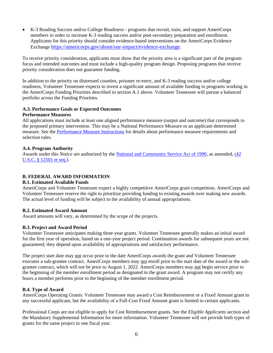• K-3 Reading Success and/or College Readiness - programs that recruit, train, and support AmeriCorps members in order to increase K-3 reading success and/or post-secondary preparation and enrollment. Applicants for this priority should consider evidence-based interventions on the AmeriCorps Evidence Exchange [https://americorps.gov/about/our-impact/evidence-exchange.](https://americorps.gov/about/our-impact/evidence-exchange)

To receive priority consideration, applicants must show that the priority area is a significant part of the program focus and intended outcomes and must include a high-quality program design. Proposing programs that receive priority consideration does not guarantee funding.

In addition to the priority on distressed counties, prisoner re-entry, and K-3 reading success and/or college readiness, Volunteer Tennessee expects to invest a significant amount of available funding to programs working in the AmeriCorps Funding Priorities described in section A.1 above. Volunteer Tennessee will pursue a balanced portfolio across the Funding Priorities.

#### **A.3. Performance Goals or Expected Outcomes Performance Measures**

All applications must include at least one aligned performance measure (output and outcome) that corresponds to the proposed primary intervention. This may be a National Performance Measure or an applicant-determined measure. See the [Performance Measure Instructions](https://www.tn.gov/volunteer-tennessee/vt-funds/vt-funding-opportunities.html) for details about performance measure requirements and selection rules.

#### **A.4. Program Authority**

Awards under this *Notice* are authorized by the [National and Community Service Act of 1990,](https://americorps.gov/about/agency-overview/statutes-regulations) as amended, (42 [U.S.C. § 12501](https://www.congress.gov/111/plaws/publ13/PLAW-111publ13.pdf) et seq.).

### **B. FEDERAL AWARD INFORMATION**

#### **B.1. Estimated Available Funds**

AmeriCorps and Volunteer Tennessee expect a highly competitive AmeriCorps grant competition. AmeriCorps and Volunteer Tennessee reserve the right to prioritize providing funding to existing awards over making new awards. The actual level of funding will be subject to the availability of annual appropriations.

#### **B.2. Estimated Award Amount**

Award amounts will vary, as determined by the scope of the projects.

### **B.3. Project and Award Period**

Volunteer Tennessee anticipates making three-year grants. Volunteer Tennessee generally makes an initial award for the first year of operation, based on a one-year project period. Continuation awards for subsequent years are not guaranteed; they depend upon availability of appropriations and satisfactory performance.

The project start date may not occur prior to the date AmeriCorps awards the grant and Volunteer Tennessee executes a sub-grantee contract. AmeriCorps members may not enroll prior to the start date of the award or the subgrantee contract, which will not be prior to August 1, 2022. AmeriCorps members may not begin service prior to the beginning of the member enrollment period as designated in the grant award. A program may not certify any hours a member performs prior to the beginning of the member enrollment period.

#### **B.4. Type of Award**

AmeriCorps Operating Grants: Volunteer Tennessee may award a Cost Reimbursement or a Fixed Amount grant to any successful applicant, but the availability of a Full-Cost Fixed Amount grant is limited to certain applicants.

Professional Corps are not eligible to apply for Cost Reimbursement grants. See the *Eligible Applicants* section and the Mandatory Supplemental Information for more information. Volunteer Tennessee will not provide both types of grants for the same project in one fiscal year.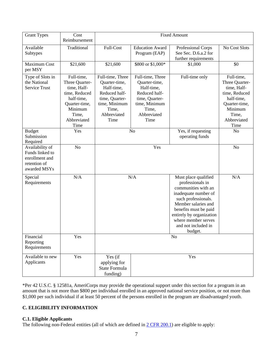| <b>Grant Types</b>                                                                   | Cost<br>Reimbursement                                                                                                                  | <b>Fixed Amount</b>                                                                                                                                                                                                                                        |                                                                                                                                     |                                                                    |                                                                                                                                        |
|--------------------------------------------------------------------------------------|----------------------------------------------------------------------------------------------------------------------------------------|------------------------------------------------------------------------------------------------------------------------------------------------------------------------------------------------------------------------------------------------------------|-------------------------------------------------------------------------------------------------------------------------------------|--------------------------------------------------------------------|----------------------------------------------------------------------------------------------------------------------------------------|
| Available<br>Subtypes                                                                | Traditional                                                                                                                            | Full-Cost                                                                                                                                                                                                                                                  | <b>Education Award</b><br>Program (EAP)                                                                                             | Professional Corps<br>See Sec. D.6.a.2 for<br>further requirements | No Cost Slots                                                                                                                          |
| <b>Maximum Cost</b><br>per MSY                                                       | \$21,600                                                                                                                               | \$21,600                                                                                                                                                                                                                                                   | \$800 or \$1,000*                                                                                                                   | \$1,000                                                            | \$0                                                                                                                                    |
| Type of Slots in<br>the National<br>Service Trust                                    | Full-time,<br>Three Quarter-<br>time, Half-<br>time, Reduced<br>half-time,<br>Quarter-time,<br>Minimum<br>Time,<br>Abbreviated<br>Time | Full-time, Three<br>Quarter-time,<br>Half-time,<br>Reduced half-<br>time, Quarter-<br>time, Minimum<br>Time,<br>Abbreviated<br>Time                                                                                                                        | Full-time, Three<br>Quarter-time,<br>Half-time,<br>Reduced half-<br>time, Quarter-<br>time, Minimum<br>Time,<br>Abbreviated<br>Time | Full-time only                                                     | Full-time,<br>Three Quarter-<br>time, Half-<br>time, Reduced<br>half-time,<br>Quarter-time,<br>Minimum<br>Time,<br>Abbreviated<br>Time |
| <b>Budget</b><br>Submission<br>Required                                              | Yes                                                                                                                                    |                                                                                                                                                                                                                                                            | No                                                                                                                                  | Yes, if requesting<br>operating funds                              | N <sub>o</sub>                                                                                                                         |
| Availability of<br>Funds linked to<br>enrollment and<br>retention of<br>awarded MSYs | N <sub>o</sub>                                                                                                                         |                                                                                                                                                                                                                                                            | Yes                                                                                                                                 |                                                                    | N <sub>o</sub>                                                                                                                         |
| Special<br>Requirements                                                              | N/A                                                                                                                                    | N/A<br>Must place qualified<br>professionals in<br>communities with an<br>inadequate number of<br>such professionals.<br>Member salaries and<br>benefits must be paid<br>entirely by organization<br>where member serves<br>and not included in<br>budget. |                                                                                                                                     | N/A                                                                |                                                                                                                                        |
| Financial<br>Reporting<br>Requirements                                               | Yes                                                                                                                                    |                                                                                                                                                                                                                                                            |                                                                                                                                     | No                                                                 |                                                                                                                                        |
| Available to new<br>Applicants                                                       | Yes                                                                                                                                    | Yes (if<br>applying for<br><b>State Formula</b><br>funding)                                                                                                                                                                                                |                                                                                                                                     | Yes                                                                |                                                                                                                                        |

\*Per 42 U.S.C. § 12581a, AmeriCorps may provide the operational support under this section for a program in an amount that is not more than \$800 per individual enrolled in an approved national service position, or not more than \$1,000 per such individual if at least 50 percent of the persons enrolled in the program are disadvantaged youth.

#### **C. ELIGIBILITY INFORMATION**

#### **C.1. Eligible Applicants**

The following non-Federal entities (all of which are defined in  $2$  CFR 200.1) are eligible to apply: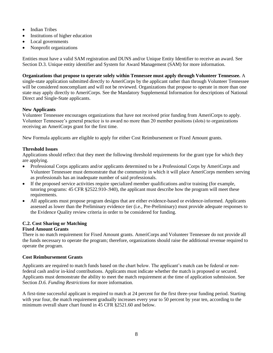- Indian Tribes
- Institutions of higher education
- Local governments
- Nonprofit organizations

Entities must have a valid SAM registration and DUNS and/or Unique Entity Identifier to receive an award. See Section D.3. Unique entity identifier and System for Award Management (SAM) for more information.

**Organizations that propose to operate solely within Tennessee must apply through Volunteer Tennessee.** A single-state application submitted directly to AmeriCorps by the applicant rather than through Volunteer Tennessee will be considered noncompliant and will not be reviewed. Organizations that propose to operate in more than one state may apply directly to AmeriCorps. See the Mandatory Supplemental Information for descriptions of National Direct and Single-State applicants.

#### **New Applicants**

Volunteer Tennessee encourages organizations that have not received prior funding from AmeriCorps to apply*.* Volunteer Tennessee's general practice is to award no more than 20 member positions (slots) to organizations receiving an AmeriCorps grant for the first time.

New Formula applicants are eligible to apply for either Cost Reimbursement or Fixed Amount grants.

#### **Threshold Issues**

Applications should reflect that they meet the following threshold requirements for the grant type for which they are applying.

- Professional Corps applicants and/or applicants determined to be a Professional Corps by AmeriCorps and Volunteer Tennessee must demonstrate that the community in which it will place AmeriCorps members serving as professionals has an inadequate number of said professionals.
- If the proposed service activities require specialized member qualifications and/or training (for example, tutoring programs: 45 CFR §2522.910-.940), the applicant must describe how the program will meet these requirements.
- All applicants must propose program designs that are either evidence-based or evidence-informed. Applicants assessed as lower than the Preliminary evidence tier (i.e., Pre-Preliminary) must provide adequate responses to the Evidence Quality review criteria in order to be considered for funding.

#### **C.2. Cost Sharing or Matching**

#### **Fixed Amount Grants**

There is no match requirement for Fixed Amount grants. AmeriCorps and Volunteer Tennessee do not provide all the funds necessary to operate the program; therefore, organizations should raise the additional revenue required to operate the program.

#### **Cost Reimbursement Grants**

Applicants are required to match funds based on the chart below. The applicant's match can be federal or nonfederal cash and/or in-kind contributions. Applicants must indicate whether the match is proposed or secured. Applicants must demonstrate the ability to meet the match requirement at the time of application submission. See Section *D.6. Funding Restrictions* for more information.

A first-time successful applicant is required to match at 24 percent for the first three-year funding period. Starting with year four, the match requirement gradually increases every year to 50 percent by year ten, according to the minimum overall share chart found in 45 CFR §2521.60 and below.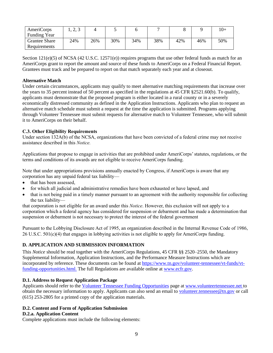| AmeriCorps           | ں وگ |     | ັ   |     |     |     |     | $10+$ |
|----------------------|------|-----|-----|-----|-----|-----|-----|-------|
| <b>Funding Year</b>  |      |     |     |     |     |     |     |       |
| <b>Grantee Share</b> | 24%  | 26% | 30% | 34% | 38% | 42% | 46% | 50%   |
| Requirements         |      |     |     |     |     |     |     |       |

Section  $121(e)(5)$  of NCSA (42 U.S.C. 12571(e)) requires programs that use other federal funds as match for an AmeriCorps grant to report the amount and source of these funds to AmeriCorps on a Federal Financial Report. Grantees must track and be prepared to report on that match separately each year and at closeout.

#### **Alternative Match**

Under certain circumstances, applicants may qualify to meet alternative matching requirements that increase over the years to 35 percent instead of 50 percent as specified in the regulations at 45 CFR §2521.60(b). To qualify, applicants must demonstrate that the proposed program is either located in a rural county or in a severely economically distressed community as defined in the Application Instructions. Applicants who plan to request an alternative match schedule must submit a request at the time the application is submitted. Programs applying through Volunteer Tennessee must submit requests for alternative match to Volunteer Tennessee, who will submit it to AmeriCorps on their behalf.

#### **C.3. Other Eligibility Requirements**

Under section 132A(b) of the NCSA, organizations that have been convicted of a federal crime may not receive assistance described in this *Notice.* 

Applications that propose to engage in activities that are prohibited under AmeriCorps'statutes, regulations, or the terms and conditions of its awards are not eligible to receive AmeriCorps funding.

Note that under appropriations provisions annually enacted by Congress, if AmeriCorps is aware that any corporation has any unpaid federal tax liability—

- that has been assessed,
- for which all judicial and administrative remedies have been exhausted or have lapsed, and
- that is not being paid in a timely manner pursuant to an agreement with the authority responsible for collecting the tax liability—

that corporation is not eligible for an award under this *Notice*. However, this exclusion will not apply to a corporation which a federal agency has considered for suspension or debarment and has made a determination that suspension or debarment is not necessary to protect the interest of the federal government

Pursuant to the Lobbying Disclosure Act of 1995, an organization described in the Internal Revenue Code of 1986, 26 U.S.C. 501(c)(4) that engages in lobbying activities is not eligible to apply for AmeriCorps funding.

#### **D. APPLICATION AND SUBMISSION INFORMATION**

This *Notice* should be read together with the AmeriCorps Regulations, 45 CFR §§ 2520–2550, the Mandatory Supplemental Information, Application Instructions, and the Performance Measure Instructions which are incorporated by reference. These documents can be found at [https://www.tn.gov/volunteer-tennessee/vt-funds/vt](https://www.tn.gov/volunteer-tennessee/vt-funds/vt-funding-opportunities.html)[funding-opportunities.html.](https://www.tn.gov/volunteer-tennessee/vt-funds/vt-funding-opportunities.html) The full Regulations are available online at [www.ecfr.gov.](http://www.ecfr.gov/)

#### **D.1. Address to Request Application Package**

Applicants should refer to the [Volunteer Tennessee Funding Opportunities](https://www.tn.gov/volunteer-tennessee/vt-funds.html) page at [www.volunteertennessee.net](http://www.volunteertennessee.net/) to obtain the necessary information to apply. Applicants can also send an email to [volunteer.tennessee@tn.gov](mailto:volunteer.tennessee@tn.gov) or call (615) 253-2805 for a printed copy of the application materials.

#### **D.2. Content and Form of Application Submission**

#### **D.2.a. Application Content**

Complete applications must include the following elements: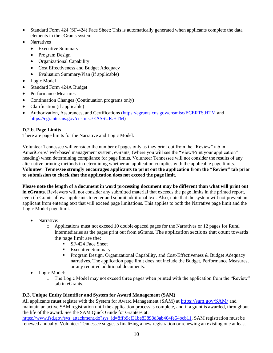- Standard Form 424 (SF-424) Face Sheet: This is automatically generated when applicants complete the data elements in the eGrants system
- **Narratives** 
	- Executive Summary
	- Program Design
	- Organizational Capability
	- Cost Effectiveness and Budget Adequacy
	- Evaluation Summary/Plan (if applicable)
- Logic Model
- Standard Form 424A Budget
- Performance Measures
- Continuation Changes (Continuation programs only)
- Clarification (if applicable)
- Authorization, Assurances, and Certifications [\(https://egrants.cns.gov/cnsmisc/ECERTS.HTM](https://egrants.cns.gov/cnsmisc/ECERTS.HTM) and [https://egrants.cns.gov/cnsmisc/EASSUR.HTM\)](https://egrants.cns.gov/cnsmisc/EASSUR.HTM)

#### **D.2.b. Page Limits**

There are page limits for the Narrative and Logic Model.

Volunteer Tennessee will consider the number of pages only as they print out from the "Review" tab in AmeriCorps' web-based management system, eGrants, (where you will see the "View/Print your application" heading) when determining compliance for page limits. Volunteer Tennessee will not consider the results of any alternative printing methods in determining whether an application complies with the applicable page limits. **Volunteer Tennessee strongly encourages applicants to print out the application from the "Review" tab prior to submission to check that the application does not exceed the page limit.** 

**Please note the length of a document in word processing document may be different than what will print out in eGrants.** Reviewers will not consider any submitted material that exceeds the page limits in the printed report, even if eGrants allows applicants to enter and submit additional text. Also, note that the system will not prevent an applicant from entering text that will exceed page limitations. This applies to both the Narrative page limit and the Logic Model page limit.

- Narrative:
	- o Applications must not exceed 10 double-spaced pages for the Narratives or 12 pages for Rural Intermediaries as the pages print out from eGrants. The application sections that count towards the page limit are the:
		- SF-424 Face Sheet
		- Executive Summary
		- **•** Program Design, Organizational Capability, and Cost-Effectiveness & Budget Adequacy narratives. The application page limit does not include the Budget, Performance Measures, or any required additional documents.
- Logic Model:
	- o The Logic Model may not exceed three pages when printed with the application from the "Review" tab in eGrants.

#### **D.3. Unique Entity Identifier and System for Award Management (SAM)**

All applicants **must** register with the System for Award Management (SAM) at <https://sam.gov/SAM/> and maintain an active SAM registration until the application process is complete, and if a grant is awarded, throughout the life of the award. See the SAM Quick Guide for Grantees at:

https://www.fsd.gov/sys\_attachment.do?sys\_id[=8ffb9cf31be83898d3ab404fe54bcb11.](https://www.fsd.gov/sys_attachment.do?sys_id=8ffb9cf31be83898d3ab404fe54bcb11) SAM registration must be renewed annually. Volunteer Tennessee suggests finalizing a new registration or renewing an existing one at least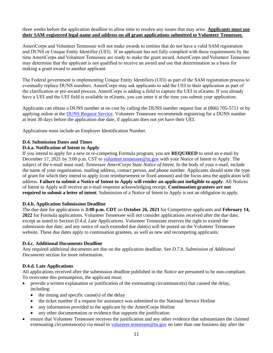three weeks before the application deadline to allow time to resolve any issues that may arise. **Applicants must use their SAM-registered legal name and address on all grant applications submitted to Volunteer Tennessee.**

AmeriCorps and Volunteer Tennessee will not make awards to entities that do not have a valid SAM registration and DUNS or Unique Entity Identifier (UEI). If an applicant has not fully complied with these requirements by the time AmeriCorps and Volunteer Tennessee are ready to make the grant award, AmeriCorps and Volunteer Tennessee may determine that the applicant is not qualified to receive an award and use that determination as a basis for making a grant award to another applicant.

The Federal government is implementing Unique Entity Identifiers (UEI) as part of the SAM registration process to eventually replace DUNS numbers. AmeriCorps may ask applicants to add the UEI to their application as part of the clarification or pre-award process. AmeriCorps is adding a field to capture the UEI in eGrants. If you already have a UEI and the UEI field is available in eGrants, you can enter it at the time you submit your application.

Applicants can obtain a DUNS number at no cost by calling the DUNS number request line at (866) 705-5711 or by applying online at the [DUNS Request Service.](https://fedgov.dnb.com/webform/) Volunteer Tennessee recommends registering for a DUNS number at least 30 days before the application due date, if applicant does not yet have their UEI.

Applications must include an Employer Identification Number.

#### **D.4. Submission Dates and Times**

#### **D.4.a. Notification of Intent to Apply**

If you intend to apply for a new or re-competing Formula program, you are **REQUIRED** to send an e-mail by December 17, 2021 by 3:00 p.m. CST to [volunteer.tennessee@tn.gov](mailto:volunteer.tennessee@tn.gov) with your Notice of Intent to Apply. The subject of the e-mail must read: *Tennessee AmeriCorps State Notice of Intent*. In the body of your e-mail, include the name of your organization, mailing address, contact person, and phone number. Applicants should state the type of grant for which they intend to apply (cost reimbursement or fixed amount) and the focus area the application will address. **Failure to submit a Notice of Intent to Apply will render an applicant ineligible to apply**. All Notices of Intent to Apply will receive an e-mail response acknowledging receipt. **Continuation grantees are not required to submit a letter of intent**. Submission of a Notice of Intent to Apply is not an obligation to apply.

#### **D.4.b. Application Submission Deadline**

The due date for applications is **3:00 p.m. CDT** on **October 26, 2021** for Competitive applicants and **February 14, 2022** for Formula applications. Volunteer Tennessee will not consider applications received after the due date, except as noted in Section *D.4.d. Late Applications*. Volunteer Tennessee reserves the right to extend the submission due date, and any notice of such extended due date(s) will be posted on the Volunteer Tennessee website. These due dates apply to continuation grantees, as well as new and recompeting applicants.

#### **D.4.c. Additional Documents Deadline**

Any required additional documents are due on the application deadline. See *D.7.b. Submission of Additional Documents* section for more information.

#### **D.4.d. Late Applications**

All applications received after the submission deadline published in the *Notice* are presumed to be non-compliant. To overcome this presumption, the applicant must:

- provide a written explanation or justification of the extenuating circumstance(s) that caused the delay, including:
	- $\bullet$  the timing and specific cause(s) of the delay
	- the ticket number if a request for assistance was submitted to the National Service Hotline
	- any information provided to the applicant by the AmeriCorps Hotline
	- any other documentation or evidence that supports the justification
- ensure that Volunteer Tennessee receives the justification and any other evidence that substantiates the claimed extenuating circumstance(s) via email to [volunteer.tennessee@tn.gov](mailto:volunteer.tennessee@tn.gov) no later than one business day after the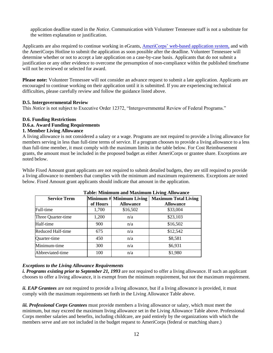application deadline stated in the *Notice*. Communication with Volunteer Tennessee staff is not a substitute for the written explanation or justification.

Applicants are also required to continue working in eGrants, AmeriCorps' [web-based application system,](https://egrants.cns.gov/espan/main/login.jsp) and with the AmeriCorps Hotline to submit the application as soon possible after the deadline. Volunteer Tennessee will determine whether or not to accept a late application on a case-by-case basis. Applicants that do not submit a justification or any other evidence to overcome the presumption of non-compliance within the published timeframe will not be reviewed or selected for award.

**Please note:** Volunteer Tennessee will not consider an advance request to submit a late application. Applicants are encouraged to continue working on their application until it is submitted. If you are experiencing technical difficulties, please carefully review and follow the guidance listed above.

#### **D.5. Intergovernmental Review**

This *Notice* is not subject to Executive Order 12372, "Intergovernmental Review of Federal Programs."

#### **D.6. Funding Restrictions**

#### **D.6.a. Award Funding Requirements**

#### **1. Member Living Allowance**

A living allowance is not considered a salary or a wage. Programs are not required to provide a living allowance for members serving in less than full-time terms of service. If a program chooses to provide a living allowance to a less than full-time member, it must comply with the maximum limits in the table below. For Cost Reimbursement grants, the amount must be included in the proposed budget as either AmeriCorps or grantee share. Exceptions are noted below.

While Fixed Amount grant applicants are not required to submit detailed budgets, they are still required to provide a living allowance to members that complies with the minimum and maximum requirements. Exceptions are noted below. Fixed Amount grant applicants should indicate that amount in the application.

| <b>Service Term</b> | of Hours | Minimum $#$ Minimum Living<br><b>Allowance</b> | <b>Maximum Total Living</b><br><b>Allowance</b> |
|---------------------|----------|------------------------------------------------|-------------------------------------------------|
| Full-time           | 1,700    | \$16,502                                       | \$33,004                                        |
| Three Quarter-time  | 1,200    | n/a                                            | \$23,103                                        |
| Half-time           | 900      | n/a                                            | \$16,502                                        |
| Reduced Half-time   | 675      | n/a                                            | \$12,542                                        |
| Quarter-time        | 450      | n/a                                            | \$8,581                                         |
| Minimum-time        | 300      | n/a                                            | \$6,931                                         |
| Abbreviated-time    | 100      | n/a                                            | \$1,980                                         |

#### **Table: Minimum and Maximum Living Allowance**

#### *Exceptions to the Living Allowance Requirements*

*i. Programs existing prior to September 21, 1993* are not required to offer a living allowance. If such an applicant chooses to offer a living allowance, it is exempt from the minimum requirement, but not the maximum requirement.

*ii. EAP Grantees* are not required to provide a living allowance, but if a living allowance is provided, it must comply with the maximum requirements set forth in the Living Allowance Table above.

*iii. Professional Corps Grantees* must provide members a living allowance or salary, which must meet the minimum, but may exceed the maximum living allowance set in the Living Allowance Table above. Professional Corps member salaries and benefits, including childcare, are paid entirely by the organizations with which the members serve and are not included in the budget request to AmeriCorps (federal or matching share.)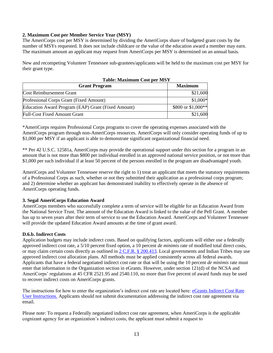#### **2. Maximum Cost per Member Service Year (MSY)**

The AmeriCorps cost per MSY is determined by dividing the AmeriCorps share of budgeted grant costs by the number of MSYs requested. It does not include childcare or the value of the education award a member may earn. The maximum amount an applicant may request from AmeriCorps per MSY is determined on an annual basis.

New and recompeting Volunteer Tennessee sub-grantees/applicants will be held to the maximum cost per MSY for their grant type.

| <b>Table: Maximum Cost per MSY</b>                 |                    |  |
|----------------------------------------------------|--------------------|--|
| <b>Grant Program</b>                               | <b>Maximum</b>     |  |
| <b>Cost Reimbursement Grant</b>                    | \$21,600           |  |
| Professional Corps Grant (Fixed Amount)            | $$1,000*$          |  |
| Education Award Program (EAP) Grant (Fixed Amount) | \$800 or \$1,000** |  |
| <b>Full-Cost Fixed Amount Grant</b>                | \$21,600           |  |

\*AmeriCorps requires Professional Corps programs to cover the operating expenses associated with the AmeriCorps program through non-AmeriCorps resources. AmeriCorps will only consider operating funds of up to \$1,000 per MSY if an applicant is able to demonstrate significant organizational financial need.

\*\* Per 42 U.S.C. 12581a, AmeriCorps may provide the operational support under this section for a program in an amount that is not more than \$800 per individual enrolled in an approved national service position, or not more than \$1,000 per such individual if at least 50 percent of the persons enrolled in the program are disadvantaged youth.

AmeriCorps and Volunteer Tennessee reserve the right to 1) treat an applicant that meets the statutory requirements of a Professional Corps as such, whether or not they submitted their application as a professional corps program; and 2) determine whether an applicant has demonstrated inability to effectively operate in the absence of AmeriCorps operating funds.

#### **3. Segal AmeriCorps Education Award**

AmeriCorps members who successfully complete a term of service will be eligible for an Education Award from the National Service Trust. The amount of the Education Award is linked to the value of the Pell Grant. A member has up to seven years after their term of service to use the Education Award. AmeriCorps and Volunteer Tennessee will provide the updated Education Award amounts at the time of grant award.

#### **D.6.b. Indirect Costs**

Application budgets may include indirect costs. Based on qualifying factors, applicants will either use a federally approved indirect cost rate, a 5/10 percent fixed option, a 10 percent *de minimis* rate of modified total direct costs, or may claim certain costs directly as outlined in 2 C.F.R. [§ 200.413.](http://www.ecfr.gov/cgi-bin/text-idx?SID=74a79d9a3a38ee2ca26d377daeacebb7&mc=true&node=se2.1.200_1413&rgn=div8) Local governments and Indian Tribes may use approved indirect cost allocation plans. All methods must be applied consistently across all federal awards. Applicants that have a federal negotiated indirect cost rate or that will be using the 10 percent *de minimis* rate must enter that information in the Organization section in eGrants. However, under section 121(d) of the NCSA and AmeriCorps' regulations at 45 CFR 2521.95 and 2540.110, no more than five percent of award funds may be used to recover indirect costs on AmeriCorps grants.

The instructions for how to enter the organization's indirect cost rate are located here: eGrants [Indirect Cost Rate](https://americorps.gov/sites/default/files/document/eGrants%20Indirect%20Cost%20Rate%20Instructions%20FINAL_20210519%20Update.pdf)  [User Instructions.](https://americorps.gov/sites/default/files/document/eGrants%20Indirect%20Cost%20Rate%20Instructions%20FINAL_20210519%20Update.pdf) Applicants should not submit documentation addressing the indirect cost rate agreement via email.

Please note: To request a Federally negotiated indirect cost rate agreement, when AmeriCorps is the applicable cognizant agency for an organization's indirect costs, the applicant must submit a request to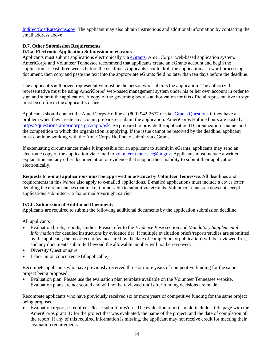[IndirectCostRate@cns.gov.](mailto:IndirectCostRate@cns.gov) The applicant may also obtain instructions and additional information by contacting the email address above.

#### **D.7. Other Submission Requirements**

#### **D.7.a. Electronic Application Submission in eGrants**

Applicants must submit applications electronically via [eGrants,](https://egrants.cns.gov/espan/main/login.jsp) AmeriCorps' [web-based application system.](https://egrants.cns.gov/espan/main/login.jsp) AmeriCorps and Volunteer Tennessee recommend that applicants create an eGrants account and begin the application at least three weeks before the deadline. Applicants should draft the application as a word processing document, then copy and paste the text into the appropriate eGrants field no later than ten days before the deadline.

The applicant's authorized representative must be the person who submits the application. The authorized representative must be using AmeriCorps' web-based management system under his or her own account in order to sign and submit the application. A copy of the governing body's authorization for this official representative to sign must be on file in the applicant's office.

Applicants should contact the AmeriCorps Hotline at (800) 942-2677 or vi[a eGrants Questions](https://questions.nationalservice.gov/app/ask) if they have a problem when they create an account, prepare, or submit the application. AmeriCorps Hotline hours are posted at <https://questions.americorps.gov/app/ask>. Be prepared to provide the application ID, organization's name, and the competition to which the organization is applying. If the issue cannot be resolved by the deadline, applicant must continue working with the AmeriCorps Hotline to submit via eGrants.

If extenuating circumstances make it impossible for an applicant to submit in eGrants, applicants may send an electronic copy of the application via e-mail to volunteer.tennessee  $@$ tn.gov. Applicants must include a written explanation and any other documentation or evidence that support their inability to submit their application electronically.

**Requests to e-mail applications must be approved in advance by Volunteer Tennessee**. All deadlines and requirements in this *Notice* also apply to e-mailed applications**.** E-mailed applications must include a cover letter detailing the circumstances that make it impossible to submit via eGrants. Volunteer Tennessee does not accept applications submitted via fax or mail/overnight carrier.

#### **D.7.b. Submission of Additional Documents**

Applicants are required to submit the following additional documents by the application submission deadline:

All applicants

- Evaluation briefs, reports, studies. Please refer to the *Evidence Base* section and *Mandatory Supplemental Information* for detailed instructions by evidence tier. If multiple evaluation briefs/reports/studies are submitted by the applicant, the most recent (as measured by the date of completion or publication) will be reviewed first, and any documents submitted beyond the allowable number will not be reviewed.
- Diversity Questionnaire
- Labor union concurrence (if applicable)

Recompete applicants who have previously received three or more years of competitive funding for the same project being proposed:

• Evaluation plan. Please use the evaluation plan template available on the Volunteer Tennessee website. Evaluation plans are not scored and will not be reviewed until after funding decisions are made.

Recompete applicants who have previously received six or more years of competitive funding for the same project being proposed:

• Evaluation report, if required. Please submit in Word. The evaluation report should include a title page with the AmeriCorps grant ID for the project that was evaluated, the name of the project, and the date of completion of the report. If any of this required information is missing, the applicant may not receive credit for meeting their evaluation requirements.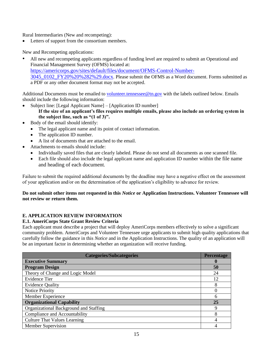Rural Intermediaries (New and recompeting):

• Letters of support from the consortium members.

New and Recompeting applications:

• All new and recompeting applicants regardless of funding level are required to submit an Operational and Financial Management Survey (OFMS) located at: [https://americorps.gov/sites/default/files/document/OFMS-Control-Number-](https://americorps.gov/sites/default/files/document/OFMS-Control-Number-3045_0102_FY20%20%282%29.docx)[3045\\_0102\\_FY20%20%282%29.docx](https://americorps.gov/sites/default/files/document/OFMS-Control-Number-3045_0102_FY20%20%282%29.docx). Please submit the OFMS as a Word document. Forms submitted as a PDF or any other document format may not be accepted.

Additional Documents must be emailed to [volunteer.tennessee@tn.gov](mailto:volunteer.tennessee@tn.gov) with the labels outlined below. Emails should include the following information:

- Subject line: [Legal Applicant Name] [Application ID number] **If the size of an applicant's files requires multiple emails, please also include an ordering system in the subject line, such as "(1 of 3)".**
- Body of the email should identify:
	- The legal applicant name and its point of contact information.
	- The application ID number.
	- A list of documents that are attached to the email.
- Attachments to emails should include:
	- Individually saved files that are clearly labeled. Please do not send all documents as one scanned file.
	- Each file should also include the legal applicant name and application ID number within the file name and heading of each document.

Failure to submit the required additional documents by the deadline may have a negative effect on the assessment of your application and/or on the determination of the application's eligibility to advance for review.

#### **Do not submit other items not requested in this** *Notice* **or Application Instructions. Volunteer Tennessee will not review or return them.**

### **E. APPLICATION REVIEW INFORMATION**

#### **E.1. AmeriCorps State Grant Review Criteria**

Each applicant must describe a project that will deploy AmeriCorps members effectively to solve a significant community problem. AmeriCorps and Volunteer Tennessee urge applicants to submit high quality applications that carefully follow the guidance in this *Notice* and in the Application Instructions. The quality of an application will be an important factor in determining whether an organization will receive funding.

| <b>Categories/Subcategories</b>        | <b>Percentage</b> |  |  |
|----------------------------------------|-------------------|--|--|
| <b>Executive Summary</b>               |                   |  |  |
| <b>Program Design</b>                  | 50                |  |  |
| Theory of Change and Logic Model       | 24                |  |  |
| <b>Evidence Tier</b>                   | 12                |  |  |
| <b>Evidence Quality</b>                | 8                 |  |  |
| <b>Notice Priority</b>                 |                   |  |  |
| Member Experience                      | 6                 |  |  |
| <b>Organizational Capability</b>       | 25                |  |  |
| Organizational Background and Staffing |                   |  |  |
| Compliance and Accountability          |                   |  |  |
| <b>Culture That Values Learning</b>    |                   |  |  |
| Member Supervision                     |                   |  |  |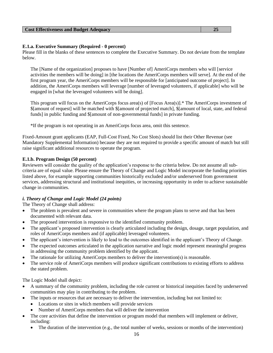#### **Cost Effectiveness and Budget Adequacy** 25

#### **E.1.a. Executive Summary (Required - 0 percent)**

Please fill in the blanks of these sentences to complete the Executive Summary. Do not deviate from the template below.

The [Name of the organization] proposes to have [Number of] AmeriCorps members who will [service activities the members will be doing] in [the locations the AmeriCorps members will serve]. At the end of the first program year, the AmeriCorps members will be responsible for [anticipated outcome of project]. In addition, the AmeriCorps members will leverage [number of leveraged volunteers, if applicable] who will be engaged in [what the leveraged volunteers will be doing].

This program will focus on the AmeriCorps focus area(s) of [Focus Area(s)].\* The AmeriCorps investment of \$[amount of request] will be matched with \$[amount of projected match], \$[amount of local, state, and federal funds] in public funding and \$[amount of non-governmental funds] in private funding.

\*If the program is not operating in an AmeriCorps focus area, omit this sentence.

Fixed-Amount grant applicants (EAP, Full-Cost Fixed, No Cost Slots) should list their Other Revenue (see Mandatory Supplemental Information) because they are not required to provide a specific amount of match but still raise significant additional resources to operate the program.

#### **E.1.b. Program Design (50 percent)**

Reviewers will consider the quality of the application's response to the criteria below. Do not assume all subcriteria are of equal value. Please ensure the Theory of Change and Logic Model incorporate the funding priorities listed above, for example supporting communities historically excluded and/or underserved from government services, addressing structural and institutional inequities, or increasing opportunity in order to achieve sustainable change in communities.

#### *i. Theory of Change and Logic Model (24 points)*

The Theory of Change shall address:

- The problem is prevalent and severe in communities where the program plans to serve and that has been documented with relevant data.
- The proposed intervention is responsive to the identified community problem.
- The applicant's proposed intervention is clearly articulated including the design, dosage, target population, and roles of AmeriCorps members and (if applicable) leveraged volunteers.
- The applicant's intervention is likely to lead to the outcomes identified in the applicant's Theory of Change.
- The expected outcomes articulated in the application narrative and logic model represent meaningful progress in addressing the community problem identified by the applicant.
- The rationale for utilizing AmeriCorps members to deliver the intervention(s) is reasonable.
- The service role of AmeriCorps members will produce significant contributions to existing efforts to address the stated problem.

The Logic Model shall depict:

- A summary of the community problem, including the role current or historical inequities faced by underserved communities may play in contributing to the problem.
- The inputs or resources that are necessary to deliver the intervention, including but not limited to:
	- Locations or sites in which members will provide services
	- Number of AmeriCorps members that will deliver the intervention
- The core activities that define the intervention or program model that members will implement or deliver, including:
	- The duration of the intervention (e.g., the total number of weeks, sessions or months of the intervention)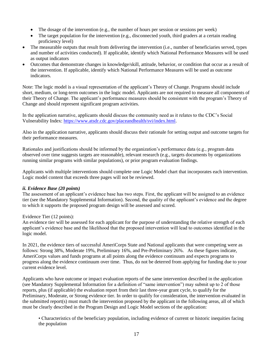- The dosage of the intervention (e.g., the number of hours per session or sessions per week)
- The target population for the intervention (e.g., disconnected youth, third graders at a certain reading proficiency level)
- The measurable outputs that result from delivering the intervention (i.e., number of beneficiaries served, types and number of activities conducted). If applicable, identify which National Performance Measures will be used as output indicators
- Outcomes that demonstrate changes in knowledge/skill, attitude, behavior, or condition that occur as a result of the intervention. If applicable, identify which National Performance Measures will be used as outcome indicators.

Note: The logic model is a visual representation of the applicant's Theory of Change. Programs should include short, medium, or long-term outcomes in the logic model. Applicants are not required to measure all components of their Theory of Change. The applicant's performance measures should be consistent with the program's Theory of Change and should represent significant program activities.

In the application narrative, applicants should discuss the community need as it relates to the CDC's Social Vulnerability Index: [https://www.atsdr.cdc.gov/placeandhealth/svi/index.html.](https://www.atsdr.cdc.gov/placeandhealth/svi/index.html)

Also in the application narrative, applicants should discuss their rationale for setting output and outcome targets for their performance measures.

Rationales and justifications should be informed by the organization's performance data (e.g., program data observed over time suggests targets are reasonable), relevant research (e.g., targets documents by organizations running similar programs with similar populations), or prior program evaluation findings.

Applicants with multiple interventions should complete one Logic Model chart that incorporates each intervention. Logic model content that exceeds three pages will not be reviewed.

#### *ii. Evidence Base (20 points)*

The assessment of an applicant's evidence base has two steps. First, the applicant will be assigned to an evidence tier (see the Mandatory Supplemental Information). Second, the quality of the applicant's evidence and the degree to which it supports the proposed program design will be assessed and scored.

#### Evidence Tier (12 points):

An evidence tier will be assessed for each applicant for the purpose of understanding the relative strength of each applicant's evidence base and the likelihood that the proposed intervention will lead to outcomes identified in the logic model.

In 2021, the evidence tiers of successful AmeriCorps State and National applicants that were competing were as follows: Strong 38%, Moderate 19%, Preliminary 16%, and Pre-Preliminary 26%. As these figures indicate, AmeriCorps values and funds programs at all points along the evidence continuum and expects programs to progress along the evidence continuum over time. Thus, do not be deterred from applying for funding due to your current evidence level.

Applicants who have outcome or impact evaluation reports of the same intervention described in the application (see Mandatory Supplemental Information for a definition of "same intervention") may submit up to 2 of those reports, plus (if applicable) the evaluation report from their last three-year grant cycle, to qualify for the Preliminary, Moderate, or Strong evidence tier. In order to qualify for consideration, the intervention evaluated in the submitted report(s) must match the intervention proposed by the applicant in the following areas, all of which must be clearly described in the Program Design and Logic Model sections of the application:

• Characteristics of the beneficiary population, including evidence of current or historic inequities facing the population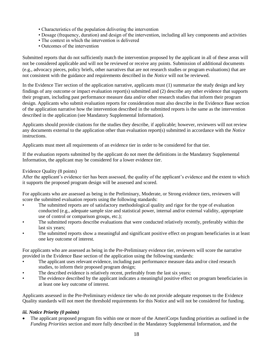- Characteristics of the population delivering the intervention
- Dosage (frequency, duration) and design of the intervention, including all key components and activities
- The context in which the intervention is delivered
- Outcomes of the intervention

Submitted reports that do not sufficiently match the intervention proposed by the applicant in all of these areas will not be considered applicable and will not be reviewed or receive any points. Submission of additional documents (e.g., advocacy pieces, policy briefs, other narratives that are not research studies or program evaluations) that are not consistent with the guidance and requirements described in the *Notice* will not be reviewed.

In the Evidence Tier section of the application narrative, applicants must (1) summarize the study design and key findings of any outcome or impact evaluation report(s) submitted and (2) describe any other evidence that supports their program, including past performance measure data and/or other research studies that inform their program design. Applicants who submit evaluation reports for consideration must also describe in the Evidence Base section of the application narrative how the intervention described in the submitted reports is the same as the intervention described in the application (see Mandatory Supplemental Information).

Applicants should provide citations for the studies they describe, if applicable; however, reviewers will not review any documents external to the application other than evaluation report(s) submitted in accordance with the *Notice* instructions.

Applicants must meet all requirements of an evidence tier in order to be considered for that tier.

If the evaluation reports submitted by the applicant do not meet the definitions in the Mandatory Supplemental Information, the applicant may be considered for a lower evidence tier.

#### Evidence Quality (8 points)

After the applicant's evidence tier has been assessed, the quality of the applicant's evidence and the extent to which it supports the proposed program design will be assessed and scored.

For applicants who are assessed as being in the Preliminary, Moderate, or Strong evidence tiers, reviewers will score the submitted evaluation reports using the following standards:

- The submitted reports are of satisfactory methodological quality and rigor for the type of evaluation conducted (e.g., adequate sample size and statistical power, internal and/or external validity, appropriate use of control or comparison groups, etc.);
- The submitted reports describe evaluations that were conducted relatively recently, preferably within the last six years;
- The submitted reports show a meaningful and significant positive effect on program beneficiaries in at least one key outcome of interest.

For applicants who are assessed as being in the Pre-Preliminary evidence tier, reviewers will score the narrative provided in the Evidence Base section of the application using the following standards:

- The applicant uses relevant evidence, including past performance measure data and/or cited research studies, to inform their proposed program design;
- The described evidence is relatively recent, preferably from the last six years;
- The evidence described by the applicant indicates a meaningful positive effect on program beneficiaries in at least one key outcome of interest.

Applicants assessed in the Pre-Preliminary evidence tier who do not provide adequate responses to the Evidence Quality standards will not meet the threshold requirements for this Notice and will not be considered for funding.

#### *iii. Notice Priority (0 points)*

• The applicant proposed program fits within one or more of the AmeriCorps funding priorities as outlined in the *Funding Priorities* section and more fully described in the Mandatory Supplemental Information, and the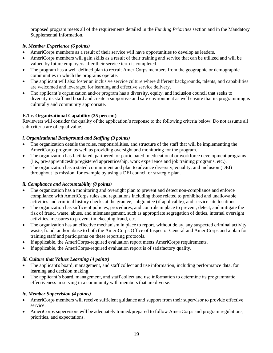proposed program meets all of the requirements detailed in the *Funding Priorities* section and in the Mandatory Supplemental Information.

#### *iv. Member Experience (6 points)*

- AmeriCorps members as a result of their service will have opportunities to develop as leaders.
- AmeriCorps members will gain skills as a result of their training and service that can be utilized and will be valued by future employers after their service term is completed.
- The program has a well-defined plan to recruit AmeriCorps members from the geographic or demographic communities in which the programs operate.
- The applicant will also foster an inclusive service culture where different backgrounds, talents, and capabilities are welcomed and leveraged for learning and effective service delivery.
- The applicant's organization and/or program has a diversity, equity, and inclusion council that seeks to diversity its staff and board and create a supportive and safe environment as well ensure that its programming is culturally and community appropriate.

#### **E.1.c. Organizational Capability (25 percent)**

Reviewers will consider the quality of the application's response to the following criteria below. Do not assume all sub-criteria are of equal value.

#### *i. Organizational Background and Staffing (9 points)*

- The organization details the roles, responsibilities, and structure of the staff that will be implementing the AmeriCorps program as well as providing oversight and monitoring for the program.
- The organization has facilitated, partnered, or participated in educational or workforce development programs (i.e., pre-apprenticeship/registered apprenticeship, work experience and job training programs, etc.).
- The organization has a stated commitment and plan to advance diversity, equality, and inclusion (DEI) throughout its mission, for example by using a DEI council or strategic plan.

#### *ii. Compliance and Accountability (8 points)*

- The organization has a monitoring and oversight plan to prevent and detect non-compliance and enforce compliance with AmeriCorps rules and regulations including those related to prohibited and unallowable activities and criminal history checks at the grantee, subgrantee (if applicable), and service site locations.
- The organization has sufficient policies, procedures, and controls in place to prevent, detect, and mitigate the risk of fraud, waste, abuse, and mismanagement, such as appropriate segregation of duties, internal oversight activities, measures to prevent timekeeping fraud, etc.
- The organization has an effective mechanism in place to report, without delay, any suspected criminal activity, waste, fraud, and/or abuse to both the AmeriCorps Office of Inspector General and AmeriCorps and a plan for training staff and participants on these reporting protocols.
- If applicable, the AmeriCorps-required evaluation report meets AmeriCorps requirements.
- If applicable, the AmeriCorps-required evaluation report is of satisfactory quality.

#### *iii. Culture that Values Learning (4 points)*

- The applicant's board, management, and staff collect and use information, including performance data, for learning and decision making.
- The applicant's board, management, and staff collect and use information to determine its programmatic effectiveness in serving in a community with members that are diverse.

#### *iv. Member Supervision (4 points)*

- AmeriCorps members will receive sufficient guidance and support from their supervisor to provide effective service.
- AmeriCorps supervisors will be adequately trained/prepared to follow AmeriCorps and program regulations, priorities, and expectations.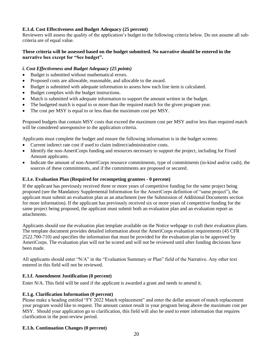#### **E.1.d. Cost Effectiveness and Budget Adequacy (25 percent)**

Reviewers will assess the quality of the application's budget to the following criteria below. Do not assume all subcriteria are of equal value.

#### **These criteria will be assessed based on the budget submitted. No narrative should be entered in the narrative box except for "See budget".**

#### *i. Cost Effectiveness and Budget Adequacy (25 points)*

- Budget is submitted without mathematical errors.
- Proposed costs are allowable, reasonable, and allocable to the award.
- Budget is submitted with adequate information to assess how each line item is calculated.
- Budget complies with the budget instructions.
- Match is submitted with adequate information to support the amount written in the budget.
- The budgeted match is equal to or more than the required match for the given program year.
- The cost per MSY is equal to or less than the maximum cost per MSY.

Proposed budgets that contain MSY costs that exceed the maximum cost per MSY and/or less than required match will be considered unresponsive to the application criteria.

Applicants must complete the budget and ensure the following information is in the budget screens:

- Current indirect rate cost if used to claim indirect/administrative costs.
- Identify the non-AmeriCorps funding and resources necessary to support the project, including for Fixed Amount applicants.
- Indicate the amount of non-AmeriCorps resource commitments, type of commitments (in-kind and/or cash), the sources of these commitments, and if the commitments are proposed or secured.

#### **E.1.e. Evaluation Plan (Required for recompeting grantees - 0 percent)**

If the applicant has previously received three or more years of competitive funding for the same project being proposed (see the Mandatory Supplemental Information for the AmeriCorps definition of "same project"), the applicant must submit an evaluation plan as an attachment (see the Submission of Additional Documents section for more information). If the applicant has previously received six or more years of competitive funding for the same project being proposed, the applicant must submit both an evaluation plan and an evaluation report as attachments.

Applicants should use the evaluation plan template available on the Notice webpage to craft their evaluation plans. The template document provides detailed information about the AmeriCorps evaluation requirements (45 CFR 2522.700-710) and specifies the information that must be provided for the evaluation plan to be approved by AmeriCorps. The evaluation plan will not be scored and will not be reviewed until after funding decisions have been made.

All applicants should enter "N/A" in the "Evaluation Summary or Plan" field of the Narrative. Any other text entered in this field will not be reviewed.

#### **E.1.f. Amendment Justification (0 percent)**

Enter N/A. This field will be used if the applicant is awarded a grant and needs to amend it.

#### **E.1.g. Clarification Information (0 percent)**

Please make a heading entitled "FY 2022 Match replacement" and enter the dollar amount of match replacement your program would like to request. The amount cannot result in your program being above the maximum cost per MSY. Should your application go to clarification, this field will also be used to enter information that requires clarification in the post-review period.

#### **E.1.h. Continuation Changes (0 percent)**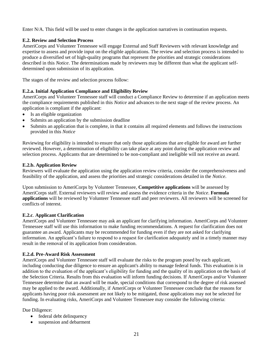Enter N/A. This field will be used to enter changes in the application narratives in continuation requests.

#### **E.2. Review and Selection Process**

AmeriCorps and Volunteer Tennessee will engage External and Staff Reviewers with relevant knowledge and expertise to assess and provide input on the eligible applications. The review and selection process is intended to produce a diversified set of high-quality programs that represent the priorities and strategic considerations described in this *Notice*. The determinations made by reviewers may be different than what the applicant selfdetermined upon submission of its application.

The stages of the review and selection process follow:

#### **E.2.a. Initial Application Compliance and Eligibility Review**

AmeriCorps and Volunteer Tennessee staff will conduct a Compliance Review to determine if an application meets the compliance requirements published in this *Notice* and advances to the next stage of the review process. An application is compliant if the applicant:

- Is an eligible organization
- Submits an application by the submission deadline
- Submits an application that is complete, in that it contains all required elements and follows the instructions provided in this *Notice*

Reviewing for eligibility is intended to ensure that only those applications that are eligible for award are further reviewed. However, a determination of eligibility can take place at any point during the application review and selection process. Applicants that are determined to be non-compliant and ineligible will not receive an award.

#### **E.2.b. Application Review**

Reviewers will evaluate the application using the application review criteria, consider the comprehensiveness and feasibility of the application, and assess the priorities and strategic considerations detailed in the *Notice*.

Upon submission to AmeriCorps by Volunteer Tennessee, **Competitive applications** will be assessed by AmeriCorps staff. External reviewers will review and assess the evidence criteria in the *Notice*. **Formula applications** will be reviewed by Volunteer Tennessee staff and peer reviewers. All reviewers will be screened for conflicts of interest.

#### **E.2.c**. **Applicant Clarification**

AmeriCorps and Volunteer Tennessee may ask an applicant for clarifying information. AmeriCorps and Volunteer Tennessee staff will use this information to make funding recommendations. A request for clarification does not guarantee an award. Applicants may be recommended for funding even if they are not asked for clarifying information. An applicant's failure to respond to a request for clarification adequately and in a timely manner may result in the removal of its application from consideration.

#### **E.2.d. Pre-Award Risk Assessment**

AmeriCorps and Volunteer Tennessee staff will evaluate the risks to the program posed by each applicant, including conducting due diligence to ensure an applicant's ability to manage federal funds. This evaluation is in addition to the evaluation of the applicant's eligibility for funding and the quality of its application on the basis of the Selection Criteria. Results from this evaluation will inform funding decisions. If AmeriCorps and/or Volunteer Tennessee determine that an award will be made, special conditions that correspond to the degree of risk assessed may be applied to the award. Additionally, if AmeriCorps or Volunteer Tennessee conclude that the reasons for applicants having poor risk assessment are not likely to be mitigated, those applications may not be selected for funding. In evaluating risks, AmeriCorps and Volunteer Tennessee may consider the following criteria:

Due Diligence:

- federal debt delinquency
- suspension and debarment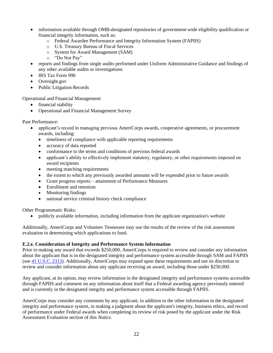- information available through OMB-designated repositories of government-wide eligibility qualification or financial integrity information, such as:
	- o Federal Awardee Performance and Integrity Information System (FAPIIS)
	- o U.S. Treasury Bureau of Fiscal Services
	- o System for Award Management (SAM)
	- o "Do Not Pay"
- reports and findings from single audits performed under Uniform Administrative Guidance and findings of any other available audits or investigations
- IRS Tax Form 990
- Oversight.gov
- Public Litigation Records

Operational and Financial Management:

- financial stability
- Operational and Financial Management Survey

Past Performance:

- applicant's record in managing previous AmeriCorps awards, cooperative agreements, or procurement awards, including:
	- timeliness of compliance with applicable reporting requirements
	- accuracy of data reported
	- conformance to the terms and conditions of previous federal awards
	- applicant's ability to effectively implement statutory, regulatory, or other requirements imposed on award recipients
	- meeting matching requirements
	- the extent to which any previously awarded amounts will be expended prior to future awards
	- Grant progress reports attainment of Performance Measures
	- Enrollment and retention
	- Monitoring findings
	- national service criminal history check compliance

Other Programmatic Risks:

• publicly available information, including information from the applicant organization's website

Additionally, AmeriCorps and Volunteer Tennessee may use the results of the review of the risk assessment evaluation in determining which applications to fund.

#### **E.2.e. Consideration of Integrity and Performance System Information**

Prior to making any award that exceeds \$250,000, AmeriCorps is required to review and consider any information about the applicant that is in the designated integrity and performance system accessible through SAM and FAPIIS (see [41 U.S.C. 2313\)](http://uscode.house.gov/view.xhtml?req=(title:41%20section:2313%20edition:prelim)%20OR%20(granuleid:USC-prelim-title41-section2313)&f=treesort&edition=prelim&num=0&jumpTo=true). Additionally, AmeriCorps may expand upon these requirements and use its discretion to review and consider information about any applicant receiving an award, including those under \$250,000.

Any applicant, at its option, may review information in the designated integrity and performance systems accessible through FAPIIS and comment on any information about itself that a Federal awarding agency previously entered and is currently in the designated integrity and performance system accessible through FAPIIS.

AmeriCorps may consider any comments by any applicant, in addition to the other information in the designated integrity and performance system, in making a judgment about the applicant's integrity, business ethics, and record of performance under Federal awards when completing its review of risk posed by the applicant under the Risk Assessment Evaluation section of this *Notice.*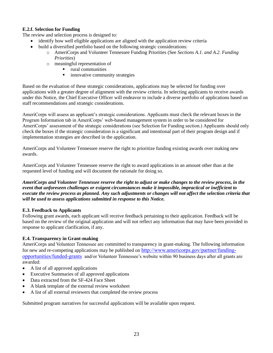#### **E.2.f. Selection for Funding**

The review and selection process is designed to:

- identify how well eligible applications are aligned with the application review criteria
	- build a diversified portfolio based on the following strategic considerations:
		- o AmeriCorps and Volunteer Tennessee Funding Priorities (See *Sections A.1. and A.2. Funding Priorities*)
		- o meaningful representation of
			- rural communities
			- **•** innovative community strategies

Based on the evaluation of these strategic considerations, applications may be selected for funding over applications with a greater degree of alignment with the review criteria. In selecting applicants to receive awards under this Notice, the Chief Executive Officer will endeavor to include a diverse portfolio of applications based on staff recommendations and strategic considerations.

AmeriCorps will assess an applicant's strategic considerations. Applicants must check the relevant boxes in the Program Information tab in AmeriCorps' web-based management system in order to be considered for AmeriCorps' assessment of the strategic considerations (see Selection for Funding section.) Applicants should only check the boxes if the strategic consideration is a significant and intentional part of their program design and if implementation strategies are described in the application.

AmeriCorps and Volunteer Tennessee reserve the right to prioritize funding existing awards over making new awards.

AmeriCorps and Volunteer Tennessee reserve the right to award applications in an amount other than at the requested level of funding and will document the rationale for doing so.

*AmeriCorps and Volunteer Tennessee reserve the right to adjust or make changes to the review process, in the event that unforeseen challenges or exigent circumstances make it impossible, impractical or inefficient to execute the review process as planned. Any such adjustments or changes will not affect the selection criteria that will be used to assess applications submitted in response to this Notice.*

#### **E.3. Feedback to Applicants**

Following grant awards, each applicant will receive feedback pertaining to their application. Feedback will be based on the review of the original application and will not reflect any information that may have been provided in response to applicant clarification, if any.

#### **E.4. Transparency in Grant-making**

AmeriCorps and Volunteer Tennessee are committed to transparency in grant-making. The following information for new and re-competing applications may be published on [http://www.americorps.gov/partner/funding](http://www.americorps.gov/partner/funding-opportunities/funded-grants)[opportunities/funded-grants](http://www.americorps.gov/partner/funding-opportunities/funded-grants) and/or Volunteer Tennessee's website within 90 business days after all grants are awarded:

- A list of all approved applications
- Executive Summaries of all approved applications
- Data extracted from the SF-424 Face Sheet
- A blank template of the external review worksheet
- A list of all external reviewers that completed the review process

Submitted program narratives for successful applications will be available upon request.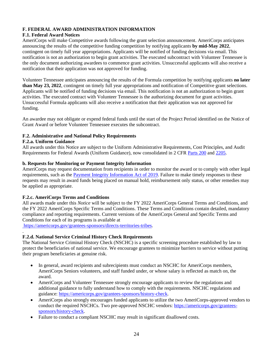#### **F. FEDERAL AWARD ADMINISTRATION INFORMATION**

#### **F.1. Federal Award Notices**

AmeriCorps will make Competitive awards following the grant selection announcement. AmeriCorps anticipates announcing the results of the competitive funding competition by notifying applicants **by mid-May 2022**, contingent on timely full year appropriations. Applicants will be notified of funding decisions via email. This notification is not an authorization to begin grant activities. The executed subcontract with Volunteer Tennessee is the only document authorizing awardees to commence grant activities. Unsuccessful applicants will also receive a notification that their application was not approved for funding.

Volunteer Tennessee anticipates announcing the results of the Formula competition by notifying applicants **no later than May 23, 2022**, contingent on timely full year appropriations and notification of Competitive grant selections. Applicants will be notified of funding decisions via email. This notification is not an authorization to begin grant activities. The executed contract with Volunteer Tennessee is the authorizing document for grant activities. Unsuccessful Formula applicants will also receive a notification that their application was not approved for funding.

An awardee may not obligate or expend federal funds until the start of the Project Period identified on the Notice of Grant Award or before Volunteer Tennessee executes the subcontract.

#### **F.2. Administrative and National Policy Requirements**

#### **F.2.a. Uniform Guidance**

All awards under this Notice are subject to the Uniform Administrative Requirements, Cost Principles, and Audit Requirements for Federal Awards (Uniform Guidance), now consolidated in 2 CFR [Parts 200](http://www.ecfr.gov/cgi-bin/text-idx?SID=379c69c6a453c93b76142986a4ce5ad4&node=pt2.1.200&rgn=div5) and [2205.](http://www.ecfr.gov/cgi-bin/text-idx?SID=379c69c6a453c93b76142986a4ce5ad4&node=pt2.1.200&rgn=div5)

#### **b. Requests for Monitoring or Payment Integrity Information**

AmeriCorps may request documentation from recipients in order to monitor the award or to comply with other legal requirements, such as the [Payment Integrity Information Act of 2019.](https://paymentaccuracy.gov/) Failure to make timely responses to these requests may result in award funds being placed on manual hold, reimbursement only status, or other remedies may be applied as appropriate.

#### **F.2.c. AmeriCorps Terms and Conditions**

All awards made under this *Notice* will be subject to the FY 2022 AmeriCorps General Terms and Conditions, and the FY 2022 AmeriCorps Specific Terms and Conditions. These Terms and Conditions contain detailed, mandatory compliance and reporting requirements. Current versions of the AmeriCorps General and Specific Terms and Conditions for each of its programs is available at

[https://americorps.gov/grantees-sponsors/directs-territories-tribes.](https://americorps.gov/grantees-sponsors/directs-territories-tribes)

#### . **F.2.d. National Service Criminal History Check Requirements**

The National Service Criminal History Check (NSCHC) is a specific screening procedure established by law to protect the beneficiaries of national service. We encourage grantees to minimize barriers to service without putting their program beneficiaries at genuine risk.

- In general, award recipients and subrecipients must conduct an NSCHC for AmeriCorps members, AmeriCorps Seniors volunteers, and staff funded under, or whose salary is reflected as match on, the award.
- AmeriCorps and Volunteer Tennessee strongly encourage applicants to review the regulations and additional guidance to fully understand how to comply with the requirements. NSCHC regulations and guidance: [https://americorps.gov/grantees-sponsors/history-check.](https://americorps.gov/grantees-sponsors/history-check)
- AmeriCorps also strongly encourages funded applicants to utilize the two AmeriCorps-approved vendors to conduct the required NSCHCs. Two pre-approved NSCHC vendors: [https://americorps.gov/grantees](https://americorps.gov/grantees-sponsors/history-check)[sponsors/history-check.](https://americorps.gov/grantees-sponsors/history-check)
- Failure to conduct a compliant NSCHC may result in significant disallowed costs.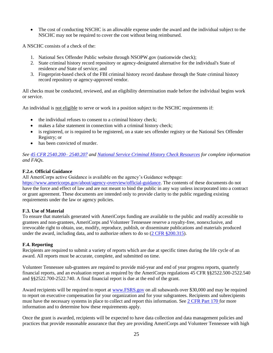• The cost of conducting NSCHC is an allowable expense under the award and the individual subject to the NSCHC may not be required to cover the cost without being reimbursed.

A NSCHC consists of a check of the:

- 1. National Sex Offender Public website through NSOPW.gov (nationwide check);
- 2. State criminal history record repository or agency-designated alternative for the individual's State of residence *and* State of service; and
- 3. Fingerprint-based check of the FBI criminal history record database through the State criminal history record repository or agency-approved vendor.

All checks must be conducted, reviewed, and an eligibility determination made before the individual begins work or service.

An individual is not eligible to serve or work in a position subject to the NSCHC requirements if:

- the individual refuses to consent to a criminal history check;
- makes a false statement in connection with a criminal history check;
- is registered, or is required to be registered, on a state sex offender registry or the National Sex Offender Registry; or
- has been convicted of murder.

*See [45 CFR 2540.200–](https://gcc02.safelinks.protection.outlook.com/?url=http%3A%2F%2Fwww.ecfr.gov%2Fcgi-bin%2Ftext-idx%3FSID%3Df100236ee7664894ea5b7d2b7bc80564%26mc%3Dtrue%26tpl%3D%2Fecfrbrowse%2FTitle45%2F45cfr2540_main_02.tpl&data=04%7C01%7CJBastressTahmasebi%40cns.gov%7C7ed5931d00304e055d1608d915b16791%7Cd2f850a78dce4fb3a79c6867f9514312%7C0%7C0%7C637564673950768749%7CUnknown%7CTWFpbGZsb3d8eyJWIjoiMC4wLjAwMDAiLCJQIjoiV2luMzIiLCJBTiI6Ik1haWwiLCJXVCI6Mn0%3D%7C1000&sdata=VkrkzIoXKRKWvLrH0AY%2BcxvTpWH79%2B8AzvQukeaWwOE%3D&reserved=0) 2540.207 and [National Service Criminal History Check Resources](https://gcc02.safelinks.protection.outlook.com/?url=https%3A%2F%2Famericorps.gov%2Fgrantees-sponsors%2Fhistory-check&data=04%7C01%7CJBastressTahmasebi%40cns.gov%7C7ed5931d00304e055d1608d915b16791%7Cd2f850a78dce4fb3a79c6867f9514312%7C0%7C0%7C637564673950778705%7CUnknown%7CTWFpbGZsb3d8eyJWIjoiMC4wLjAwMDAiLCJQIjoiV2luMzIiLCJBTiI6Ik1haWwiLCJXVCI6Mn0%3D%7C1000&sdata=EyRpPhW8PtN7HeyD7qqutv%2BdOLf79EdpZDq0Fdzw0mA%3D&reserved=0) for complete information and FAQs.*

#### **F.2.e. Official Guidance**

All AmeriCorps active Guidance is available on the agency's Guidance webpage:

[https://www.americorps.gov/about/agency-overview/official-guidance.](https://www.americorps.gov/about/agency-overview/official-guidance) The contents of these documents do not have the force and effect of law and are not meant to bind the public in any way unless incorporated into a contract or grant agreement. These documents are intended only to provide clarity to the public regarding existing requirements under the law or agency policies.

#### **F.3. Use of Material**

To ensure that materials generated with AmeriCorps funding are available to the public and readily accessible to grantees and non-grantees, AmeriCorps and Volunteer Tennessee reserve a royalty-free, nonexclusive, and irrevocable right to obtain, use, modify, reproduce, publish, or disseminate publications and materials produced under the award, including data, and to authorize others to do so [\(2 CFR §200.315\)](http://www.ecfr.gov/cgi-bin/retrieveECFR?gp=&SID=74a79d9a3a38ee2ca26d377daeacebb7&mc=true&n=pt2.1.200&r=PART&ty=HTML#se2.1.200_1315).

#### **F.4. Reporting**

Recipients are required to submit a variety of reports which are due at specific times during the life cycle of an award. All reports must be accurate, complete, and submitted on time.

Volunteer Tennessee sub-grantees are required to provide mid-year and end of year progress reports, quarterly financial reports, and an evaluation report as required by the AmeriCorps regulations 45 CFR §§2522.500-2522.540 and §§2522.700-2522.740. A final financial report is due at the end of the grant.

Award recipients will be required to report at [www.FSRS.gov](http://www.fsrs.gov/) on all subawards over \$30,000 and may be required to report on executive compensation for your organization and for your subgrantees. Recipients and subrecipients must have the necessary systems in place to collect and report this information. See [2 CFR Part 170](http://www.ecfr.gov/cgi-bin/text-idx?c=ecfr&SID=d3b45261ecbe5e9992ede00f23fd8d3b&tpl=/ecfrbrowse/Title02/2cfr170_main_02.tpl) for more information and to determine how these requirements apply.

Once the grant is awarded, recipients will be expected to have data collection and data management policies and practices that provide reasonable assurance that they are providing AmeriCorps and Volunteer Tennessee with high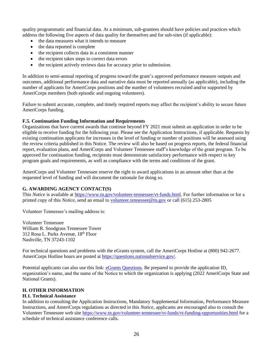quality programmatic and financial data. At a minimum, sub-grantees should have policies and practices which address the following five aspects of data quality for themselves and for sub-sites (if applicable):

- the data measures what it intends to measure
- the data reported is complete
- the recipient collects data in a consistent manner
- the recipient takes steps to correct data errors
- the recipient actively reviews data for accuracy prior to submission.

In addition to semi-annual reporting of progress toward the grant's approved performance measure outputs and outcomes, additional performance data and narrative data must be reported annually (as applicable), including the number of applicants for AmeriCorps positions and the number of volunteers recruited and/or supported by AmeriCorps members (both episodic and ongoing volunteers).

Failure to submit accurate, complete, and timely required reports may affect the recipient's ability to secure future AmeriCorps funding.

#### **F.5. Continuation Funding Information and Requirements**

Organizations that have current awards that continue beyond FY 2021 must submit an application in order to be eligible to receive funding for the following year. Please see the Application Instructions*,* if applicable*.* Requests by existing continuation applicants for increases in the level of funding or number of positions will be assessed using the review criteria published in this Notice. The review will also be based on progress reports, the federal financial report, evaluation plans, and AmeriCorps and Volunteer Tennessee staff's knowledge of the grant program. To be approved for continuation funding, recipients must demonstrate satisfactory performance with respect to key program goals and requirements, as well as compliance with the terms and conditions of the grant.

AmeriCorps and Volunteer Tennessee reserve the right to award applications in an amount other than at the requested level of funding and will document the rationale for doing so.

#### **G. AWARDING AGENCY CONTACT(S)**

This *Notice* is available at [https://www.tn.gov/volunteer-tennessee/vt-funds.html.](https://www.tn.gov/volunteer-tennessee/vt-funds.html) For further information or for a printed copy of this *Notice*, send an email t[o volunteer.tennessee@tn.gov](mailto:volunteer.tennessee@tn.gov) or call (615) 253-2805

Volunteer Tennessee's mailing address is:

Volunteer Tennessee William R. Snodgrass Tennessee Tower 312 Rosa L. Parks Avenue, 18th Floor Nashville, TN 37243-1102

For technical questions and problems with the eGrants system, call the AmeriCorps Hotline at (800) 942-2677. AmeriCorps Hotline hours are posted at [https://questions.nationalservice.gov/.](https://questions.nationalservice.gov/)

Potential applicants can also use this link: [eGrants Questions.](https://questions.americorps.gov/app/ask) Be prepared to provide the application ID, organization's name, and the name of the Notice to which the organization is applying (2022 AmeriCorps State and National Grants).

#### **H. OTHER INFORMATION**

#### **H.1. Technical Assistance**

In addition to consulting the Application Instructions, Mandatory Supplemental Information, Performance Measure Instructions, and AmeriCorps regulations as directed in this *Notice*, applicants are encouraged also to consult the Volunteer Tennessee web site<https://www.tn.gov/volunteer-tennessee/vt-funds/vt-funding-opportunities.html> for a schedule of technical assistance conference calls.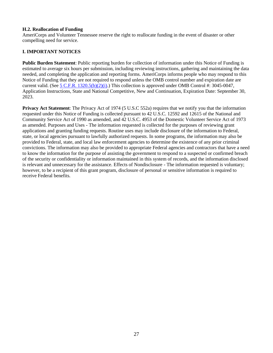#### **H.2. Reallocation of Funding**

AmeriCorps and Volunteer Tennessee reserve the right to reallocate funding in the event of disaster or other compelling need for service.

#### **I. IMPORTANT NOTICES**

**Public Burden Statement**: Public reporting burden for collection of information under this Notice of Funding is estimated to average six hours per submission, including reviewing instructions, gathering and maintaining the data needed, and completing the application and reporting forms. AmeriCorps informs people who may respond to this Notice of Funding that they are not required to respond unless the OMB control number and expiration date are current valid. (See [5 C.F.R. 1320.5\(b\)\(2\)\(i\).](https://www.ecfr.gov/cgi-bin/text-idx?SID=ba6a43c334f657907f5f8a02052e349b&mc=true&node=pt5.3.1320&rgn=div5#se5.3.1320_15)) This collection is approved under OMB Control #: 3045-0047, Application Instructions, State and National Competitive, New and Continuation, Expiration Date: September 30, 2023.

**Privacy Act Statement**: The Privacy Act of 1974 (5 U.S.C 552a) requires that we notify you that the information requested under this Notice of Funding is collected pursuant to 42 U.S.C. 12592 and 12615 of the National and Community Service Act of 1990 as amended, and 42 U.S.C. 4953 of the Domestic Volunteer Service Act of 1973 as amended. Purposes and Uses - The information requested is collected for the purposes of reviewing grant applications and granting funding requests. Routine uses may include disclosure of the information to Federal, state, or local agencies pursuant to lawfully authorized requests. In some programs, the information may also be provided to Federal, state, and local law enforcement agencies to determine the existence of any prior criminal convictions. The information may also be provided to appropriate Federal agencies and contractors that have a need to know the information for the purpose of assisting the government to respond to a suspected or confirmed breach of the security or confidentiality or information maintained in this system of records, and the information disclosed is relevant and unnecessary for the assistance. Effects of Nondisclosure - The information requested is voluntary; however, to be a recipient of this grant program, disclosure of personal or sensitive information is required to receive Federal benefits.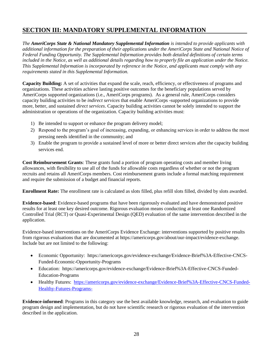### **SECTION III: MANDATORY SUPPLEMENTAL INFORMATION**

*The AmeriCorps State & National Mandatory Supplemental Information is intended to provide applicants with additional information for the preparation of their applications under the AmeriCorps State and National Notice of Federal Funding Opportunity. The Supplemental Information provides both detailed definitions of certain terms included in the Notice, as well as additional details regarding how to properly file an application under the Notice. This Supplemental Information is incorporated by reference in the Notice, and applicants must comply with any requirements stated in this Supplemental Information.*

**Capacity Building:** A set of activities that expand the scale, reach, efficiency, or effectiveness of programs and organizations. These activities achieve lasting positive outcomes for the beneficiary populations served by AmeriCorps supported organizations (i.e., AmeriCorps programs).As a general rule, AmeriCorps considers capacity building activities to be *indirect services* that enable AmeriCorps -supported organizations to provide more, better, and sustained *direct services*. Capacity building activities cannot be solely intended to support the administration or operations of the organization. Capacity building activities must:

- 1) Be intended to support or enhance the program delivery model;
- 2) Respond to the program's goal of increasing, expanding, or enhancing services in order to address the most pressing needs identified in the community; and
- 3) Enable the program to provide a sustained level of more or better direct services after the capacity building services end.

**Cost Reimbursement Grants**: These grants fund a portion of program operating costs and member living allowances, with flexibility to use all of the funds for allowable costs regardless of whether or not the program recruits and retains all AmeriCorps members. Cost reimbursement grants include a formal matching requirement and require the submission of a budget and financial reports.

**Enrollment Rate:** The enrollment rate is calculated as slots filled, plus refill slots filled, divided by slots awarded.

**Evidence-based**: Evidence-based programs that have been rigorously evaluated and have demonstrated positive results for at least one key desired outcome. Rigorous evaluation means conducting at least one Randomized Controlled Trial (RCT) or Quasi-Experimental Design (QED) evaluation of the same intervention described in the application.

Evidence-based interventions on the AmeriCorps Evidence Exchange: interventions supported by positive results from rigorous evaluations that are documented at https://americorps.gov/about/our-impact/evidence-exchange. Include but are not limited to the following:

- Economic Opportunity: https://americorps.gov/evidence-exchange/Evidence-Brief%3A-Effective-CNCS-Funded-Economic-Opportunity-Programs
- Education: https://americorps.gov/evidence-exchange/Evidence-Brief%3A-Effective-CNCS-Funded-Education-Programs
- Healthy Futures: [https://americorps.gov/evidence-exchange/Evidence-Brief%3A-Effective-CNCS-Funded-](https://americorps.gov/evidence-exchange/Evidence-Brief%3A-Effective-CNCS-Funded-Healthy-Futures-Programs-)[Healthy-Futures-Programs-](https://americorps.gov/evidence-exchange/Evidence-Brief%3A-Effective-CNCS-Funded-Healthy-Futures-Programs-)

**Evidence-informed**: Programs in this category use the best available knowledge, research, and evaluation to guide program design and implementation, but do not have scientific research or rigorous evaluation of the intervention described in the application.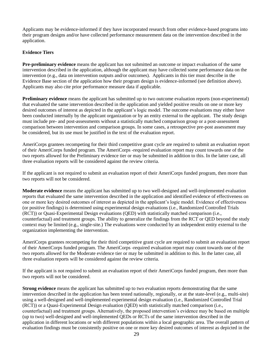Applicants may be evidence-informed if they have incorporated research from other evidence-based programs into their program designs and/or have collected performance measurement data on the intervention described in the application.

#### **Evidence Tiers**

**Pre-preliminary evidence** means the applicant has not submitted an outcome or impact evaluation of the same intervention described in the application, although the applicant may have collected some performance data on the intervention (e.g., data on intervention outputs and/or outcomes). Applicants in this tier must describe in the Evidence Base section of the application how their program design is evidence-informed (see definition above). Applicants may also cite prior performance measure data if applicable.

**Preliminary evidence** means the applicant has submitted up to two outcome evaluation reports (non-experimental) that evaluated the same intervention described in the application and yielded positive results on one or more key desired outcomes of interest as depicted in the applicant's logic model. The outcome evaluations may either have been conducted internally by the applicant organization or by an entity external to the applicant. The study design must include pre- and post-assessments without a statistically matched comparison group or a post-assessment comparison between intervention and comparison groups. In some cases, a retrospective pre-post assessment may be considered, but its use must be justified in the text of the evaluation report.

AmeriCorps grantees recompeting for their third competitive grant cycle are required to submit an evaluation report of their AmeriCorps funded program. The AmeriCorps -required evaluation report may count towards one of the two reports allowed for the Preliminary evidence tier or may be submitted in addition to this. In the latter case, all three evaluation reports will be considered against the review criteria.

If the applicant is not required to submit an evaluation report of their AmeriCorps funded program, then more than two reports will not be considered.

**Moderate evidence** means the applicant has submitted up to two well-designed and well-implemented evaluation reports that evaluated the same intervention described in the application and identified evidence of effectiveness on one or more key desired outcomes of interest as depicted in the applicant's logic model. Evidence of effectiveness (or positive findings) is determined using experimental design evaluations (i.e., Randomized Controlled Trials (RCT)) or Quasi-Experimental Design evaluations (QED) with statistically matched comparison (i.e., counterfactual) and treatment groups. The ability to generalize the findings from the RCT or QED beyond the study context may be limited (e.g., single-site.) The evaluations were conducted by an independent entity external to the organization implementing the intervention.

AmeriCorps grantees recompeting for their third competitive grant cycle are required to submit an evaluation report of their AmeriCorps funded program. The AmeriCorps -required evaluation report may count towards one of the two reports allowed for the Moderate evidence tier or may be submitted in addition to this. In the latter case, all three evaluation reports will be considered against the review criteria.

If the applicant is not required to submit an evaluation report of their AmeriCorps funded program, then more than two reports will not be considered.

**Strong evidence** means the applicant has submitted up to two evaluation reports demonstrating that the same intervention described in the application has been tested nationally, regionally, or at the state-level (e.g., multi-site) using a well-designed and well-implemented experimental design evaluation (i.e., Randomized Controlled Trial (RCT)) or a Quasi-Experimental Design evaluation (QED) with statistically matched comparison (i.e., counterfactual) and treatment groups. Alternatively, the proposed intervention's evidence may be based on multiple (up to two) well-designed and well-implemented QEDs or RCTs of the same intervention described in the application in different locations or with different populations within a local geographic area. The overall pattern of evaluation findings must be consistently positive on one or more key desired outcomes of interest as depicted in the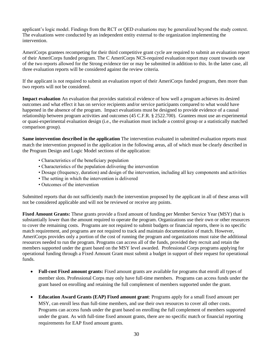applicant's logic model. Findings from the RCT or QED evaluations may be generalized beyond the study context. The evaluations were conducted by an independent entity external to the organization implementing the intervention.

AmeriCorps grantees recompeting for their third competitive grant cycle are required to submit an evaluation report of their AmeriCorps funded program. The C AmeriCorps NCS-required evaluation report may count towards one of the two reports allowed for the Strong evidence tier or may be submitted in addition to this. In the latter case, all three evaluation reports will be considered against the review criteria.

If the applicant is not required to submit an evaluation report of their AmeriCorps funded program, then more than two reports will not be considered.

**Impact evaluation** An evaluation that provides statistical evidence of how well a program achieves its desired outcomes and what effect it has on service recipients and/or service participants compared to what would have happened in the absence of the program. Impact evaluations must be designed to provide evidence of a causal relationship between program activities and outcomes (45 C.F.R. § 2522.700). Grantees must use an experimental or quasi-experimental evaluation design (i.e., the evaluation must include a control group or a statistically matched comparison group).

**Same intervention described in the application** The intervention evaluated in submitted evaluation reports must match the intervention proposed in the application in the following areas, all of which must be clearly described in the Program Design and Logic Model sections of the application:

- Characteristics of the beneficiary population
- Characteristics of the population delivering the intervention
- Dosage (frequency, duration) and design of the intervention, including all key components and activities
- The setting in which the intervention is delivered
- Outcomes of the intervention

Submitted reports that do not sufficiently match the intervention proposed by the applicant in all of these areas will not be considered applicable and will not be reviewed or receive any points.

**Fixed Amount Grants:** These grants provide a fixed amount of funding per Member Service Year (MSY) that is substantially lower than the amount required to operate the program. Organizations use their own or other resources to cover the remaining costs. Programs are not required to submit budgets or financial reports, there is no specific match requirement, and programs are not required to track and maintain documentation of match. However, AmeriCorps provides only a portion of the cost of running the program and organizations must raise the additional resources needed to run the program. Programs can access all of the funds, provided they recruit and retain the members supported under the grant based on the MSY level awarded. Professional Corps programs applying for operational funding through a Fixed Amount Grant must submit a budget in support of their request for operational funds.

- **Full-cost Fixed amount grants:** Fixed amount grants are available for programs that enroll all types of member slots. Professional Corps may only have full-time members. Programs can access funds under the grant based on enrolling and retaining the full complement of members supported under the grant.
- **Education Award Grants (EAP) Fixed amount grant**: Programs apply for a small fixed amount per MSY, can enroll less than full-time members, and use their own resources to cover all other costs. Programs can access funds under the grant based on enrolling the full complement of members supported under the grant. As with full-time fixed amount grants, there are no specific match or financial reporting requirements for EAP fixed amount grants.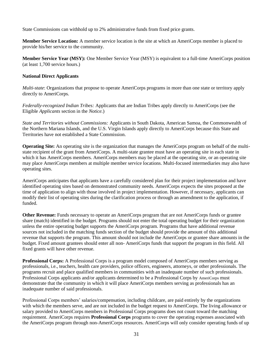State Commissions can withhold up to 2% administrative funds from fixed price grants.

**Member Service Location:** A member service location is the site at which an AmeriCorps member is placed to provide his/her service to the community.

**Member Service Year (MSY):** One Member Service Year (MSY) is equivalent to a full-time AmeriCorps position (at least 1,700 service hours.)

#### **National Direct Applicants**

*Multi-state*: Organizations that propose to operate AmeriCorps programs in more than one state or territory apply directly to AmeriCorps.

*Federally-recognized Indian Tribes:* Applicants that are Indian Tribes apply directly to AmeriCorps (see the Eligible *Applicants* section in the *Notice.*)

*State and Territories without Commissions:* Applicants in South Dakota, American Samoa, the Commonwealth of the Northern Mariana Islands, and the U.S. Virgin Islands apply directly to AmeriCorps because this State and Territories have not established a State Commission.

**Operating Site:** An operating site is the organization that manages the AmeriCorps program on behalf of the multistate recipient of the grant from AmeriCorps. A multi-state grantee must have an operating site in each state in which it has AmeriCorps members. AmeriCorps members may be placed at the operating site, or an operating site may place AmeriCorps members at multiple member service locations. Multi-focused intermediaries may also have operating sites.

AmeriCorps anticipates that applicants have a carefully considered plan for their project implementation and have identified operating sites based on demonstrated community needs. AmeriCorps expects the sites proposed at the time of application to align with those involved in project implementation. However, if necessary, applicants can modify their list of operating sites during the clarification process or through an amendment to the application, if funded.

**Other Revenue:** Funds necessary to operate an AmeriCorps program that are not AmeriCorps funds or grantee share (match) identified in the budget. Programs should not enter the total operating budget for their organization unless the entire operating budget supports the AmeriCorps program. Programs that have additional revenue sources not included in the matching funds section of the budget should provide the amount of this additional revenue that supports the program. This amount should not include the AmeriCorps or grantee share amounts in the budget. Fixed amount grantees should enter all non- AmeriCorps funds that support the program in this field. All fixed grants will have other revenue.

**Professional Corps:** A Professional Corps is a program model composed of AmeriCorps members serving as professionals, i.e., teachers, health care providers, police officers, engineers, attorneys, or other professionals. The programs recruit and place qualified members in communities with an inadequate number of such professionals. Professional Corps applicants and/or applicants determined to be a Professional Corps by AmeriCorps must demonstrate that the community in which it will place AmeriCorps members serving as professionals has an inadequate number of said professionals.

Professional Corps members' salaries/compensation, including childcare, are paid entirely by the organizations with which the members serve, and are not included in the budget request to AmeriCorps. The living allowance or salary provided to AmeriCorps members in Professional Corps programs does not count toward the matching requirement. AmeriCorps requires **Professional Corps** programs to cover the operating expenses associated with the AmeriCorps program through non-AmeriCorps resources. AmeriCorps will only consider operating funds of up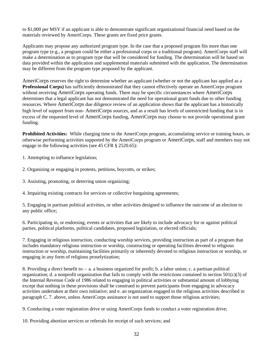to \$1,000 per MSY if an applicant is able to demonstrate significant organizational financial need based on the materials reviewed by AmeriCorps. These grants are fixed price grants.

Applicants may propose any authorized program type. In the case that a proposed program fits more than one program type (e.g., a program could be either a professional corps or a traditional program). AmeriCorps staff will make a determination as to program type that will be considered for funding. The determination will be based on data provided within the application and supplemental materials submitted with the application. The determination may be different from the program type proposed by the applicant.

AmeriCorps reserves the right to determine whether an applicant (whether or not the applicant has applied as a **Professional Corps)** has sufficiently demonstrated that they cannot effectively operate an AmeriCorps program without receiving AmeriCorps operating funds. There may be specific circumstances where AmeriCorps determines that a legal applicant has not demonstrated the need for operational grant funds due to other funding resources. Where AmeriCorps due diligence review of an application shows that the applicant has a historically high level of support from non- AmeriCorps sources, and as a result has levels of unrestricted funding that is in excess of the requested level of AmeriCorps funding, AmeriCorps may choose to not provide operational grant funding.

**Prohibited Activities:** While charging time to the AmeriCorps program, accumulating service or training hours, or otherwise performing activities supported by the AmeriCorps program or AmeriCorps, staff and members may not engage in the following activities (see 45 CFR § 2520.65):

- 1. Attempting to influence legislation;
- 2. Organizing or engaging in protests, petitions, boycotts, or strikes;
- 3. Assisting, promoting, or deterring union organizing;
- 4. Impairing existing contracts for services or collective bargaining agreements;

5. Engaging in partisan political activities, or other activities designed to influence the outcome of an election to any public office;

6. Participating in, or endorsing, events or activities that are likely to include advocacy for or against political parties, political platforms, political candidates, proposed legislation, or elected officials;

7. Engaging in religious instruction, conducting worship services, providing instruction as part of a program that includes mandatory religious instruction or worship, constructing or operating facilities devoted to religious instruction or worship, maintaining facilities primarily or inherently devoted to religious instruction or worship, or engaging in any form of religious proselytization;

8. Providing a direct benefit to— a. a business organized for profit; b. a labor union; c. a partisan political organization; d. a nonprofit organization that fails to comply with the restrictions contained in section 501(c)(3) of the Internal Revenue Code of 1986 related to engaging in political activities or substantial amount of lobbying except that nothing in these provisions shall be construed to prevent participants from engaging in advocacy activities undertaken at their own initiative; and e. an organization engaged in the religious activities described in paragraph C. 7. above, unless AmeriCorps assistance is not used to support those religious activities;

9. Conducting a voter registration drive or using AmeriCorps funds to conduct a voter registration drive;

10. Providing abortion services or referrals for receipt of such services; and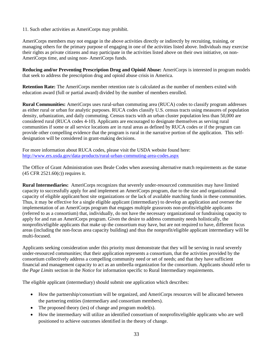11. Such other activities as AmeriCorps may prohibit.

AmeriCorps members may not engage in the above activities directly or indirectly by recruiting, training, or managing others for the primary purpose of engaging in one of the activities listed above. Individuals may exercise their rights as private citizens and may participate in the activities listed above on their own initiative, on non-AmeriCorps time, and using non- AmeriCorps funds.

**Reducing and/or Preventing Prescription Drug and Opioid Abuse:** AmeriCorps is interested in program models that seek to address the prescription drug and opioid abuse crisis in America.

**Retention Rate:** The AmeriCorps member retention rate is calculated as the number of members exited with education award (full or partial award) divided by the number of members enrolled.

**Rural Communities:** AmeriCorps uses rural-urban commuting area (RUCA) codes to classify program addresses as either rural or urban for analytic purposes. RUCA codes classify U.S. census tracts using measures of population density, urbanization, and daily commuting. Census tracts with an urban cluster population less than 50,000 are considered rural (RUCA codes 4-10). Applicants are encouraged to designate themselves as serving rural communities if some or all service locations are in rural areas as defined by RUCA codes or if the program can provide other compelling evidence that the program is rural in the narrative portion of the application. This selfdesignation will be considered in grant-making decisions.

For more information about RUCA codes, please visit the USDA website found here: <http://www.ers.usda.gov/data-products/rural-urban-commuting-area-codes.aspx>

The Office of Grant Administration uses Beale Codes when assessing alternative match requirements as the statue (45 CFR 2521.60(c)) requires it.

**Rural Intermediaries:** AmeriCorps recognizes that severely under-resourced communities may have limited capacity to successfully apply for and implement an AmeriCorps program, due to the size and organizational capacity of eligible applicant/host site organizations or the lack of available matching funds in these communities. Thus, it may be effective for a single eligible applicant (intermediary) to develop an application and oversee the implementation of an AmeriCorps program that engages multiple grassroots non-profits/eligible applicants (referred to as a consortium) that, individually, do not have the necessary organizational or fundraising capacity to apply for and run an AmeriCorps program. Given the desire to address community needs holistically, the nonprofits/eligible applicants that make up the consortium may have, but are not required to have, different focus areas (including the non-focus area capacity building) and thus the nonprofit/eligible applicant intermediary will be multi-focused.

Applicants seeking consideration under this priority must demonstrate that they will be serving in rural severely under-resourced communities; that their application represents a consortium, that the activities provided by the consortium collectively address a compelling community need or set of needs; and that they have sufficient financial and management capacity to act as an umbrella organization for the consortium. Applicants should refer to the *Page Limits* section in the *Notice* for information specific to Rural Intermediary requirements.

The eligible applicant (intermediary) should submit one application which describes:

- How the partnership/consortium will be organized, and AmeriCorps resources will be allocated between the partnering entities (intermediary and consortium members).
- The proposed theory (ies) of change and program model(s).
- How the intermediary will utilize an identified consortium of nonprofits/eligible applicants who are well positioned to achieve outcomes identified in the theory of change.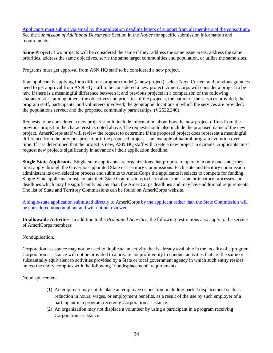Applicants must submit via email by the application deadline letters of support from all members of the consortium. See the *Submission of Additional Documents* Section in the *Notice* for specific submission information and requirements.

**Same Project:** Two projects will be considered the same if they: address the same issue areas, address the same priorities, address the same objectives, serve the same target communities and population, or utilize the same sites.

Programs must get approval from ASN HQ staff to be considered a new project.

If an applicant is applying for a different program model (a new project), select New. Current and previous grantees need to get approval from ASN HQ staff to be considered a new project. AmeriCorps will consider a project to be new if there is a meaningful difference between it and previous projects in a comparison of the following characteristics, among others: the objectives and priorities of the projects; the nature of the services provided; the program staff, participants, and volunteers involved; the geographic locations in which the services are provided; the populations served; and the proposed community partnerships. (§ 2522.340).

Requests to be considered a new project should include information about how the new project differs from the previous project in the characteristics noted above. The request should also include the proposed name of the new project. AmeriCorps staff will review the request to determine if the proposed project does represent a meaningful difference from the previous project or if the proposed project is an example of natural program evolution over time. If it is determined that the project is new, ASN HQ staff will create a new project in eGrants. Applicants must request new projects significantly in advance of their application deadline.

**Single-State Applicants**: Single-state applicants are organizations that propose to operate in only one state; they must apply through the Governor-appointed State or Territory Commissions. Each state and territory commission administers its own selection process and submits to AmeriCorps the applicants it selects to compete for funding. Single-State applicants must contact their State Commissions to learn about their state or territory processes and deadlines which may be significantly *earlier* than the AmeriCorps deadlines and may have additional requirements. The list of State and Territory Commissions can be found on AmeriCorps website.

A single-state application submitted directly to AmeriCorps by the applicant rather than the State Commission will be considered noncompliant and will not be reviewed.

**Unallowable Activities**: In addition to the *Prohibited Activities*, the following restrictions also apply to the service of AmeriCorps members:

#### Nonduplication.

Corporation assistance may not be used to duplicate an activity that is already available in the locality of a program. Corporation assistance will not be provided to a private nonprofit entity to conduct activities that are the same or substantially equivalent to activities provided by a State or local government agency in which such entity resides unless the entity complies with the following "nondisplacement" requirements.

#### Nondisplacement.

- (1) An employer may not displace an employee or position, including partial displacement such as reduction in hours, wages, or employment benefits, as a result of the use by such employer of a participant in a program receiving Corporation assistance.
- (2) An organization may not displace a volunteer by using a participant in a program receiving Corporation assistance.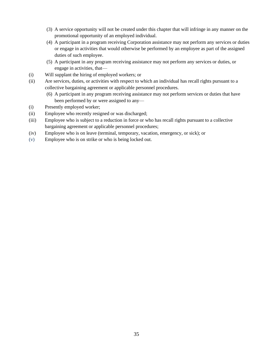- (3) A service opportunity will not be created under this chapter that will infringe in any manner on the promotional opportunity of an employed individual.
- (4) A participant in a program receiving Corporation assistance may not perform any services or duties or engage in activities that would otherwise be performed by an employee as part of the assigned duties of such employee.
- (5) A participant in any program receiving assistance may not perform any services or duties, or engage in activities, that—
- (i) Will supplant the hiring of employed workers; or
- (ii) Are services, duties, or activities with respect to which an individual has recall rights pursuant to a collective bargaining agreement or applicable personnel procedures.
	- (6) A participant in any program receiving assistance may not perform services or duties that have been performed by or were assigned to any—
- (i) Presently employed worker;
- (ii) Employee who recently resigned or was discharged;
- (iii) Employee who is subject to a reduction in force or who has recall rights pursuant to a collective bargaining agreement or applicable personnel procedures;
- (iv) Employee who is on leave (terminal, temporary, vacation, emergency, or sick); or
- (v) Employee who is on strike or who is being locked out.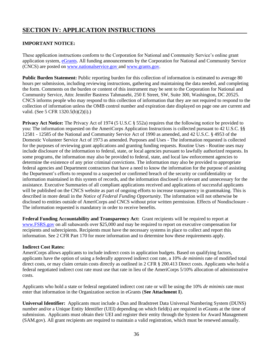# **SECTION IV: APPLICATION INSTRUCTIONS**

# **IMPORTANT NOTICE:**

These application instructions conform to the Corporation for National and Community Service's online grant application system, [eGrants.](https://egrants.cns.gov/espan/main/login.jsp) All funding announcements by the Corporation for National and Community Service (CNCS) are posted on [www.nationalservice.gov](http://www.nationalservice.gov/) and [www.grants.gov.](http://www.grants.gov/)

**Public Burden Statement:** Public reporting burden for this collection of information is estimated to average 80 hours per submission, including reviewing instructions, gathering and maintaining the data needed, and completing the form. Comments on the burden or content of this instrument may be sent to the Corporation for National and Community Service, Attn: Jennifer Bastress Tahmasebi, 250 E Street, SW, Suite 300, Washington, DC 20525. CNCS informs people who may respond to this collection of information that they are not required to respond to the collection of information unless the OMB control number and expiration date displayed on page one are current and valid. (See 5 CFR 1320.5(b)(2)(i).)

**Privacy Act Notice:** The Privacy Act of 1974 (5 U.S.C § 552a) requires that the following notice be provided to you: The information requested on the AmeriCorps Application Instructions is collected pursuant to 42 U.S.C. §§ 12581 - 12585 of the National and Community Service Act of 1990 as amended, and 42 U.S.C. § 4953 of the Domestic Volunteer Service Act of 1973 as amended. Purposes and Uses - The information requested is collected for the purposes of reviewing grant applications and granting funding requests. Routine Uses - Routine uses may include disclosure of the information to federal, state, or local agencies pursuant to lawfully authorized requests. In some programs, the information may also be provided to federal, state, and local law enforcement agencies to determine the existence of any prior criminal convictions. The information may also be provided to appropriate federal agencies and Department contractors that have a need to know the information for the purpose of assisting the Department's efforts to respond to a suspected or confirmed breach of the security or confidentiality or information maintained in this system of records, and the information disclosed is relevant and unnecessary for the assistance. Executive Summaries of all compliant applications received and applications of successful applicants will be published on the CNCS website as part of ongoing efforts to increase transparency in grantmaking. This is described in more detail in the *Notice of Federal Funding Opportunity.* The information will not otherwise be disclosed to entities outside of AmeriCorps and CNCS without prior written permission. Effects of Nondisclosure - The information requested is mandatory in order to receive benefits.

**Federal Funding Accountability and Transparency Act:** Grant recipients will be required to report at [www.FSRS.gov](http://www.fsrs.gov/) on all subawards over \$25,000 and may be required to report on executive compensation for recipients and subrecipients. Recipients must have the necessary systems in place to collect and report this information. See 2 CFR Part 170 for more information and to determine how these requirements apply.

# **Indirect Cost Rates:**

AmeriCorps allows applicants to include indirect costs in application budgets. Based on qualifying factors, applicants have the option of using a federally approved indirect cost rate, a 10% *de minimis* rate of modified total direct costs, or may claim certain costs directly as outlined in 2 CFR § 200.413 Direct costs. Applicants who hold a federal negotiated indirect cost rate must use that rate in lieu of the AmeriCorps 5/10% allocation of administrative costs.

Applicants who hold a state or federal negotiated indirect cost rate or will be using the 10% *de minimis* rate must enter that information in the Organization section in eGrants (**See Attachment I**).

**Universal Identifier:** Applicants must include a Dun and Bradstreet Data Universal Numbering System (DUNS) number and/or a Unique Entity Identifier (UEI) depending on which field(s) are required in eGrants at the time of submission. Applicants must obtain their UEI and register their entity through the System for Award Management (SAM.gov). All grant recipients are required to maintain a valid registration, which must be renewed annually.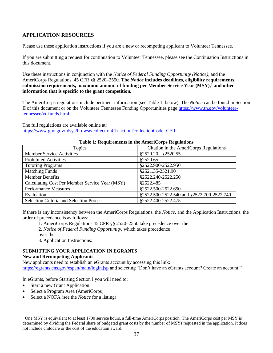# **APPLICATION RESOURCES**

Please use these application instructions if you are a new or recompeting applicant to Volunteer Tennessee.

If you are submitting a request for continuation to Volunteer Tennessee, please see the Continuation Instructions in this document.

Use these instructions in conjunction with the *Notice of Federal Funding Opportunity (Notice)*, and the AmeriCorps Regulations, 45 CFR §§ 2520–2550. **The** *Notice* **includes deadlines, eligibility requirements, submission requirements, maximum amount of funding per Member Service Year (MSY),**<sup>1</sup> **and other information that is specific to the grant competition.** 

The AmeriCorps regulations include pertinent information (see Table 1, below). The *Notice* can be found in Section II of this document or on the Volunteer Tennessee Funding Opportunities page [https://www.tn.gov/volunteer](https://www.tn.gov/volunteer-tennessee/vt-funds.html)[tennessee/vt-funds.html.](https://www.tn.gov/volunteer-tennessee/vt-funds.html)

The full regulations are available online at: <https://www.gpo.gov/fdsys/browse/collectionCfr.action?collectionCode=CFR>

| Tuble 11 Inequal ements in the function ps Inequality is |                                           |
|----------------------------------------------------------|-------------------------------------------|
| Topics                                                   | Citation in the AmeriCorps Regulations    |
| <b>Member Service Activities</b>                         | $$2520.20 - $2520.55$                     |
| <b>Prohibited Activities</b>                             | §2520.65                                  |
| <b>Tutoring Programs</b>                                 | \$2522.900-2522.950                       |
| <b>Matching Funds</b>                                    | \$2521.35-2521.90                         |
| <b>Member Benefits</b>                                   | \$2522.240-2522.250                       |
| Calculating Cost Per Member Service Year (MSY)           | \$2522.485                                |
| <b>Performance Measures</b>                              | \$2522.500-2522.650                       |
| Evaluation                                               | §2522.500-2522.540 and §2522.700-2522.740 |
| <b>Selection Criteria and Selection Process</b>          | \$2522.400-2522.475                       |

### **Table 1: Requirements in the AmeriCorps Regulations**

If there is any inconsistency between the AmeriCorps Regulations, the *Notice,* and the Application Instructions, the order of precedence is as follows:

1. AmeriCorps Regulations 45 CFR §§ 2520–2550 take precedence over the

2. *Notice of Federal Funding Opportunity,* which takes precedence

over the

3. Application Instructions.

# **SUBMITTING YOUR APPLICATION IN EGRANTS**

### **New and Recompeting Applicants**

New applicants need to establish an eGrants account by accessing this link: <https://egrants.cns.gov/espan/main/login.jsp> and selecting "Don't have an eGrants account? Create an account."

In eGrants, before Starting Section I you will need to:

- Start a new Grant Application
- Select a Program Area (AmeriCorps)
- Select a NOFA (see the *Notice* for a listing)

 $1$  One MSY is equivalent to at least 1700 service hours, a full-time AmeriCorps position. The AmeriCorps cost per MSY is determined by dividing the Federal share of budgeted grant costs by the number of MSYs requested in the application. It does not include childcare or the cost of the education award.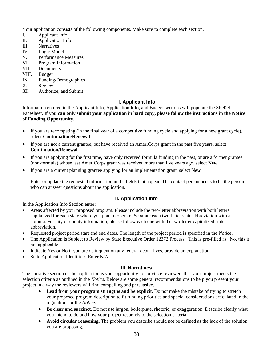Your application consists of the following components. Make sure to complete each section.

- I. Applicant Info
- II. Application Info
- III. Narratives
- IV. Logic Model
- V. Performance Measures
- VI. Program Information
- VII. Documents
- VIII. Budget
- IX. Funding/Demographics
- X. Review
- XI. Authorize, and Submit

# **I. Applicant Info**

Information entered in the Applicant Info, Application Info, and Budget sections will populate the SF 424 Facesheet. **If you can only submit your application in hard copy, please follow the instructions in the Notice of Funding Opportunity.** 

- If you are recompeting (in the final year of a competitive funding cycle and applying for a new grant cycle), select **Continuation/Renewal**
- If you are not a current grantee, but have received an AmeriCorps grant in the past five years, select **Continuation/Renewal**
- If you are applying for the first time, have only received formula funding in the past, or are a former grantee (non-formula) whose last AmeriCorps grant was received more than five years ago, select **New**
- If you are a current planning grantee applying for an implementation grant, select **New**

Enter or update the requested information in the fields that appear. The contact person needs to be the person who can answer questions about the application.

# **II. Application Info**

In the Application Info Section enter:

- Areas affected by your proposed program. Please include the two-letter abbreviation with both letters capitalized for each state where you plan to operate. Separate each two-letter state abbreviation with a comma. For city or county information, please follow each one with the two-letter capitalized state abbreviation.
- Requested project period start and end dates. The length of the project period is specified in the *Notice*.
- The Application is Subject to Review by State Executive Order 12372 Process: This is pre-filled as "No, this is not applicable."
- Indicate Yes or No if you are delinquent on any federal debt. If yes, provide an explanation.
- State Application Identifier: Enter N/A.

# **III. Narratives**

The narrative section of the application is your opportunity to convince reviewers that your project meets the selection criteria as outlined in the *Notice*. Below are some general recommendations to help you present your project in a way the reviewers will find compelling and persuasive.

- **Lead from your program strengths and be explicit.** Do not make the mistake of trying to stretch your proposed program description to fit funding priorities and special considerations articulated in the regulations or the *Notice.*
- **Be clear and succinct.** Do not use jargon, boilerplate, rhetoric, or exaggeration. Describe clearly what you intend to do and how your project responds to the selection criteria.
- **Avoid circular reasoning.** The problem you describe should not be defined as the lack of the solution you are proposing.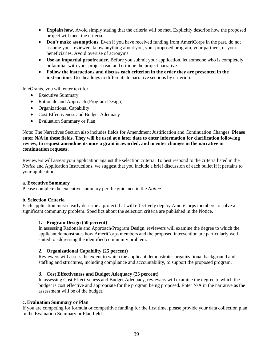- **Explain how.** Avoid simply stating that the criteria will be met. Explicitly describe how the proposed project will meet the criteria.
- **Don't make assumptions.** Even if you have received funding from AmeriCorps in the past, do not assume your reviewers know anything about you, your proposed program, your partners, or your beneficiaries. Avoid overuse of acronyms.
- **Use an impartial proofreader.** Before you submit your application, let someone who is completely unfamiliar with your project read and critique the project narrative.
- **Follow the instructions and discuss each criterion in the order they are presented in the instructions.** Use headings to differentiate narrative sections by criterion.

In eGrants, you will enter text for

- Executive Summary
- Rationale and Approach (Program Design)
- Organizational Capability
- Cost Effectiveness and Budget Adequacy
- Evaluation Summary or Plan

Note: The Narratives Section also includes fields for Amendment Justification and Continuation Changes. **Please enter N/A in these fields. They will be used at a later date to enter information for clarification following review, to request amendments once a grant is awarded, and to enter changes in the narrative in continuation requests.** 

Reviewers will assess your application against the selection criteria. To best respond to the criteria listed in the *Notice* and Application Instructions, we suggest that you include a brief discussion of each bullet if it pertains to your application.

### **a. Executive Summary**

Please complete the executive summary per the guidance in the *Notice*.

### **b. Selection Criteria**

Each application must clearly describe a project that will effectively deploy AmeriCorps members to solve a significant community problem. Specifics about the selection criteria are published in the Notice.

### **1. Program Design (50 percent)**

In assessing Rationale and Approach/Program Design, reviewers will examine the degree to which the applicant demonstrates how AmeriCorps members and the proposed intervention are particularly wellsuited to addressing the identified community problem.

### **2. Organizational Capability (25 percent)**

Reviewers will assess the extent to which the applicant demonstrates organizational background and staffing and structures, including compliance and accountability, to support the proposed program.

### **3. Cost Effectiveness and Budget Adequacy (25 percent)**

In assessing Cost Effectiveness and Budget Adequacy, reviewers will examine the degree to which the budget is cost effective and appropriate for the program being proposed. Enter N/A in the narrative as the assessment will be of the budget.

#### **c. Evaluation Summary or Plan**

If you are competing for formula or competitive funding for the first time, please provide your data collection plan in the Evaluation Summary or Plan field.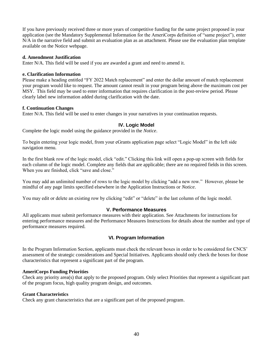If you have previously received three or more years of competitive funding for the same project proposed in your application (see the Mandatory Supplemental Information for the AmeriCorps definition of "same project"), enter N/A in the narrative field and submit an evaluation plan as an attachment. Please use the evaluation plan template available on the Notice webpage.

### **d. Amendment Justification**

Enter N/A. This field will be used if you are awarded a grant and need to amend it.

### **e. Clarification Information**

Please make a heading entitled "FY 2022 Match replacement" and enter the dollar amount of match replacement your program would like to request. The amount cannot result in your program being above the maximum cost per MSY. This field may be used to enter information that requires clarification in the post-review period. Please clearly label new information added during clarification with the date.

### **f. Continuation Changes**

Enter N/A. This field will be used to enter changes in your narratives in your continuation requests.

## **IV. Logic Model**

Complete the logic model using the guidance provided in the *Notice*.

To begin entering your logic model, from your eGrants application page select "Logic Model" in the left side navigation menu.

In the first blank row of the logic model, click "edit." Clicking this link will open a pop-up screen with fields for each column of the logic model. Complete any fields that are applicable; there are no required fields in this screen. When you are finished, click "save and close."

You may add an unlimited number of rows to the logic model by clicking "add a new row." However, please be mindful of any page limits specified elsewhere in the Application Instructions or *Notice*.

You may edit or delete an existing row by clicking "edit" or "delete" in the last column of the logic model.

### **V. Performance Measures**

All applicants must submit performance measures with their application. See Attachments for instructions for entering performance measures and the Performance Measures Instructions for details about the number and type of performance measures required.

# **VI. Program Information**

In the Program Information Section, applicants must check the relevant boxes in order to be considered for CNCS' assessment of the strategic considerations and Special Initiatives. Applicants should only check the boxes for those characteristics that represent a significant part of the program.

### **AmeriCorps Funding Priorities**

Check any priority area(s) that apply to the proposed program. Only select Priorities that represent a significant part of the program focus, high quality program design, and outcomes.

### **Grant Characteristics**

Check any grant characteristics that are a significant part of the proposed program.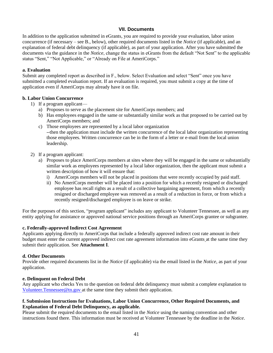# **VII. Documents**

In addition to the application submitted in eGrants, you are required to provide your evaluation, labor union concurrence (if necessary – see B., below), other required documents listed in the *Notice* (if applicable), and an explanation of federal debt delinquency (if applicable), as part of your application. After you have submitted the documents via the guidance in the *Notice*, change the status in eGrants from the default "Not Sent" to the applicable status "Sent," "Not Applicable," or "Already on File at AmeriCorps."

### **a. Evaluation**

Submit any completed report as described in F., below. Select Evaluation and select "Sent" once you have submitted a completed evaluation report. If an evaluation is required, you must submit a copy at the time of application even if AmeriCorps may already have it on file.

## **b. Labor Union Concurrence**

- 1) If a program applicant
	- a) Proposes to serve as the placement site for AmeriCorps members; and
	- b) Has employees engaged in the same or substantially similar work as that proposed to be carried out by AmeriCorps members; and
	- c) Those employees are represented by a local labor organization --then the application must include the written concurrence of the local labor organization representing those employees. Written concurrence can be in the form of a letter or e-mail from the local union leadership.
- 2) If a program applicant:
	- a) Proposes to place AmeriCorps members at sites where they will be engaged in the same or substantially similar work as employees represented by a local labor organization, then the applicant must submit a written description of how it will ensure that:
		- i) AmeriCorps members will not be placed in positions that were recently occupied by paid staff.
		- ii) No AmeriCorps member will be placed into a position for which a recently resigned or discharged employee has recall rights as a result of a collective bargaining agreement, from which a recently resigned or discharged employee was removed as a result of a reduction in force, or from which a recently resigned/discharged employee is on leave or strike.

For the purposes of this section, "program applicant" includes any applicant to Volunteer Tennessee, as well as any entity applying for assistance or approved national service positions through an AmeriCorps grantee or subgrantee.

### **c. Federally-approved Indirect Cost Agreement**

Applicants applying directly to AmeriCorps that include a federally approved indirect cost rate amount in their budget must enter the current approved indirect cost rate agreement information into eGrants at the same time they submit their application. See **Attachment I**.

### **d. Other Documents**

Provide other required documents list in the *Notice* (if applicable) via the email listed in the *Notice*, as part of your application.

### **e. Delinquent on Federal Debt**

Any applicant who checks Yes to the question on federal debt delinquency must submit a complete explanation to [Volunteer.Tennessee@tn.gov](mailto:Volunteer.Tennessee@tn.gov) at the same time they submit their application.

### **f. Submission Instructions for Evaluations, Labor Union Concurrence, Other Required Documents, and Explanation of Federal Debt Delinquency, as applicable.**

Please submit the required documents to the email listed in the *Notice* using the naming convention and other instructions found there. This information must be received at Volunteer Tennessee by the deadline in the *Notice*.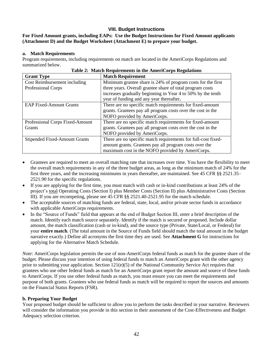# **VIII. Budget Instructions**

## **For Fixed Amount grants, including EAPs: Use the Budget Instructions for Fixed Amount applicants (Attachment D) and the Budget Worksheet (Attachment E) to prepare your budget.**

### **a. Match Requirements**

Program requirements, including requirements on match are located in the AmeriCorps Regulations and summarized below.

| <b>Grant Type</b>               | <b>Match Requirement</b>                                      |
|---------------------------------|---------------------------------------------------------------|
| Cost Reimbursement including    | Minimum grantee share is 24% of program costs for the first   |
| Professional Corps              | three years. Overall grantee share of total program costs     |
|                                 | increases gradually beginning in Year 4 to 50% by the tenth   |
|                                 | year of funding and any year thereafter.                      |
| <b>EAP Fixed-Amount Grants</b>  | There are no specific match requirements for fixed-amount     |
|                                 | grants. Grantees pay all program costs over the cost in the   |
|                                 | NOFO provided by AmeriCorps.                                  |
| Professional Corps Fixed-Amount | There are no specific match requirements for fixed-amount     |
| <b>Grants</b>                   | grants. Grantees pay all program costs over the cost in the   |
|                                 | NOFO provided by AmeriCorps.                                  |
| Stipended Fixed-Amount Grants   | There are no specific match requirements for full-cost fixed- |
|                                 | amount grants. Grantees pay all program costs over the        |
|                                 | maximum cost in the NOFO provided by AmeriCorps.              |

| Table 2: Match Requirements in the AmeriCorps Regulations |
|-----------------------------------------------------------|
|-----------------------------------------------------------|

- Grantees are required to meet an overall matching rate that increases over time. You have the flexibility to meet the overall match requirements in any of the three budget areas, as long as the minimum match of 24% for the first three years, and the increasing minimums in years thereafter, are maintained. See 45 CFR §§ 2521.35– 2521.90 for the specific regulations.
- If you are applying for the first time, you must match with cash or in-kind contributions at least 24% of the project's total Operating Costs (Section I) plus Member Costs (Section II) plus Administrative Costs (Section III). If you are recompeting, please see 45 CFR §§ 2521.40-2521.95 for the match schedule.
- The acceptable sources of matching funds are federal, state, local, and/or private sector funds in accordance with applicable AmeriCorps requirements.
- In the "Source of Funds" field that appears at the end of Budget Section III, enter a brief description of the match. Identify each match source separately. Identify if the match is secured or proposed. Include dollar amount, the match classification (cash or in-kind), and the source type (Private, State/Local, or Federal) for your **entire match**. (The total amount in the Source of Funds field should match the total amount in the budget narrative exactly.) Define all acronyms the first time they are used. See **Attachment G** for instructions for applying for the Alternative Match Schedule.

*Note*: AmeriCorps legislation permits the use of non-AmeriCorps federal funds as match for the grantee share of the budget. Please discuss your intention of using federal funds to match an AmeriCorps grant with the other agency prior to submitting your application. Section 121(e)(5) of the National Community Service Act requires that grantees who use other federal funds as match for an AmeriCorps grant report the amount and source of these funds to AmeriCorps. If you use other federal funds as match, you must ensure you can meet the requirements and purpose of both grants. Grantees who use federal funds as match will be required to report the sources and amounts on the Financial Status Reports (FSR).

# **b. Preparing Your Budget**

Your proposed budget should be sufficient to allow you to perform the tasks described in your narrative. Reviewers will consider the information you provide in this section in their assessment of the Cost-Effectiveness and Budget Adequacy selection criterion.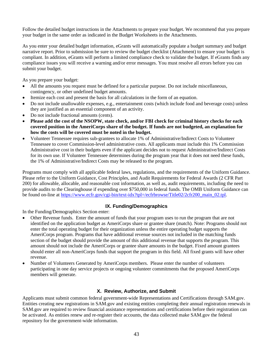Follow the detailed budget instructions in the Attachments to prepare your budget. We recommend that you prepare your budget in the same order as indicated in the Budget Worksheets in the Attachments.

As you enter your detailed budget information, eGrants will automatically populate a budget summary and budget narrative report. Prior to submission be sure to review the budget checklist (Attachment) to ensure your budget is compliant. In addition, eGrants will perform a limited compliance check to validate the budget. If eGrants finds any compliance issues you will receive a warning and/or error messages. You must resolve all errors before you can submit your budget.

As you prepare your budget:

- All the amounts you request must be defined for a particular purpose. Do not include miscellaneous, contingency, or other undefined budget amounts.
- Itemize each cost and present the basis for all calculations in the form of an equation.
- Do not include unallowable expenses, e.g., entertainment costs (which include food and beverage costs) unless they are justified as an essential component of an activity.
- Do not include fractional amounts (cents).
- **Please add the cost of the NSOPW, state check, and/or FBI check for criminal history checks for each covered position in the AmeriCorps share of the budget. If funds are not budgeted, an explanation for how the costs will be covered must be noted in the budget.**
- Volunteer Tennessee requires sub-grantees to allocate 1% of Administrative/Indirect Costs to Volunteer Tennessee to cover Commission-level administrative costs. All applicants must include this 1% Commission Administrative cost in their budgets even if the applicant decides not to request Administrative/Indirect Costs for its own use. If Volunteer Tennessee determines during the program year that it does not need these funds, the 1% of Administrative/Indirect Costs may be released to the program.

Programs must comply with all applicable federal laws, regulations, and the requirements of the Uniform Guidance. Please refer to the Uniform Guidance, Cost Principles, and Audit Requirements for Federal Awards (2 CFR Part 200) for allowable, allocable, and reasonable cost information, as well as, audit requirements, including the need to provide audits to the Clearinghouse if expending over \$750,000 in federal funds. The OMB Uniform Guidance can be found on-line at [https://www.ecfr.gov/cgi-bin/text-idx?tpl=/ecfrbrowse/Title02/2cfr200\\_main\\_02.tpl.](https://www.ecfr.gov/cgi-bin/text-idx?tpl=/ecfrbrowse/Title02/2cfr200_main_02.tpl)

# **IX. Funding/Demographics**

In the Funding/Demographics Section enter:

- Other Revenue funds. Enter the amount of funds that your program uses to run the program that are not identified on the application budget as AmeriCorps share or grantee share (match). Note: Programs should not enter the total operating budget for their organization unless the entire operating budget supports the AmeriCorps program. Programs that have additional revenue sources not included in the matching funds section of the budget should provide the amount of this additional revenue that supports the program. This amount should not include the AmeriCorps or grantee share amounts in the budget. Fixed amount grantees should enter all non-AmeriCorps funds that support the program in this field. All fixed grants will have other revenue.
- Number of Volunteers Generated by AmeriCorps members. Please enter the number of volunteers participating in one day service projects or ongoing volunteer commitments that the proposed AmeriCorps members will generate.

# **X. Review, Authorize, and Submit**

Applicants must submit common federal government-wide Representations and Certifications through SAM.gov. Entities creating new registrations in SAM.gov and existing entities completing their annual registration renewals in SAM.gov are required to review financial assistance representations and certifications before their registration can be activated. As entities renew and re-register their accounts, the data collected make SAM.gov the federal repository for the government-wide information.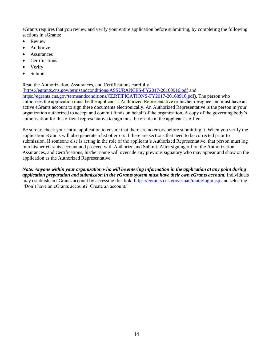eGrants requires that you review and verify your entire application before submitting, by completing the following sections in eGrants:

- Review
- **Authorize**
- **Assurances**
- **Certifications**
- **Verify**
- Submit

Read the Authorization, Assurances, and Certifications carefully

[\(https://egrants.cns.gov/termsandconditions/ASSURANCES-FY2017-20160916.pdf](https://egrants.cns.gov/termsandconditions/ASSURANCES-FY2017-20160916.pdf) and [https://egrants.cns.gov/termsandconditions/CERTIFICATIONS-FY2017-20160916.pdf\)](https://egrants.cns.gov/termsandconditions/CERTIFICATIONS-FY2017-20160916.pdf). The person who authorizes the application must be the applicant's Authorized Representative or his/her designee and must have an active eGrants account to sign these documents electronically. An Authorized Representative is the person in your organization authorized to accept and commit funds on behalf of the organization. A copy of the governing body's authorization for this official representative to sign must be on file in the applicant's office.

Be sure to check your entire application to ensure that there are no errors before submitting it. When you verify the application eGrants will also generate a list of errors if there are sections that need to be corrected prior to submission. If someone else is acting in the role of the applicant's Authorized Representative, that person must log into his/her eGrants account and proceed with Authorize and Submit. After signing off on the Authorization, Assurances, and Certifications, his/her name will override any previous signatory who may appear and show on the application as the Authorized Representative.

*Note: Anyone within your organization who will be entering information in the application at any point during application preparation and submission in the eGrants system must have their own eGrants account.* Individuals may establish an eGrants account by accessing this link:<https://egrants.cns.gov/espan/main/login.jsp> and selecting "Don't have an eGrants account? Create an account."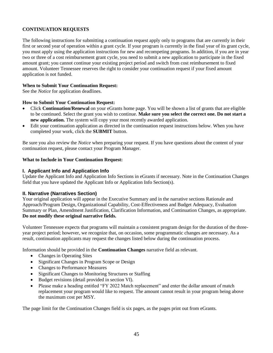# **CONTINUATION REQUESTS**

The following instructions for submitting a continuation request apply only to programs that are currently in their first or second year of operation within a grant cycle. If your program is currently in the final year of its grant cycle, you must apply using the application instructions for new and recompeting programs. In addition, if you are in year two or three of a cost reimbursement grant cycle, you need to submit a new application to participate in the fixed amount grant; you cannot continue your existing project period and switch from cost reimbursement to fixed amount. Volunteer Tennessee reserves the right to consider your continuation request if your fixed amount application is not funded.

## **When to Submit Your Continuation Request:**

See the *Notice* for application deadlines.

## **How to Submit Your Continuation Request:**

- Click **Continuation/Renewal** on your eGrants home page. You will be shown a list of grants that are eligible to be continued. Select the grant you wish to continue. **Make sure you select the correct one. Do not start a new application.** The system will copy your most recently awarded application.
- Edit your continuation application as directed in the continuation request instructions below. When you have completed your work, click the **SUBMIT** button.

Be sure you also review the *Notice* when preparing your request. If you have questions about the content of your continuation request, please contact your Program Manager.

# **What to Include in Your Continuation Request:**

# **I. Applicant Info and Application Info**

Update the Applicant Info and Application Info Sections in eGrants if necessary. Note in the Continuation Changes field that you have updated the Applicant Info or Application Info Section(s).

# **II. Narrative (Narratives Section)**

Your original application will appear in the Executive Summary and in the narrative sections Rationale and Approach/Program Design, Organizational Capability, Cost-Effectiveness and Budget Adequacy, Evaluation Summary or Plan, Amendment Justification, Clarification Information, and Continuation Changes, as appropriate. **Do not modify these original narrative fields.**

Volunteer Tennessee expects that programs will maintain a consistent program design for the duration of the threeyear project period; however, we recognize that, on occasion, some programmatic changes are necessary. As a result, continuation applicants may request the changes listed below during the continuation process.

Information should be provided in the **Continuation Changes** narrative field as relevant.

- Changes in Operating Sites
- Significant Changes in Program Scope or Design
- Changes to Performance Measures
- Significant Changes to Monitoring Structures or Staffing
- Budget revisions (detail provided in section VI).
- Please make a heading entitled "FY 2022 Match replacement" and enter the dollar amount of match replacement your program would like to request. The amount cannot result in your program being above the maximum cost per MSY.

The page limit for the Continuation Changes field is six pages, as the pages print out from eGrants.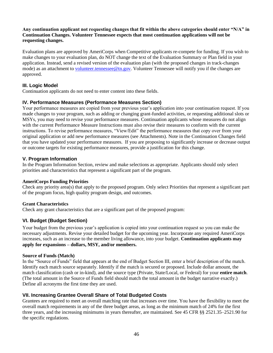## **Any continuation applicant not requesting changes that fit within the above categories should enter "N/A" in Continuation Changes. Volunteer Tennessee expects that most continuation applications will not be requesting changes.**

Evaluation plans are approved by AmeriCorps when Competitive applicants re-compete for funding. If you wish to make changes to your evaluation plan, do NOT change the text of the Evaluation Summary or Plan field in your application. Instead, send a revised version of the evaluation plan (with the proposed changes in track-changes mode) as an attachment to [volunteer.tennessee@tn.gov.](mailto:volunteer.tennessee@tn.gov) Volunteer Tennessee will notify you if the changes are approved.

# **III. Logic Model**

Continuation applicants do not need to enter content into these fields.

# **IV. Performance Measures (Performance Measures Section)**

Your performance measures are copied from your previous year's application into your continuation request. If you made changes to your program, such as adding or changing grant-funded activities, or requesting additional slots or MSYs, you may need to revise your performance measures. Continuation applicants whose measures do not align with the current Performance Measure Instructions must also revise their measures to conform with the current instructions. To revise performance measures, "View/Edit" the performance measures that copy over from your original application or add new performance measures (see Attachments). Note in the Continuation Changes field that you have updated your performance measures. If you are proposing to significantly increase or decrease output or outcome targets for existing performance measures, provide a justification for this change.

# **V. Program Information**

In the Program Information Section, review and make selections as appropriate. Applicants should only select priorities and characteristics that represent a significant part of the program.

# **AmeriCorps Funding Priorities**

Check any priority area(s) that apply to the proposed program. Only select Priorities that represent a significant part of the program focus, high quality program design, and outcomes.

# **Grant Characteristics**

Check any grant characteristics that are a significant part of the proposed program:

# **VI. Budget (Budget Section)**

Your budget from the previous year's application is copied into your continuation request so you can make the necessary adjustments. Revise your detailed budget for the upcoming year. Incorporate any required AmeriCorps increases, such as an increase to the member living allowance, into your budget. **Continuation applicants may apply for expansions – dollars, MSY, and/or members.**

### **Source of Funds (Match)**

In the "Source of Funds" field that appears at the end of Budget Section III, enter a brief description of the match. Identify each match source separately. Identify if the match is secured or proposed. Include dollar amount, the match classification (cash or in-kind), and the source type (Private, State/Local, or Federal) for your **entire match**. (The total amount in the Source of Funds field should match the total amount in the budget narrative exactly.) Define all acronyms the first time they are used.

# **VII. Increasing Grantee Overall Share of Total Budgeted Costs**

Grantees are required to meet an overall matching rate that increases over time. You have the flexibility to meet the overall match requirements in any of the three budget areas, as long as the minimum match of 24% for the first three years, and the increasing minimums in years thereafter, are maintained. See 45 CFR §§ 2521.35–2521.90 for the specific regulations.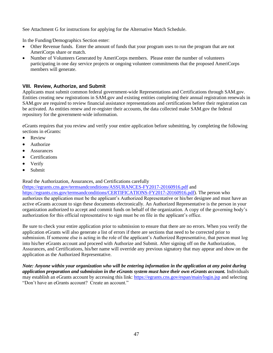See Attachment G for instructions for applying for the Alternative Match Schedule.

In the Funding/Demographics Section enter:

- Other Revenue funds. Enter the amount of funds that your program uses to run the program that are not AmeriCorps share or match.
- Number of Volunteers Generated by AmeriCorps members. Please enter the number of volunteers participating in one day service projects or ongoing volunteer commitments that the proposed AmeriCorps members will generate.

# **VIII. Review, Authorize, and Submit**

Applicants must submit common federal government-wide Representations and Certifications through SAM.gov. Entities creating new registrations in SAM.gov and existing entities completing their annual registration renewals in SAM.gov are required to review financial assistance representations and certifications before their registration can be activated. As entities renew and re-register their accounts, the data collected make SAM.gov the federal repository for the government-wide information.

eGrants requires that you review and verify your entire application before submitting, by completing the following sections in eGrants:

- Review
- Authorize
- **Assurances**
- Certifications
- Verify
- Submit

# Read the Authorization, Assurances, and Certifications carefully

[\(https://egrants.cns.gov/termsandconditions/ASSURANCES-FY2017-20160916.pdf](https://egrants.cns.gov/termsandconditions/ASSURANCES-FY2017-20160916.pdf) and [https://egrants.cns.gov/termsandconditions/CERTIFICATIONS-FY2017-20160916.pdf\)](https://egrants.cns.gov/termsandconditions/CERTIFICATIONS-FY2017-20160916.pdf). The person who authorizes the application must be the applicant's Authorized Representative or his/her designee and must have an active eGrants account to sign these documents electronically. An Authorized Representative is the person in your organization authorized to accept and commit funds on behalf of the organization. A copy of the governing body's authorization for this official representative to sign must be on file in the applicant's office.

Be sure to check your entire application prior to submission to ensure that there are no errors. When you verify the application eGrants will also generate a list of errors if there are sections that need to be corrected prior to submission. If someone else is acting in the role of the applicant's Authorized Representative, that person must log into his/her eGrants account and proceed with Authorize and Submit. After signing off on the Authorization, Assurances, and Certifications, his/her name will override any previous signatory that may appear and show on the application as the Authorized Representative.

*Note: Anyone within your organization who will be entering information in the application at any point during application preparation and submission in the eGrants system must have their own eGrants account.* Individuals may establish an eGrants account by accessing this link:<https://egrants.cns.gov/espan/main/login.jsp> and selecting "Don't have an eGrants account? Create an account."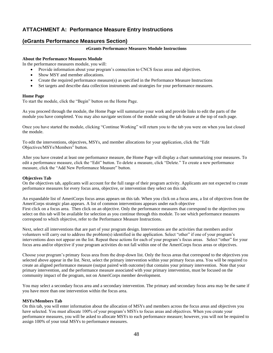# **ATTACHMENT A: Performance Measure Entry Instructions**

# **(eGrants Performance Measures Section)**

#### **eGrants Performance Measures Module Instructions**

### **About the Performance Measures Module**

In the performance measures module, you will:

- Provide information about your program's connection to CNCS focus areas and objectives.
- Show MSY and member allocations.
- Create the required performance measure(s) as specified in the Performance Measure Instructions
- Set targets and describe data collection instruments and strategies for your performance measures.

#### **Home Page**

To start the module, click the "Begin" button on the Home Page.

As you proceed through the module, the Home Page will summarize your work and provide links to edit the parts of the module you have completed. You may also navigate sections of the module using the tab feature at the top of each page.

Once you have started the module, clicking "Continue Working" will return you to the tab you were on when you last closed the module.

To edit the interventions, objectives, MSYs, and member allocations for your application, click the "Edit Objectives/MSYs/Members" button.

After you have created at least one performance measure, the Home Page will display a chart summarizing your measures. To edit a performance measure, click the "Edit" button. To delete a measure, click "Delete." To create a new performance measure, click the "Add New Performance Measure" button.

#### **Objectives Tab**

On the objectives tab, applicants will account for the full range of their program activity. Applicants are not expected to create performance measures for every focus area, objective, or intervention they select on this tab.

An expandable list of AmeriCorps focus areas appears on this tab. When you click on a focus area, a list of objectives from the AmeriCorps strategic plan appears. A list of common interventions appears under each objective First click on a focus area. Then click on an objective. Only the performance measures that correspond to the objectives you select on this tab will be available for selection as you continue through this module. To see which performance measures correspond to which objective, refer to the Performance Measure Instructions.

Next, select all interventions that are part of your program design. Interventions are the activities that members and/or volunteers will carry out to address the problem(s) identified in the application. Select "other" if one of your program's interventions does not appear on the list. Repeat these actions for each of your program's focus areas. Select "other" for your focus area and/or objective if your program activities do not fall within one of the AmeriCorps focus areas or objectives.

Choose your program's primary focus area from the drop-down list. Only the focus areas that correspond to the objectives you selected above appear in the list. Next, select the primary intervention within your primary focus area. You will be required to create an aligned performance measure (output paired with outcome) that contains your primary intervention. Note that your primary intervention, and the performance measure associated with your primary intervention, must be focused on the community impact of the program, not on AmeriCorps member development.

You may select a secondary focus area and a secondary intervention. The primary and secondary focus area may be the same if you have more than one intervention within the focus area.

#### **MSYs/Members Tab**

On this tab, you will enter information about the allocation of MSYs and members across the focus areas and objectives you have selected. You must allocate 100% of your program's MSYs to focus areas and objectives. When you create your performance measures, you will be asked to allocate MSYs to each performance measure; however, you will not be required to assign 100% of your total MSYs to performance measures.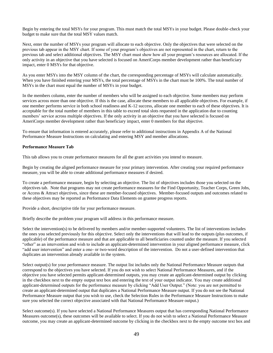Begin by entering the total MSYs for your program. This must match the total MSYs in your budget. Please double-check your budget to make sure that the total MSY values match.

Next, enter the number of MSYs your program will allocate to each objective. Only the objectives that were selected on the previous tab appear in the MSY chart. If some of your program's objectives are not represented in the chart, return to the previous tab and select additional objectives. The MSY chart must show how all your program's resources are allocated. If the only activity in an objective that you have selected is focused on AmeriCorps member development rather than beneficiary impact, enter 0 MSYs for that objective.

As you enter MSYs into the MSY column of the chart, the corresponding percentage of MSYs will calculate automatically. When you have finished entering your MSYs, the total percentage of MSYs in the chart must be 100%. The total number of MSYs in the chart must equal the number of MSYs in your budget.

In the members column, enter the number of members who will be assigned to each objective. Some members may perform services across more than one objective. If this is the case, allocate these members to all applicable objectives. For example, if one member performs service in both school readiness and K-12 success, allocate one member to each of these objectives. It is acceptable for the total number of members in this table to exceed total slots requested in the application due to counting members' service across multiple objectives. If the only activity in an objective that you have selected is focused on AmeriCorps member development rather than beneficiary impact, enter 0 members for that objective.

To ensure that information is entered accurately, please refer to additional instructions in Appendix A of the National Performance Measure Instructions on calculating and entering MSY and member allocations.

#### **Performance Measure Tab**

This tab allows you to create performance measures for all the grant activities you intend to measure.

Begin by creating the aligned performance measure for your primary intervention. After creating your required performance measure, you will be able to create additional performance measures if desired.

To create a performance measure, begin by selecting an objective. The list of objectives includes those you selected on the objectives tab. Note that programs may not create performance measures for the Find Opportunity, Teacher Corps, Green Jobs, or Access & Attract objectives, since these are member-focused objectives. Member-focused outputs and outcomes related to these objectives may be reported as Performance Data Elements on grantee progress reports.

Provide a short, descriptive title for your performance measure.

Briefly describe the problem your program will address in this performance measure.

Select the intervention(s) to be delivered by members and/or member-supported volunteers. The list of interventions includes the ones you selected previously for this objective. Select only the interventions that will lead to the outputs (plus outcomes, if applicable) of the performance measure and that are applicable to all beneficiaries counted under the measure. If you selected "other" as an intervention and wish to include an applicant-determined intervention in your aligned performance measure, click "add user intervention" and enter a one- or two-word description of the intervention. Do not a user-defined intervention that duplicates an intervention already available in the system.

Select output(s) for your performance measure. The output list includes only the National Performance Measure outputs that correspond to the objectives you have selected. If you do not wish to select National Performance Measures, and if the objective you have selected permits applicant-determined outputs, you may create an applicant-determined output by clicking in the checkbox next to the empty output text box and entering the text of your output indicator. You may create additional applicant-determined outputs for the performance measure by clicking "Add User Output." (Note: you are not permitted to create an applicant-determined output that duplicates a National Performance Measure output. If you do not see the National Performance Measure output that you wish to use, check the Selection Rules in the Performance Measure Instructions to make sure you selected the correct objective associated with that National Performance Measure output.)

Select outcome(s). If you have selected a National Performance Measures output that has corresponding National Performance Measures outcome(s), these outcomes will be available to select. If you do not wish to select a National Performance Measure outcome, you may create an applicant-determined outcome by clicking in the checkbox next to the empty outcome text box and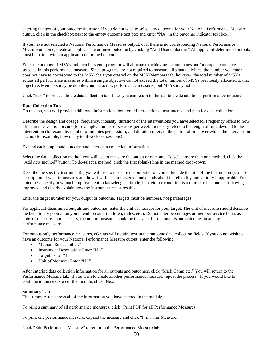entering the text of your outcome indicator. If you do not wish to select any outcome for your National Performance Measure output, click in the checkbox next to the empty outcome text box and enter "NA" in the outcome indicator text box.

If you have not selected a National Performance Measures output, or if there is no corresponding National Performance Measure outcome, create an applicant-determined outcome by clicking "Add User Outcome." All applicant-determined outputs must be paired with an applicant-determined outcome.

Enter the number of MSYs and members your program will allocate to achieving the outcomes and/or outputs you have selected in this performance measure. Since programs are not required to measure all grant activities, the number you enter does not have to correspond to the MSY chart you created on the MSY/Members tab; however, the total number of MSYs across all performance measures within a single objective cannot exceed the total number of MSYs previously allocated to that objective. Members may be double-counted across performance measures, but MSYs may not.

Click "next" to proceed to the data collection tab. Later you can return to this tab to create additional performance measures.

#### **Data Collection Tab**

On this tab, you will provide additional information about your interventions, instruments, and plan for data collection.

Describe the design and dosage (frequency, intensity, duration) of the interventions you have selected. Frequency refers to how often an intervention occurs (for example, number of sessions per week); intensity refers to the length of time devoted to the intervention (for example, number of minutes per session); and duration refers to the period of time over which the intervention occurs (for example, how many total weeks of sessions).

Expand each output and outcome and enter data collection information.

Select the data collection method you will use to measure the output or outcome. To select more than one method, click the "Add new method" button. To de-select a method, click the first (blank) line in the method drop-down.

Describe the specific instrument(s) you will use to measure the output or outcome. Include the title of the instrument(s), a brief description of what it measures and how it will be administered, and details about its reliability and validity if applicable. For outcomes, specify how much improvement in knowledge, attitude, behavior or condition is required to be counted as having improved and clearly explain how the instrument measures this.

Enter the target number for your output or outcome. Targets must be numbers, not percentages.

For applicant-determined outputs and outcomes, enter the unit of measure for your target. The unit of measure should describe the beneficiary population you intend to count (children, miles, etc.). Do not enter percentages or member service hours as units of measure. In most cases, the unit of measure should be the same for the outputs and outcomes in an aligned performance measure.

For output-only performance measures, eGrants will require text in the outcome data collection fields. If you do not wish to have an outcome for your National Performance Measure output, enter the following:

- Method: Select "other."
- Instrument Description: Enter "NA"
- Target: Enter "1"
- Unit of Measure: Enter "NA"

After entering data collection information for all outputs and outcomes, click "Mark Complete." You will return to the Performance Measure tab. If you wish to create another performance measure, repeat the process. If you would like to continue to the next step of the module, click "Next."

#### **Summary Tab**

The summary tab shows all of the information you have entered in the module.

To print a summary of all performance measures, click "Print PDF for all Performance Measures."

To print one performance measure, expand the measure and click "Print This Measure."

Click "Edit Performance Measure" to return to the Performance Measure tab.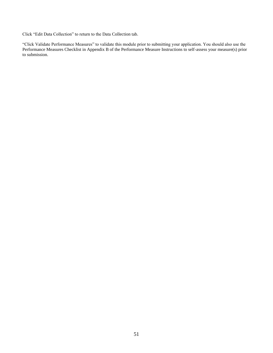Click "Edit Data Collection" to return to the Data Collection tab.

"Click Validate Performance Measures" to validate this module prior to submitting your application. You should also use the Performance Measures Checklist in Appendix B of the Performance Measure Instructions to self-assess your measure(s) prior to submission.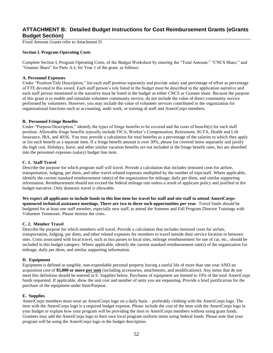# **ATTACHMENT B: Detailed Budget Instructions for Cost Reimbursement Grants (eGrants Budget Section)**

Fixed Amount Grants refer to Attachment D.

#### **Section I. Program Operating Costs**

Complete Section I, Program Operating Costs, of the Budget Worksheet by entering the "Total Amount," "CNCS Share," and "Grantee Share" for Parts A-I, for Year 1 of the grant, as follows:

#### **A. Personnel Expenses**

Under "Position/Title Description," list each staff position separately and provide salary and percentage of effort as percentage of FTE devoted to this award. Each staff person's role listed in the budget must be described in the application narrative and each staff person mentioned in the narrative must be listed in the budget as either CNCS or Grantee share. Because the purpose of this grant is to enable and stimulate volunteer community service, do not include the value of direct community service performed by volunteers. However, you may include the value of volunteer services contributed to the organization for organizational functions such as accounting, audit work, or training of staff and AmeriCorps members.

#### **B. Personnel Fringe Benefits**

Under "Purpose/Description," identify the types of fringe benefits to be covered and the costs of benefit(s) for each staff position. Allowable fringe benefits typically include FICA, Worker's Compensation, Retirement, SUTA, Health and Life Insurance, IRA, and 401K. You may provide a calculation for total benefits as a percentage of the salaries to which they apply or list each benefit as a separate item. If a fringe benefit amount is over 30%, please list covered items separately and justify the high cost. Holidays, leave, and other similar vacation benefits are not included in the fringe benefit rates, but are absorbed into the personnel expenses (salary) budget line item.

#### **C. 1. Staff Travel**

Describe the purpose for which program staff will travel. Provide a calculation that includes itemized costs for airfare, transportation, lodging, per diem, and other travel-related expenses multiplied by the number of trips/staff. Where applicable, identify the current standard reimbursement rate(s) of the organization for mileage, daily per diem, and similar supporting information. Reimbursement should not exceed the federal mileage rate unless a result of applicant policy and justified in the budget narrative. Only domestic travel is allowable.

#### **We expect all applicants to include funds in this line item for travel for staff and site staff to attend AmeriCorpssponsored technical assistance meetings. There are two to three such opportunities per year**. Travel funds should be

budgeted for at least one staff member, especially new staff, to attend the Summer and Fall Program Director Trainings with Volunteer Tennessee. Please itemize the costs.

#### **C. 2. Member Travel**

Describe the purpose for which members will travel. Provide a calculation that includes itemized costs for airfare, transportation, lodging, per diem, and other related expenses for members to travel outside their service location or between sites. Costs associated with local travel, such as bus passes to local sites, mileage reimbursement for use of car, etc., should be included in this budget category. Where applicable, identify the current standard reimbursement rate(s) of the organization for mileage, daily per diem, and similar supporting information.

#### **D. Equipment**

Equipment is defined as tangible, non-expendable personal property having a useful life of more than one year AND an acquisition cost of **\$5,000 or more per unit** (including accessories, attachments, and modifications). Any items that do not meet this definition should be entered in E. Supplies below. Purchases of equipment are limited to 10% of the total AmeriCorps funds requested. If applicable, show the unit cost and number of units you are requesting. Provide a brief justification for the purchase of the equipment under Item/Purpose.

#### **E. Supplies**

AmeriCorps members must wear an AmeriCorps logo on a daily basis – preferably clothing with the AmeriCorps logo. The item with the AmeriCorps logo is a required budget expense. Please include the cost of the item with the AmeriCorps logo in your budget or explain how your program will be providing the item to AmeriCorps members without using grant funds. Grantees may add the AmeriCorps logo to their own local program uniform items using federal funds. Please note that your program will be using the AmeriCorps logo in the budget description.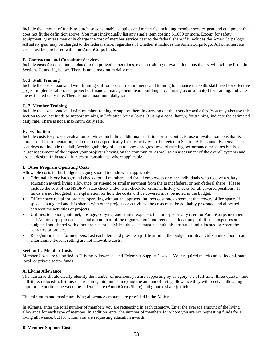Include the amount of funds to purchase consumable supplies and materials, including member service gear and equipment that does not fit the definition above. You must individually list any single item costing \$1,000 or more. Except for safety equipment, grantees may only charge the cost of member service gear to the federal share if it includes the AmeriCorps logo. All safety gear may be charged to the federal share, regardless of whether it includes the AmeriCorps logo. All other service gear must be purchased with non-AmeriCorps funds.

#### **F. Contractual and Consultant Services**

Include costs for consultants related to the project's operations, except training or evaluation consultants, who will be listed in Sections G. and H., below. There is not a maximum daily rate.

#### **G. 1. Staff Training**

Include the costs associated with training staff on project requirements and training to enhance the skills staff need for effective project implementation, i.e., project or financial management, team building, etc. If using a consultant(s) for training, indicate the estimated daily rate. There is not a maximum daily rate.

#### **G. 2. Member Training**

Include the costs associated with member training to support them in carrying out their service activities. You may also use this section to request funds to support training in Life after AmeriCorps. If using a consultant(s) for training, indicate the estimated daily rate. There is not a maximum daily rate.

#### **H. Evaluation**

Include costs for project evaluation activities, including additional staff time or subcontracts, use of evaluation consultants, purchase of instrumentation, and other costs specifically for this activity not budgeted in Section A Personnel Expenses. This cost does not include the daily/weekly gathering of data to assess progress toward meeting performance measures but is a larger assessment of the impact your project is having on the community, as well as an assessment of the overall systems and project design. Indicate daily rates of consultants, where applicable.

#### **I. Other Program Operating Costs**

Allowable costs in this budget category should include when applicable:

- Criminal history background checks for all members and for all employees or other individuals who receive a salary, education award, living allowance, or stipend or similar payment from the grant (federal or non-federal share). Please include the cost of the NSOPW, state check and/or FBI check for criminal history checks for all covered positions. If funds are not budgeted, an explanation for how the costs will be covered must be noted in the budget.
- Office space rental for projects operating without an approved indirect cost rate agreement that covers office space. If space is budgeted and it is shared with other projects or activities, the costs must be equitably pro-rated and allocated between the activities or projects.
- Utilities, telephone, internet, postage, copying, and similar expenses that are specifically used for AmeriCorps members and AmeriCorps project staff, and are not part of the organization's indirect cost allocation pool. If such expenses are budgeted and shared with other projects or activities, the costs must be equitably pro-rated and allocated between the activities or projects.
- Recognition costs for members. List each item and provide a justification in the budget narrative. Gifts and/or food in an entertainment/event setting are not allowable costs.

#### **Section II. Member Costs**

Member Costs are identified as "Living Allowance" and "Member Support Costs." Your required match can be federal, state, local, or private sector funds.

#### **A. Living Allowance**

The narrative should clearly identify the number of members you are supporting by category (i.e., full-time, three-quarter-time, half-time, reduced-half-time, quarter-time, minimum-time) and the amount of living allowance they will receive, allocating appropriate portions between the federal share (AmeriCorps Share) and grantee share (match).

The minimum and maximum living allowance amounts are provided in the *Notice*.

In eGrants, enter the total number of members you are requesting in each category. Enter the average amount of the living allowance for each type of member. In addition, enter the number of members for whom you are not requesting funds for a living allowance, but for whom you are requesting education awards.

#### **B. Member Support Costs**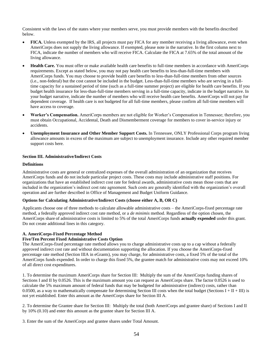Consistent with the laws of the states where your members serve, you must provide members with the benefits described below.

- **FICA.** Unless exempted by the IRS, all projects must pay FICA for any member receiving a living allowance, even when AmeriCorps does not supply the living allowance. If exempted, please note in the narrative. In the first column next to FICA, indicate the number of members who will receive FICA. Calculate the FICA at 7.65% of the total amount of the living allowance.
- **Health Care.** You must offer or make available health care benefits to full-time members in accordance with AmeriCorps requirements. Except as stated below, you may not pay health care benefits to less-than-full-time members with AmeriCorps funds. You may choose to provide health care benefits to less-than-full-time members from other sources (i.e., non-federal) but the cost cannot be included in the budget. Less-than-full-time members who are serving in a fulltime capacity for a sustained period of time (such as a full-time summer project) are eligible for health care benefits. If you budget health insurance for less-than-full-time members serving in a full-time capacity, indicate in the budget narrative. In your budget narrative, indicate the number of members who will receive health care benefits. AmeriCorps will not pay for dependent coverage. If health care is not budgeted for all full-time members, please confirm all full-time members will have access to coverage.
- **Worker's Compensation.** AmeriCorps members are not eligible for Worker's Compensation in Tennessee; therefore, you must obtain Occupational, Accidental, Death and Dismemberment coverage for members to cover in-service injury or accidents.
- **Unemployment Insurance and Other Member Support Costs.** In Tennessee, ONLY Professional Corps program living allowance amounts in excess of the maximum are subject to unemployment insurance. Include any other required member support costs here.

#### **Section III. Administrative/Indirect Costs**

### **Definitions**

Administrative costs are general or centralized expenses of the overall administration of an organization that receives AmeriCorps funds and do not include particular project costs. These costs may include administrative staff positions. For organizations that have an established indirect cost rate for federal awards, administrative costs mean those costs that are included in the organization's indirect cost rate agreement. Such costs are generally identified with the organization's overall operation and are further described in Office of Management and Budget Uniform Guidance.

#### **Options for Calculating Administrative/Indirect Costs (choose either A, B, OR C)**

Applicants choose one of three methods to calculate allowable administrative costs – the AmeriCorps-fixed percentage rate method, a federally approved indirect cost rate method, or a *de minimis* method. Regardless of the option chosen, the AmeriCorps share of administrative costs is limited to 5% of the total AmeriCorps funds **actually expended** under this grant. Do not create additional lines in this category.

#### **A. AmeriCorps-Fixed Percentage Method**

#### **Five/Ten Percent Fixed Administrative Costs Option**

The AmeriCorps-fixed percentage rate method allows you to charge administrative costs up to a cap without a federally approved indirect cost rate and without documentation supporting the allocation. If you choose the AmeriCorps-fixed percentage rate method (Section IIIA in eGrants), you may charge, for administrative costs, a fixed 5% of the total of the AmeriCorps funds expended. In order to charge this fixed 5%, the grantee match for administrative costs may not exceed 10% of all direct cost expenditures.

1. To determine the maximum AmeriCorps share for Section III: Multiply the sum of the AmeriCorps funding shares of Sections I and II by 0.0526. This is the maximum amount you can request as AmeriCorps share. The factor 0.0526 is used to calculate the 5% maximum amount of federal funds that may be budgeted for administrative (indirect) costs, rather than 0.0500, as a way to mathematically compensate for determining Section III costs when the total budget (Sections  $I + II + III$ ) is not yet established. Enter this amount as the AmeriCorps share for Section III A.

2. To determine the Grantee share for Section III: Multiply the total (both AmeriCorps and grantee share) of Sections I and II by 10% (0.10) and enter this amount as the grantee share for Section III A.

3. Enter the sum of the AmeriCorps and grantee shares under Total Amount.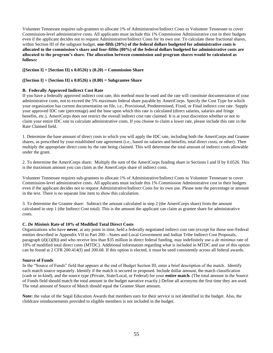Volunteer Tennessee requires sub-grantees to allocate 1% of Administrative/Indirect Costs to Volunteer Tennessee to cover Commission-level administrative costs. All applicants must include this 1% Commission Administrative cost in their budgets even if the applicant decides not to request Administrative/Indirect Costs for its own use. To calculate these fractional shares, within Section III of the subgrant budget, **one-fifth (20%) of the federal dollars budgeted for administrative costs is allocated to the commission's share and four-fifths (80%) of the federal dollars budgeted for administrative costs are allocated to the program's share. The allocation between commission and program shares would be calculated as follows:**

### **([Section I] + [Section II] x 0.0526) x (0.20) = Commission Share**

### **([Section I] + [Section II] x 0.0526) x (0.80) = Subgrantee Share**

### **B. Federally Approved Indirect Cost Rate**

If you have a federally approved indirect cost rate, this method must be used and the rate will constitute documentation of your administrative costs, not to exceed the 5% maximum federal share payable by AmeriCorps. Specify the Cost Type for which your organization has current documentation on file, i.e., Provisional, Predetermined, Fixed, or Final indirect cost rate. Supply your approved IDC rate (percentage) and the base upon which this rate is calculated (direct salaries, salaries and fringe benefits, etc.). AmeriCorps does not restrict the overall indirect cost rate claimed. It is at your discretion whether or not to claim your entire IDC rate to calculate administrative costs. If you choose to claim a lower rate, please include this rate in the Rate Claimed field.

1. Determine the base amount of direct costs to which you will apply the IDC rate, including both the AmeriCorps and Grantee shares, as prescribed by your established rate agreement (i.e., based on salaries and benefits, total direct costs, or other). Then multiply the appropriate direct costs by the rate being claimed. This will determine the total amount of indirect costs allowable under the grant.

2. To determine the AmeriCorps share: Multiply the sum of the AmeriCorps funding share in Sections I and II by 0.0526. This is the maximum amount you can claim as the AmeriCorps share of indirect costs.

Volunteer Tennessee requires sub-grantees to allocate 1% of Administrative/Indirect Costs to Volunteer Tennessee to cover Commission-level administrative costs. All applicants must include this 1% Commission Administrative cost in their budgets even if the applicant decides not to request Administrative/Indirect Costs for its own use. Please note the percentage or amount in the text. There is no separate line item to show this calculation.

3. To determine the Grantee share: Subtract the amount calculated in step 2 (the AmeriCorps share) from the amount calculated in step 1 (the Indirect Cost total). This is the amount the applicant can claim as grantee share for administrative costs.

#### **C.** *De Minimis* **Rate of 10% of Modified Total Direct Costs**

Organizations who have **never**, at any point in time, held a federally negotiated indirect cost rate (except for those non-Federal entities described in Appendix VII to Part 200—States and Local Government and Indian Tribe Indirect Cost Proposals, paragraph (d)(1)(B)) and who receive less than \$35 million in direct federal funding, may indefinitely use a *de minimus* rate of 10% of modified total direct costs (MTDC). Additional information regarding what is included in MTDC and use of this option can be found at 2 CFR 200.414(f) and 200.68. If this option is elected, it must be used consistently across all federal awards.

#### **Source of Funds**

In the "Source of Funds" field that appears at the end of Budget Section III, enter a brief description of the match. Identify each match source separately. Identify if the match is secured or proposed. Include dollar amount, the match classification (cash or in-kind), and the source type (Private, State/Local, or Federal) for your **entire match**. (The total amount in the Source of Funds field should match the total amount in the budget narrative exactly.) Define all acronyms the first time they are used. The total amount of Source of Match should equal the Grantee Share amount.

**Note:** the value of the Segal Education Awards that members earn for their service is not identified in the budget. Also, the childcare reimbursements provided to eligible members is not included in the budget.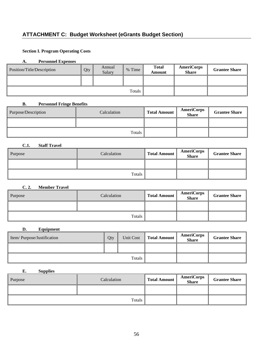# **ATTACHMENT C: Budget Worksheet (eGrants Budget Section)**

# **Section I. Program Operating Costs**

### **A. Personnel Expenses**

| Position/Title/Description | Qty | Annual<br>Salary | % Time | <b>Total</b><br>Amount | <b>AmeriCorps</b><br><b>Share</b> | <b>Grantee Share</b> |
|----------------------------|-----|------------------|--------|------------------------|-----------------------------------|----------------------|
|                            |     |                  |        |                        |                                   |                      |
| Totals                     |     |                  |        |                        |                                   |                      |

### **B. Personnel Fringe Benefits**

| Purpose/Description | Calculation   | <b>Total Amount</b> | <b>AmeriCorps</b><br><b>Share</b> | <b>Grantee Share</b> |
|---------------------|---------------|---------------------|-----------------------------------|----------------------|
|                     |               |                     |                                   |                      |
|                     | <b>Totals</b> |                     |                                   |                      |

# **C.1. Staff Travel**

| Purpose | Calculation | <b>Total Amount</b> | <b>AmeriCorps</b><br><b>Share</b> | <b>Grantee Share</b> |
|---------|-------------|---------------------|-----------------------------------|----------------------|
|         |             |                     |                                   |                      |
|         |             |                     |                                   |                      |

### **C. 2. Member Travel**

| Purpose | Calculation | <b>Total Amount</b> | <b>AmeriCorps</b><br><b>Share</b> | <b>Grantee Share</b> |
|---------|-------------|---------------------|-----------------------------------|----------------------|
|         |             |                     |                                   |                      |
|         |             |                     |                                   |                      |

#### **D. Equipment**

| Item/Purpose/Justification | Qty | Unit Cost | <b>Total Amount</b> | <b>AmeriCorps</b><br><b>Share</b> | <b>Grantee Share</b> |
|----------------------------|-----|-----------|---------------------|-----------------------------------|----------------------|
|                            |     |           |                     |                                   |                      |
| Totals                     |     |           |                     |                                   |                      |

### **E. Supplies**

| Purpose | Calculation | <b>Total Amount</b> | <b>AmeriCorps</b><br><b>Share</b> | <b>Grantee Share</b> |
|---------|-------------|---------------------|-----------------------------------|----------------------|
|         |             |                     |                                   |                      |
|         |             |                     |                                   |                      |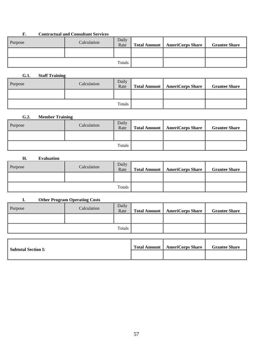## **F. Contractual and Consultant Services**

| Purpose | Calculation | Daily<br>Rate | Total Amount | <b>AmeriCorps Share</b> | <b>Grantee Share</b> |
|---------|-------------|---------------|--------------|-------------------------|----------------------|
|         |             |               |              |                         |                      |
|         |             | Totals        |              |                         |                      |

# **G.1. Staff Training**

| Purpose | Calculation | Daily<br>Rate | Total Amount | <b>AmeriCorps Share</b> | <b>Grantee Share</b> |
|---------|-------------|---------------|--------------|-------------------------|----------------------|
|         |             |               |              |                         |                      |
|         |             | Totals        |              |                         |                      |

# **G.2. Member Training**

| Purpose | Calculation | Daily<br>Rate | Total Amount | <b>AmeriCorps Share</b> | <b>Grantee Share</b> |
|---------|-------------|---------------|--------------|-------------------------|----------------------|
|         |             |               |              |                         |                      |
|         |             | Totals        |              |                         |                      |

### **H. Evaluation**

| Purpose | Calculation | Daily<br>Rate | Total Amount | <b>AmeriCorps Share</b> | <b>Grantee Share</b> |
|---------|-------------|---------------|--------------|-------------------------|----------------------|
|         |             |               |              |                         |                      |
| Totals  |             |               |              |                         |                      |

# **I. Other Program Operating Costs**

| Purpose | Calculation | Daily<br>Rate | <b>Total Amount</b>   AmeriCorps Share | <b>Grantee Share</b> |
|---------|-------------|---------------|----------------------------------------|----------------------|
|         |             |               |                                        |                      |
|         |             | <b>Totals</b> |                                        |                      |

| Subtotal Section I: | Total Amount   AmeriCorps Share | <b>Grantee Share</b> |
|---------------------|---------------------------------|----------------------|
|                     |                                 |                      |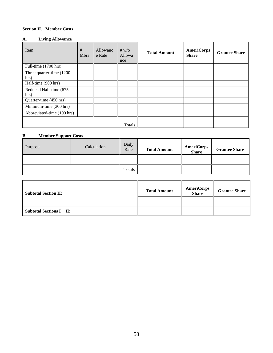### **Section II. Member Costs**

### **A. Living Allowance**

| Item                              | #<br><b>Mbrs</b> | Allowanc<br>e Rate | # $w$ / $\circ$<br>Allowa<br>nce | <b>Total Amount</b> | <b>AmeriCorps</b><br><b>Share</b> | <b>Grantee Share</b> |
|-----------------------------------|------------------|--------------------|----------------------------------|---------------------|-----------------------------------|----------------------|
| Full-time (1700 hrs)              |                  |                    |                                  |                     |                                   |                      |
| Three quarter-time (1200)<br>hrs) |                  |                    |                                  |                     |                                   |                      |
| Half-time (900 hrs)               |                  |                    |                                  |                     |                                   |                      |
| Reduced Half-time (675<br>hrs)    |                  |                    |                                  |                     |                                   |                      |
| Quarter-time (450 hrs)            |                  |                    |                                  |                     |                                   |                      |
| Minimum-time (300 hrs)            |                  |                    |                                  |                     |                                   |                      |
| Abbreviated-time (100 hrs)        |                  |                    |                                  |                     |                                   |                      |
|                                   |                  |                    | Totals                           |                     |                                   |                      |

## **B. Member Support Costs**

| Purpose | Calculation | Daily<br>Rate | <b>Total Amount</b> | <b>AmeriCorps</b><br><b>Share</b> | <b>Grantee Share</b> |
|---------|-------------|---------------|---------------------|-----------------------------------|----------------------|
|         |             |               |                     |                                   |                      |
| Totals  |             |               |                     |                                   |                      |

| <b>Subtotal Section II:</b>                    | <b>Total Amount</b> | <b>AmeriCorps</b><br><b>Share</b> | <b>Grantee Share</b> |
|------------------------------------------------|---------------------|-----------------------------------|----------------------|
|                                                |                     |                                   |                      |
| Subtotal Sections $\mathbf{I} + \mathbf{II}$ : |                     |                                   |                      |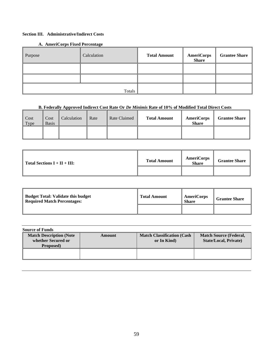### **Section III. Administrative/Indirect Costs**

**A. AmeriCorps Fixed Percentage** 

| Purpose | Calculation | <b>Total Amount</b> | AmeriCorps<br><b>Share</b> | <b>Grantee Share</b> |
|---------|-------------|---------------------|----------------------------|----------------------|
|         |             |                     |                            |                      |
|         |             |                     |                            |                      |
|         | Totals      |                     |                            |                      |

# **B. Federally Approved Indirect Cost Rate Or** *De Minimis* **Rate of 10% of Modified Total Direct Costs**

| Cost<br>Type | Cost<br>Basis <sup>®</sup> | Calculation | Rate | Rate Claimed | <b>Total Amount</b> | <b>AmeriCorps</b><br><b>Share</b> | <b>Grantee Share</b> |
|--------------|----------------------------|-------------|------|--------------|---------------------|-----------------------------------|----------------------|
|              |                            |             |      |              |                     |                                   |                      |

| $\parallel$ Total Sections I + II + III: | <b>Total Amount</b> | <b>AmeriCorps</b><br><b>Share</b> | <b>Grantee Share</b> |
|------------------------------------------|---------------------|-----------------------------------|----------------------|
|                                          |                     |                                   |                      |

| <b>Budget Total: Validate this budget</b><br>Required Match Percentages: | <b>Total Amount</b> | <b>AmeriCorps</b><br>Share | <b>Grantee Share</b> |
|--------------------------------------------------------------------------|---------------------|----------------------------|----------------------|
|                                                                          |                     |                            |                      |

| <b>Source of Funds</b>                                            |        |                                                  |                                                               |  |  |  |  |
|-------------------------------------------------------------------|--------|--------------------------------------------------|---------------------------------------------------------------|--|--|--|--|
| <b>Match Description (Note</b><br>whether Secured or<br>Proposed) | Amount | <b>Match Classification (Cash)</b><br>or In Kind | <b>Match Source (Federal,</b><br><b>State/Local, Private)</b> |  |  |  |  |
|                                                                   |        |                                                  |                                                               |  |  |  |  |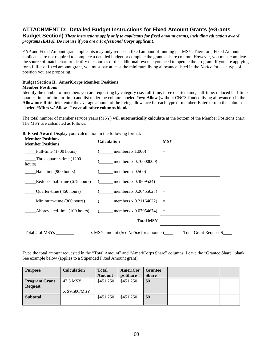# **ATTACHMENT D: Detailed Budget Instructions for Fixed Amount Grants (eGrants**

**Budget Section)** *These instructions apply only to applicants for fixed amount grants, including education award programs (EAPs). Do not use if you are a Professional Corps applicant.* 

EAP and Fixed Amount grant applicants may only request a fixed amount of funding per MSY. Therefore, Fixed Amount applicants are not required to complete a detailed budget or complete the grantee share column. However, you must complete the source of match chart to identify the sources of the additional revenue you need to operate the program. If you are applying for a full-cost fixed amount grant, you must pay at least the minimum living allowance listed in the *Notice* for each type of position you are proposing.

### **Budget Section II. AmeriCorps Member Positions**

#### **Member Positions**

Identify the number of members you are requesting by category (i.e. full-time, three quarter-time, half-time, reduced half-time, quarter-time, minimum-time) and list under the column labeled **#w/o Allow** (without CNCS-funded living allowance.) In the **Allowance Rate** field, enter the average amount of the living allowance for each type of member. Enter zero in the column labeled **#Mbrs w/ Allow**. **Leave all other columns blank**.

The total number of member service years (MSY) will **automatically calculate** at the bottom of the Member Positions chart. The MSY are calculated as follows:

**B. Fixed Award** Display your calculation in the following format:

| <b>Member Positions</b><br><b>Member Positions</b> | <b>Calculation</b>                           | <b>MSY</b>                 |
|----------------------------------------------------|----------------------------------------------|----------------------------|
| Full-time (1700 hours)                             | $($ members x 1.000)                         |                            |
| Three quarter-time (1200<br>hours)                 | members x $0.70000000$                       | $\equiv$                   |
| Half-time (900 hours)                              | members $x\,0.500$                           | $=$                        |
| Reduced half-time (675 hours)                      | $($ members x 0.3809524)                     | $\quad =$                  |
| Quarter-time (450 hours)                           | $($ members x 0.26455027)                    | $=$                        |
| Minimum-time (300 hours)                           | ( members x 0.21164022)                      | $=$                        |
| Abbreviated-time (100 hours)                       | $($ members x 0.07054674)                    | $=$                        |
|                                                    | <b>Total MSY</b>                             |                            |
| Total # of MSYs                                    | x MSY amount (See <i>Notice</i> for amounts) | $=$ Total Grant Request \$ |

Type the total amount requested in the "Total Amount" and "AmeriCorps Share" columns. Leave the "Grantee Share" blank. See example below (applies to a Stipended Fixed Amount grant):

| <b>Purpose</b>                         | <b>Calculation</b> | <b>Total</b> | AmeriCor  | Grantee      |  |
|----------------------------------------|--------------------|--------------|-----------|--------------|--|
|                                        |                    | Amount       | ps Share  | <b>Share</b> |  |
| <b>Program Grant</b><br><b>Request</b> | 47.5 MSY           | \$451,250    | \$451,250 | \$0          |  |
|                                        | X \$9,500/MSY      |              |           |              |  |
| <b>Subtotal</b>                        |                    | \$451,250    | \$451,250 | \$0          |  |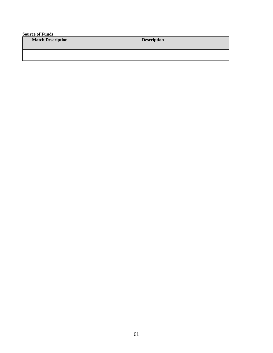**Source of Funds**

| <b>Match Description</b> | <b>Description</b> |
|--------------------------|--------------------|
|                          |                    |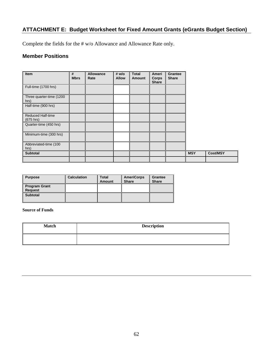# **ATTACHMENT E: Budget Worksheet for Fixed Amount Grants (eGrants Budget Section)**

Complete the fields for the # w/o Allowance and Allowance Rate only.

# **Member Positions**

|  |  | <b>MSY</b> | <b>Cost/MSY</b> |
|--|--|------------|-----------------|
|  |  |            |                 |

| <b>Purpose</b>                  | Calculation | <b>Total</b><br>Amount | <b>AmeriCorps</b><br><b>Share</b> | Grantee<br><b>Share</b> |
|---------------------------------|-------------|------------------------|-----------------------------------|-------------------------|
| <b>Program Grant</b><br>Request |             |                        |                                   |                         |
| <b>Subtotal</b>                 |             |                        |                                   |                         |

## **Source of Funds**

| <b>Match</b> | <b>Description</b> |
|--------------|--------------------|
|              |                    |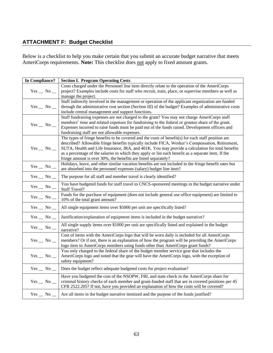# **ATTACHMENT F: Budget Checklist**

Below is a checklist to help you make certain that you submit an accurate budget narrative that meets AmeriCorps requirements. **Note:** This checklist does not apply to fixed amount grants.

| In Compliance?    | <b>Section I. Program Operating Costs</b>                                                                  |
|-------------------|------------------------------------------------------------------------------------------------------------|
|                   | Costs charged under the Personnel line item directly relate to the operation of the AmeriCorps             |
| $Yes$ _ No _      | project? Examples include costs for staff who recruit, train, place, or supervise members as well as       |
|                   | manage the project.                                                                                        |
|                   | Staff indirectly involved in the management or operation of the applicant organization are funded          |
| $Yes$ _ No _      | through the administrative cost section (Section III) of the budget? Examples of administrative costs      |
|                   | include central management and support functions.                                                          |
|                   | Staff fundraising expenses are not charged to the grant? You may not charge AmeriCorps staff               |
| $Yes$ _ No _      | members' time and related expenses for fundraising to the federal or grantee share of the grant.           |
|                   | Expenses incurred to raise funds must be paid out of the funds raised. Development officers and            |
|                   | fundraising staff are not allowable expenses.                                                              |
|                   | The types of fringe benefits to be covered and the costs of benefit(s) for each staff position are         |
|                   | described? Allowable fringe benefits typically include FICA, Worker's Compensation, Retirement,            |
| $Yes$ _ No _      | SUTA, Health and Life Insurance, IRA, and 401K. You may provide a calculation for total benefits           |
|                   | as a percentage of the salaries to which they apply or list each benefit as a separate item. If the        |
|                   | fringe amount is over 30%, the benefits are listed separately?                                             |
| $Yes$ _ No _      | Holidays, leave, and other similar vacation benefits are not included in the fringe benefit rates but      |
|                   | are absorbed into the personnel expenses (salary) budget line item?                                        |
| $Yes$ $No$ $\_\_$ | The purpose for all staff and member travel is clearly identified?                                         |
| $Yes$ _ No _      | You have budgeted funds for staff travel to CNCS-sponsored meetings in the budget narrative under          |
|                   | <b>Staff Travel?</b>                                                                                       |
| $Yes$ _ No _      | Funds for the purchase of equipment (does not include general use office equipment) are limited to         |
|                   | 10% of the total grant amount?                                                                             |
| $Yes$ _ No _      | All single equipment items over \$5000 per unit are specifically listed?                                   |
| $Yes$ _ No _      | Justification/explanation of equipment items is included in the budget narrative?                          |
|                   | All single supply items over \$1000 per unit are specifically listed and explained in the budget           |
| $Yes$ _ No _      | narrative?                                                                                                 |
|                   | Cost of items with the AmeriCorps logo that will be worn daily is included for all AmeriCorps              |
| $Yes$ No $\_\$    | members? Or if not, there is an explanation of how the program will be providing the AmeriCorps            |
|                   | logo item to AmeriCorps members using funds other than AmeriCorps grant funds?                             |
|                   | You only charged to the federal share of the budget member service gear that includes the                  |
| $Yes$ _ No _      | AmeriCorps logo and noted that the gear will have the AmeriCorps logo, with the exception of               |
|                   | safety equipment?                                                                                          |
|                   |                                                                                                            |
| $Yes$ _ No _      | Does the budget reflect adequate budgeted costs for project evaluation?                                    |
|                   | Have you budgeted the cost of the NSOPW, FBI, and state check in the AmeriCorps share for                  |
| $Yes$ No $\_\$    | criminal history checks of each member and grant-funded staff that are in covered positions per 45         |
|                   | CFR 2522.205? If not, have you provided an explanation of how the costs will be covered?                   |
|                   | $Yes \_\$ No $\_\ $ Are all items in the budget narrative itemized and the purpose of the funds justified? |
|                   |                                                                                                            |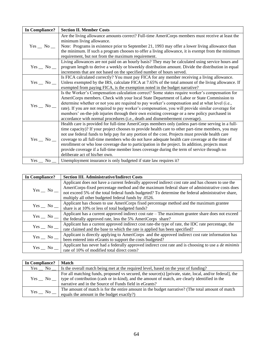| In Compliance? | <b>Section II. Member Costs</b>                                                                     |
|----------------|-----------------------------------------------------------------------------------------------------|
|                | Are the living allowance amounts correct? Full-time AmeriCorps members must receive at least the    |
|                | minimum living allowance.                                                                           |
| $Yes \_ No \_$ | Note: Programs in existence prior to September 21, 1993 may offer a lower living allowance than     |
|                | the minimum. If such a program chooses to offer a living allowance, it is exempt from the minimum   |
|                | requirement, but not from the maximum requirement.                                                  |
|                | Living allowances are not paid on an hourly basis? They may be calculated using service hours and   |
| $Yes \_ No \_$ | program length to derive a weekly or biweekly distribution amount. Divide the distribution in equal |
|                | increments that are not based on the specified number of hours served.                              |
|                | Is FICA calculated correctly? You must pay FICA for any member receiving a living allowance.        |
| $Yes \_ No \_$ | Unless exempted by the IRS, calculate FICA at 7.65% of the total amount of the living allowance. If |
|                | exempted from paying FICA, is the exemption noted in the budget narrative?                          |
|                | Is the Worker's Compensation calculation correct? Some states require worker's compensation for     |
|                | AmeriCorps members. Check with your local State Department of Labor or State Commission to          |
| $Yes$ _ No _   | determine whether or not you are required to pay worker's compensation and at what level (i.e.,     |
|                | rate). If you are not required to pay worker's compensation, you will provide similar coverage for  |
|                | members' on-the-job injuries through their own existing coverage or a new policy purchased in       |
|                | accordance with normal procedures (i.e., death and dismemberment coverage).                         |
|                | Health care is provided for full-time AmeriCorps members only (unless part-time serving in a full-  |
|                | time capacity)? If your project chooses to provide health care to other part-time members, you may  |
|                | not use federal funds to help pay for any portion of the cost. Projects must provide health care    |
| $Yes \_ No \_$ | coverage to all full-time members who do not have adequate health care coverage at the time of      |
|                | enrollment or who lose coverage due to participation in the project. In addition, projects must     |
|                | provide coverage if a full-time member loses coverage during the term of service through no         |
|                | deliberate act of his/her own.                                                                      |
| $Yes \_ No \_$ | Unemployment insurance is only budgeted if state law requires it?                                   |

| In Compliance? | <b>Section III. Administrative/Indirect Costs</b>                                                                                                                                                                                                                                                                                                              |
|----------------|----------------------------------------------------------------------------------------------------------------------------------------------------------------------------------------------------------------------------------------------------------------------------------------------------------------------------------------------------------------|
| $Yes$ _ No _   | Applicant does not have a current federally approved indirect cost rate and has chosen to use the<br>AmeriCorps-fixed percentage method and the maximum federal share of administrative costs does<br>not exceed 5% of the total federal funds budgeted? To determine the federal administrative share,<br>multiply all other budgeted federal funds by .0526. |
| $Yes$ No $\_\$ | Applicant has chosen to use AmeriCorps fixed percentage method and the maximum grantee<br>share is at 10% or less of total budgeted funds?                                                                                                                                                                                                                     |
| $Yes$ _ No _   | Applicant has a current approved indirect cost rate – The maximum grantee share does not exceed<br>the federally approved rate, less the 5% AmeriCorps share?                                                                                                                                                                                                  |
| $Yes$ No $\_\$ | Applicant has a current approved indirect cost rate-the type of rate, the IDC rate percentage, the<br>rate claimed and the base to which the rate is applied has been specified?                                                                                                                                                                               |
| $Yes$ _ No _   | Applicant is directly applying to AmeriCorps and the approved indirect cost rate information has<br>been entered into eGrants to support the costs budgeted?                                                                                                                                                                                                   |
| $Yes$ No $\_\$ | Applicant has never had a federally approved indirect cost rate and is choosing to use a <i>de minimis</i><br>rate of 10% of modified total direct costs?                                                                                                                                                                                                      |

| In Compliance? | Match                                                                                                                                                                                                                                                                            |
|----------------|----------------------------------------------------------------------------------------------------------------------------------------------------------------------------------------------------------------------------------------------------------------------------------|
|                | $Yes$ No $\Box$ Is the overall match being met at the required level, based on the year of funding?                                                                                                                                                                              |
|                | For all matching funds, proposed vs secured, the source(s) [private, state, local, and/or federal], the<br>$Yes \_ No \_$ (type of contribution (cash or in-kind), and the amount of match, are clearly identified in the narrative and in the Source of Funds field in eGrants? |
| $Yes$ No $\_\$ | The amount of match is for the entire amount in the budget narrative? (The total amount of match<br>equals the amount in the budget exactly?)                                                                                                                                    |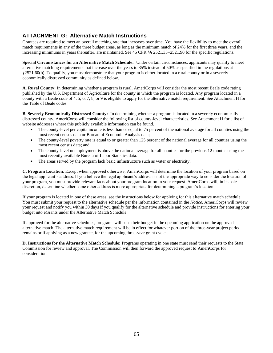# **ATTACHMENT G: Alternative Match Instructions**

Grantees are required to meet an overall matching rate that increases over time. You have the flexibility to meet the overall match requirements in any of the three budget areas, as long as the minimum match of 24% for the first three years, and the increasing minimums in years thereafter, are maintained. See 45 CFR §§ 2521.35–2521.90 for the specific regulations.

**Special Circumstances for an Alternative Match Schedule:** Under certain circumstances, applicants may qualify to meet alternative matching requirements that increase over the years to 35% instead of 50% as specified in the regulations at §2521.60(b). To qualify, you must demonstrate that your program is either located in a rural county or in a severely economically distressed community as defined below.

**A. Rural County:** In determining whether a program is rural, AmeriCorps will consider the most recent Beale code rating published by the U.S. Department of Agriculture for the county in which the program is located. Any program located in a county with a Beale code of 4, 5, 6, 7, 8, or 9 is eligible to apply for the alternative match requirement. See Attachment H for the Table of Beale codes.

**B. Severely Economically Distressed County:** In determining whether a program is located in a severely economically distressed county, AmeriCorps will consider the following list of county-level characteristics. See Attachment H for a list of website addresses where this publicly available information can be found.

- The county-level per capita income is less than or equal to 75 percent of the national average for all counties using the most recent census data or Bureau of Economic Analysis data;
- The county-level poverty rate is equal to or greater than 125 percent of the national average for all counties using the most recent census data; and
- The county-level unemployment is above the national average for all counties for the previous 12 months using the most recently available Bureau of Labor Statistics data.
- The areas served by the program lack basic infrastructure such as water or electricity.

**C. Program Location**: Except when approved otherwise, AmeriCorps will determine the location of your program based on the legal applicant's address. If you believe the legal applicant's address is not the appropriate way to consider the location of your program, you must provide relevant facts about your program location in your request. AmeriCorps will, in its sole discretion, determine whether some other address is more appropriate for determining a program's location.

If your program is located in one of these areas, see the instructions below for applying for this alternative match schedule. You must submit your request to the alternative schedule per the information contained in the *Notice*. AmeriCorps will review your request and notify you within 30 days if you qualify for the alternative schedule and provide instructions for entering your budget into eGrants under the Alternative Match Schedule.

If approved for the alternative schedules, programs will base their budget in the upcoming application on the approved alternative match. The alternative match requirement will be in effect for whatever portion of the three-year project period remains or if applying as a new grantee, for the upcoming three-year grant cycle.

**D. Instructions for the Alternative Match Schedule:** Programs operating in one state must send their requests to the State Commission for review and approval. The Commission will then forward the approved request to AmeriCorps for consideration.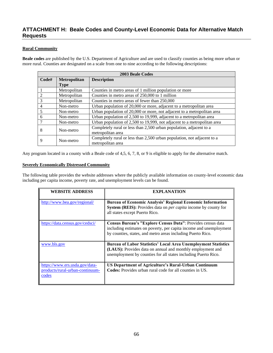# **ATTACHMENT H: Beale Codes and County-Level Economic Data for Alternative Match Requests**

### **Rural Community**

**Beale codes** are published by the U.S. Department of Agriculture and are used to classify counties as being more urban or more rural. Counties are designated on a scale from one to nine according to the following descriptions:

|               | <b>2003 Beale Codes</b> |                                                                          |  |
|---------------|-------------------------|--------------------------------------------------------------------------|--|
| Code#         | Metropolitan            | <b>Description</b>                                                       |  |
|               | <b>Type</b>             |                                                                          |  |
|               | Metropolitan            | Counties in metro areas of 1 million population or more                  |  |
| $\mathcal{D}$ | Metropolitan            | Counties in metro areas of 250,000 to 1 million                          |  |
| 3             | Metropolitan            | Counties in metro areas of fewer than 250,000                            |  |
| 4             | Non-metro               | Urban population of 20,000 or more, adjacent to a metropolitan area      |  |
| 5             | Non-metro               | Urban population of 20,000 or more, not adjacent to a metropolitan area  |  |
| 6             | Non-metro               | Urban population of 2,500 to 19,999, adjacent to a metropolitan area     |  |
|               | Non-metro               | Urban population of 2,500 to 19,999, not adjacent to a metropolitan area |  |
| 8             | Non-metro               | Completely rural or less than 2,500 urban population, adjacent to a      |  |
|               |                         | metropolitan area                                                        |  |
| 9             | Non-metro               | Completely rural or less than 2,500 urban population, not adjacent to a  |  |
|               |                         | metropolitan area                                                        |  |

Any program located in a county with a Beale code of 4,5, 6, 7, 8, or 9 is eligible to apply for the alternative match.

#### **Severely Economically Distressed Community**

The following table provides the website addresses where the publicly available information on county-level economic data including per capita income, poverty rate, and unemployment levels can be found.

| <b>WEBSITE ADDRESS</b>                                                     | <b>EXPLANATION</b>                                                                                                                                                                                    |
|----------------------------------------------------------------------------|-------------------------------------------------------------------------------------------------------------------------------------------------------------------------------------------------------|
| http://www.bea.gov/regional/                                               | <b>Bureau of Economic Analysis' Regional Economic Information</b><br><b>System (REIS):</b> Provides data on <i>per capita</i> income by county for<br>all states except Puerto Rico.                  |
| https://data.census.gov/cedsci/                                            | Census Bureau's "Explore Census Data": Provides census data<br>including estimates on poverty, per capita income and unemployment<br>by counties, states, and metro areas including Puerto Rico.      |
| www.bls.gov                                                                | <b>Bureau of Labor Statistics' Local Area Unemployment Statistics</b><br>(LAUS): Provides data on annual and monthly employment and<br>unemployment by counties for all states including Puerto Rico. |
| https://www.ers.usda.gov/data-<br>products/rural-urban-continuum-<br>codes | US Department of Agriculture's Rural-Urban Continuum<br><b>Codes:</b> Provides urban rural code for all counties in US.                                                                               |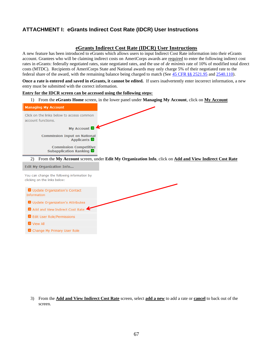# **ATTACHMENT I: eGrants Indirect Cost Rate (IDCR) User Instructions**

## **eGrants Indirect Cost Rate (IDCR) User Instructions**

A new feature has been introduced to eGrants which allows users to input Indirect Cost Rate information into their eGrants account. Grantees who will be claiming indirect costs on AmeriCorps awards are required to enter the following indirect cost rates in eGrants: federally negotiated rates, state negotiated rates, and the use of *de minimis* rate of 10% of modified total direct costs (MTDC). Recipients of AmeriCorps State and National awards may only charge 5% of their negotiated rate to the federal share of the award, with the remaining balance being charged to match (See [45 CFR §§ 2521.95](http://www.ecfr.gov/cgi-bin/text-idx?SID=2ea79b2eb0c09e5c1ad42ea96846484e&node=se45.4.2521_195&rgn=div8) and [2540.110\)](http://www.ecfr.gov/cgi-bin/text-idx?SID=2ea79b2eb0c09e5c1ad42ea96846484e&node=se45.4.2540_1110&rgn=div8).

**Once a rate is entered and saved in eGrants, it cannot be edited.** If users inadvertently enter incorrect information, a new entry must be submitted with the correct information.

#### **Entry for the IDCR screen can be accessed using the following steps:**

1) From the **eGrants Home** screen, in the lower panel under **Managing My Account**, click on **My Account**

| <b>Managing My Account</b>                                                                               |
|----------------------------------------------------------------------------------------------------------|
| Click on the links below to access common<br>account functions.                                          |
| My Account <sup>2</sup>                                                                                  |
| <b>Commission Input on National</b><br><b>Applicants</b>                                                 |
| <b>Commission Competitive</b><br>Subapplication Ranking                                                  |
| 2) From the My Account screen, under Edit My Organization Info, click on Add and View Indirect Cost Rate |
| <b>Edit My Organization Info</b>                                                                         |
| You can change the following information by<br>clicking on the links below:                              |
| Update Organization's Contact<br>Information                                                             |

Dependence Organization's Attributes

 $\rightarrow$  Add and View Indirect Cost Rate

**D** Edit User Role/Permissions

View All

> Change My Primary User Role

3) From the **Add and View Indirect Cost Rate** screen, select **add a new** to add a rate or **cancel** to back out of the screen.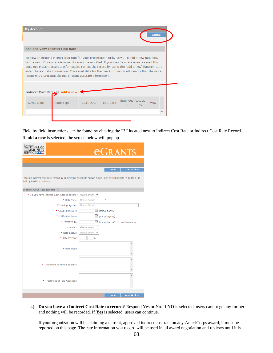| <b>My Account</b><br>cancel                                                                                                                                                                                                                                                                                                                                                                                                                                                           |                              |            |                 |                        |      |      |  |  |
|---------------------------------------------------------------------------------------------------------------------------------------------------------------------------------------------------------------------------------------------------------------------------------------------------------------------------------------------------------------------------------------------------------------------------------------------------------------------------------------|------------------------------|------------|-----------------|------------------------|------|------|--|--|
| <b>Add and View Indirect Cost Rate</b>                                                                                                                                                                                                                                                                                                                                                                                                                                                |                              |            |                 |                        |      |      |  |  |
| To view an existing indirect cost rate for your organization click, 'view'. To add a new rate click,<br>'add a new'. Once a rate is saved it cannot be modified. If you identify a rate already saved that<br>does not present accurate information, correct the record by using the "add a new" function to re-<br>enter the accurate information. The saved date for the new information will identify that the more<br>recent entry presents the more recent accurate information. |                              |            |                 |                        |      |      |  |  |
|                                                                                                                                                                                                                                                                                                                                                                                                                                                                                       | Indirect Cost Rate and a new |            |                 |                        |      |      |  |  |
| Saved Date                                                                                                                                                                                                                                                                                                                                                                                                                                                                            | Rate Type                    | Start Date | <b>End Date</b> | Extended Rate as<br>b. | O(n) | view |  |  |
|                                                                                                                                                                                                                                                                                                                                                                                                                                                                                       |                              |            |                 |                        |      |      |  |  |
|                                                                                                                                                                                                                                                                                                                                                                                                                                                                                       |                              |            |                 |                        |      |      |  |  |

Field by field instructions can be found by clicking the "**?"** located next to Indirect Cost Rate or Indirect Cost Rate Record. If **add a new** is selected, the screen below will pop up.

| Corporation for                                                                                                                          | <b><i><u>CGRANTS</u></i></b>                |                            |  |  |  |  |  |
|------------------------------------------------------------------------------------------------------------------------------------------|---------------------------------------------|----------------------------|--|--|--|--|--|
|                                                                                                                                          |                                             |                            |  |  |  |  |  |
|                                                                                                                                          |                                             | cancel<br>save & close     |  |  |  |  |  |
| Enter an indirect cost rate record by completing the fields shown below. Use the RoboHelp '?' button for<br>field by field instructions. |                                             |                            |  |  |  |  |  |
| <b>Indirect Cost Rate Record</b>                                                                                                         |                                             |                            |  |  |  |  |  |
|                                                                                                                                          | * Do you have Indirect Cost Rate to record? | Please Select ▼            |  |  |  |  |  |
|                                                                                                                                          | * Rate Type:                                | Please Select<br>۳         |  |  |  |  |  |
|                                                                                                                                          | * Issuing Agency:                           | <b>Please Select</b>       |  |  |  |  |  |
|                                                                                                                                          | * Acceptance Date:                          | $\Box$ (mm/dd/yyyy)        |  |  |  |  |  |
|                                                                                                                                          | * Effective From:                           | $\mathbb{H}$ (mm/dd/yyyy)  |  |  |  |  |  |
|                                                                                                                                          | * Effective To:                             | (mm/dd/yyyy) No Expiration |  |  |  |  |  |
|                                                                                                                                          | * Extended?                                 | Please Select ▼            |  |  |  |  |  |
|                                                                                                                                          | * Rate Status:                              | Please Select ▼            |  |  |  |  |  |
|                                                                                                                                          | * Rate Percent:                             | $\frac{0}{0}$              |  |  |  |  |  |
|                                                                                                                                          | * Rate Base:                                | ∸                          |  |  |  |  |  |
|                                                                                                                                          | * Treatment of Fringe Benefits:             | A                          |  |  |  |  |  |
|                                                                                                                                          | * Treatment of Paid Absences:               | A                          |  |  |  |  |  |
|                                                                                                                                          |                                             | cancel<br>save & close     |  |  |  |  |  |

4) **Do you have an Indirect Cost Rate to record?** Respond Yes or No. If **NO** is selected, users cannot go any further and nothing will be recorded. If **Yes** is selected, users can continue.

If your organization will be claiming a current, approved indirect cost rate on any AmeriCorps award, it must be reported on this page. The rate information you record will be used in all award negotiation and reviews until it is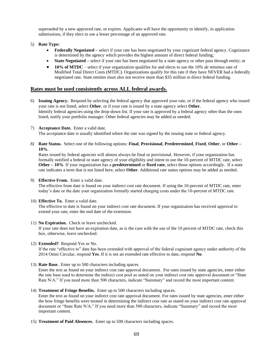superseded by a new approved rate, or expires. Applicants will have the opportunity to identify, in application submissions, if they elect to use a lesser percentage of an approved rate.

- 5) **Rate Type:** 
	- **Federally Negotiated** select if your rate has been negotiated by your cognizant federal agency. Cognizance is determined by the agency which provides the highest amount of direct federal funding;
	- **State Negotiated** select if your rate has been negotiated by a state agency or other pass through entity; or
	- **10% of MTDC**  select if your organization qualifies for and elects to use the 10% *de minimus* rate of Modified Total Direct Costs (MTDC). Organizations qualify for this rate if they have NEVER had a federally negotiated rate. State entities must also not receive more than \$35 million in direct federal funding.

### **Rates must be used consistently across ALL federal awards.**

- 6) **Issuing Agency.** Respond by selecting the federal agency that approved your rate, or if the federal agency who issued your rate is not listed, select **Other**, or if your rate is issued by a state agency select **Other**. Identify federal agencies using the drop-down list. If your rate is approved by a federal agency other than the ones listed, notify your portfolio manager. Other federal agencies may be added as needed.
- 7) **Acceptance Date.** Enter a valid date.

The acceptance date is usually identified where the rate was signed by the issuing state or federal agency.

8) **Rate Status.** Select one of the following options: **Final**, **Provisional**, **Predetermined**, **Fixed**, **Other**, or **Other – 10%**.

Rates issued by federal agencies will almost always be final or provisional. However, if your organization has formally notified a federal or state agency of your eligibility and intent to use the 10-percent of MTDC rate, select **Other – 10%**. If your organization has a **predetermined** or **fixed rate**, select those options accordingly. If a state rate indicates a term that is not listed here, select **Other**. Additional rate status options may be added as needed.

9) **Effective From.** Enter a valid date.

The effective from date is found on your indirect cost rate document. If using the 10-percent of MTDC rate, enter today's date or the date your organization formally started charging costs under the 10-percent of MTDC rate.

10) **Effective To.** Enter a valid date.

The effective to date is found on your indirect cost rate document. If your organization has received approval to extend your rate, enter the end date of the extension.

11) **No Expiration.** Check or leave unchecked.

If your rate does not have an expiration date, as is the case with the use of the 10 percent of MTDC rate, check this box, otherwise, leave unchecked.

12) **Extended?** Respond Yes or No.

If the rate "effective to" date has been extended with approval of the federal cognizant agency under authority of the 2014 Omni Circular, respond **Yes**. If it is not an extended rate effective to date, respond **No**.

13) **Rate Base.** Enter up to 500 characters including spaces.

Enter the text as found on your indirect cost rate approval document. For rates issued by state agencies, enter either the rate base used to determine the indirect cost pool as stated on your indirect cost rate approval document or "State Rate N/A." If you need more than 500 characters, indicate "Summary" and record the most important content.

14) **Treatment of Fringe Benefits.** Enter up to 500 characters including spaces.

Enter the text as found on your indirect cost rate approval document. For rates issued by state agencies, enter either the how fringe benefits were treated in determining the indirect cost rate as stated on your indirect cost rate approval document or "State Rate N/A." If you need more than 500 characters, indicate "Summary" and record the most important content.

15) **Treatment of Paid Absences.** Enter up to 500 characters including spaces.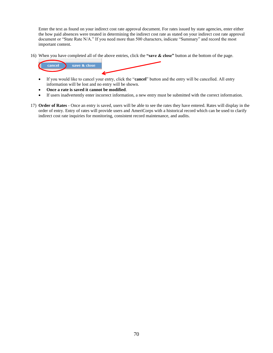Enter the text as found on your indirect cost rate approval document. For rates issued by state agencies, enter either the how paid absences were treated in determining the indirect cost rate as stated on your indirect cost rate approval document or "State Rate N/A." If you need more than 500 characters, indicate "Summary" and record the most important content.

16) When you have completed all of the above entries, click the **"save & close"** button at the bottom of the page.



- If you would like to cancel your entry, click the "**cancel**" button and the entry will be cancelled. All entry information will be lost and no entry will be shown.
- **Once a rate is saved it cannot be modified**.
- If users inadvertently enter incorrect information, a new entry must be submitted with the correct information.
- 17) **Order of Rates** Once an entry is saved, users will be able to see the rates they have entered. Rates will display in the order of entry. Entry of rates will provide users and AmeriCorps with a historical record which can be used to clarify indirect cost rate inquiries for monitoring, consistent record maintenance, and audits.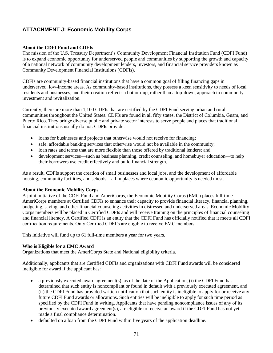# **ATTACHMENT J: Economic Mobility Corps**

## **About the CDFI Fund and CDFIs**

The mission of the U.S. Treasury Department's Community Development Financial Institution Fund (CDFI Fund) is to expand economic opportunity for underserved people and communities by supporting the growth and capacity of a national network of community development lenders, investors, and financial service providers known as Community Development Financial Institutions (CDFIs).

CDFIs are community-based financial institutions that have a common goal of filling financing gaps in underserved, low-income areas. As community-based institutions, they possess a keen sensitivity to needs of local residents and businesses, and their creation reflects a bottom-up, rather than a top-down, approach to community investment and revitalization.

Currently, there are more than 1,100 CDFIs that are certified by the CDFI Fund serving urban and rural communities throughout the United States. CDFIs are found in all fifty states, the District of Columbia, Guam, and Puerto Rico. They bridge diverse public and private sector interests to serve people and places that traditional financial institutions usually do not. CDFIs provide:

- loans for businesses and projects that otherwise would not receive for financing;
- safe, affordable banking services that otherwise would not be available in the community;
- loan rates and terms that are more flexible than those offered by traditional lenders; and
- development services—such as business planning, credit counseling, and homebuyer education—to help their borrowers use credit effectively and build financial strength.

As a result, CDFIs support the creation of small businesses and local jobs, and the development of affordable housing, community facilities, and schools—all in places where economic opportunity is needed most.

### **About the Economic Mobility Corps**

A joint initiative of the CDFI Fund and AmeriCorps, the Economic Mobility Corps (EMC) places full-time AmeriCorps members at Certified CDFIs to enhance their capacity to provide financial literacy, financial planning, budgeting, saving, and other financial counseling activities in distressed and underserved areas. Economic Mobility Corps members will be placed in Certified CDFIs and will receive training on the principles of financial counseling and financial literacy. A Certified CDFI is an entity that the CDFI Fund has officially notified that it meets all CDFI certification requirements. Only Certified CDFI's are eligible to receive EMC members.

This initiative will fund up to 61 full-time members a year for two years.

### **Who is Eligible for a EMC Award**

Organizations that meet the AmeriCorps State and National eligibility criteria.

Additionally, applicants that are Certified CDFIs and organizations with CDFI Fund awards will be considered ineligible for award if the applicant has:

- a previously executed award agreement(s), as of the date of the Application, (i) the CDFI Fund has determined that such entity is noncompliant or found in default with a previously executed agreement, and (ii) the CDFI Fund has provided written notification that such entity is ineligible to apply for or receive any future CDFI Fund awards or allocations. Such entities will be ineligible to apply for such time period as specified by the CDFI Fund in writing. Applicants that have pending noncompliance issues of any of its previously executed award agreement(s), are eligible to receive an award if the CDFI Fund has not yet made a final compliance determination.
- defaulted on a loan from the CDFI Fund within five years of the application deadline.